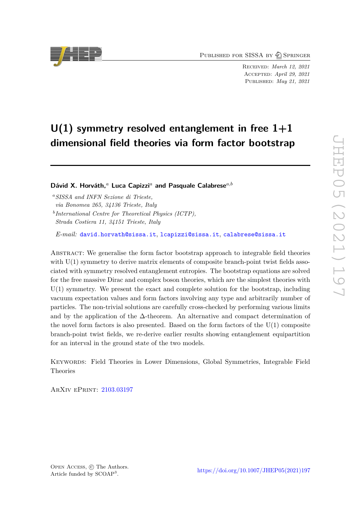PUBLISHED FOR SISSA BY 2 SPRINGER

Received: *March 12, 2021* Accepted: *April 29, 2021* Published: *May 21, 2021*

# **U(1) symmetry resolved entanglement in free 1+1 dimensional field theories via form factor bootstrap**

**Dávid X. Horváth,***<sup>a</sup>* **Luca Capizzi***<sup>a</sup>* **and Pasquale Calabrese***a,b*

*<sup>a</sup>SISSA and INFN Sezione di Trieste,*

*via Bonomea 265, 34136 Trieste, Italy*

*b International Centre for Theoretical Physics (ICTP),*

*Strada Costiera 11, 34151 Trieste, Italy*

*E-mail:* [david.horvath@sissa.it](mailto:david.horvath@sissa.it), [lcapizzi@sissa.it](mailto:lcapizzi@sissa.it), [calabrese@sissa.it](mailto:calabrese@sissa.it)

ABSTRACT: We generalise the form factor bootstrap approach to integrable field theories with  $U(1)$  symmetry to derive matrix elements of composite branch-point twist fields associated with symmetry resolved entanglement entropies. The bootstrap equations are solved for the free massive Dirac and complex boson theories, which are the simplest theories with U(1) symmetry. We present the exact and complete solution for the bootstrap, including vacuum expectation values and form factors involving any type and arbitrarily number of particles. The non-trivial solutions are carefully cross-checked by performing various limits and by the application of the  $\Delta$ -theorem. An alternative and compact determination of the novel form factors is also presented. Based on the form factors of the U(1) composite branch-point twist fields, we re-derive earlier results showing entanglement equipartition for an interval in the ground state of the two models.

Keywords: Field Theories in Lower Dimensions, Global Symmetries, Integrable Field Theories

ArXiv ePrint: [2103.03197](https://arxiv.org/abs/2103.03197)

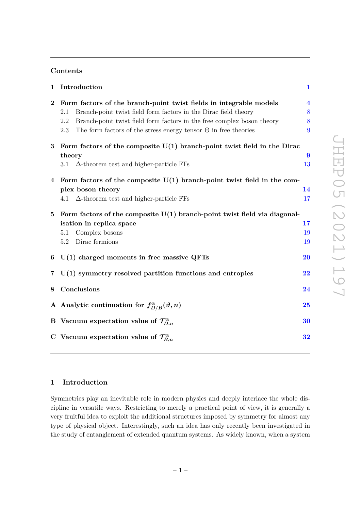# **Contents**

| 1        | Introduction                                                                                                                                                                                                                                                                                                       | $\mathbf{1}$                           |
|----------|--------------------------------------------------------------------------------------------------------------------------------------------------------------------------------------------------------------------------------------------------------------------------------------------------------------------|----------------------------------------|
| $\bf{2}$ | Form factors of the branch-point twist fields in integrable models<br>Branch-point twist field form factors in the Dirac field theory<br>$2.1\,$<br>Branch-point twist field form factors in the free complex boson theory<br>2.2<br>2.3<br>The form factors of the stress energy tensor $\Theta$ in free theories | $\overline{\mathbf{4}}$<br>8<br>8<br>9 |
| 3        | Form factors of the composite $U(1)$ branch-point twist field in the Dirac<br>theory<br>3.1<br>$\Delta$ -theorem test and higher-particle FFs                                                                                                                                                                      | 9<br>13                                |
| 4        | Form factors of the composite $U(1)$ branch-point twist field in the com-<br>plex boson theory<br>4.1 $\Delta$ -theorem test and higher-particle FFs                                                                                                                                                               | 14<br>17                               |
| $\bf{5}$ | Form factors of the composite $U(1)$ branch-point twist field via diagonal-<br>isation in replica space<br>Complex bosons<br>5.1<br>Dirac fermions<br>5.2                                                                                                                                                          | 17<br>19<br>19                         |
| 6        | $U(1)$ charged moments in free massive QFTs                                                                                                                                                                                                                                                                        | <b>20</b>                              |
| 7        | $U(1)$ symmetry resolved partition functions and entropies                                                                                                                                                                                                                                                         | 22                                     |
| 8        | Conclusions                                                                                                                                                                                                                                                                                                        | 24                                     |
|          | A Analytic continuation for $f_{D/B}^{\alpha}(\vartheta, n)$                                                                                                                                                                                                                                                       | 25                                     |
|          | B Vacuum expectation value of $\mathcal{T}_{D,n}^{\alpha}$                                                                                                                                                                                                                                                         | 30                                     |
|          | C Vacuum expectation value of $\mathcal{T}_{B,n}^{\alpha}$                                                                                                                                                                                                                                                         | 32                                     |
|          |                                                                                                                                                                                                                                                                                                                    |                                        |

# JHEP05 (2021)197 JHEP05(2021)197

# <span id="page-1-0"></span>**1 Introduction**

Symmetries play an inevitable role in modern physics and deeply interlace the whole discipline in versatile ways. Restricting to merely a practical point of view, it is generally a very fruitful idea to exploit the additional structures imposed by symmetry for almost any type of physical object. Interestingly, such an idea has only recently been investigated in the study of entanglement of extended quantum systems. As widely known, when a system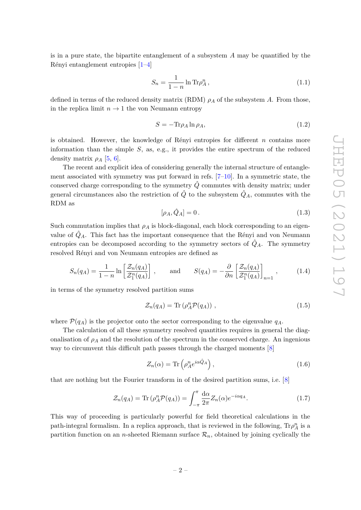is in a pure state, the bipartite entanglement of a subsystem *A* may be quantified by the Rényi entanglement entropies [\[1–](#page-34-0)[4\]](#page-34-1)

$$
S_n = \frac{1}{1-n} \ln \text{Tr} \rho_A^n, \qquad (1.1)
$$

defined in terms of the reduced density matrix (RDM)  $\rho_A$  of the subsystem *A*. From those, in the replica limit  $n \to 1$  the von Neumann entropy

$$
S = -\text{Tr}\rho_A \ln \rho_A,\tag{1.2}
$$

is obtained. However, the knowledge of Rényi entropies for different *n* contains more information than the simple *S*, as, e.g., it provides the entire spectrum of the reduced density matrix  $\rho_A$  [\[5,](#page-34-2) [6\]](#page-34-3).

The recent and explicit idea of considering generally the internal structure of entanglement associated with symmetry was put forward in refs.  $[7-10]$  $[7-10]$ . In a symmetric state, the conserved charge corresponding to the symmetry  $\hat{Q}$  commutes with density matrix; under general circumstances also the restriction of  $\hat{Q}$  to the subsystem  $\hat{Q}_A$ , commutes with the RDM as

$$
[\rho_A, \hat{Q}_A] = 0. \tag{1.3}
$$

Such commutation implies that  $\rho_A$  is block-diagonal, each block corresponding to an eigenvalue of  $\hat{Q}_A$ . This fact has the important consequence that the Rényi and von Neumann entropies can be decomposed according to the symmetry sectors of  $\hat{Q}_A$ . The symmetry resolved Rényi and von Neumann entropies are defined as

$$
S_n(q_A) = \frac{1}{1-n} \ln \left[ \frac{\mathcal{Z}_n(q_A)}{\mathcal{Z}_1^n(q_A)} \right], \quad \text{and} \quad S(q_A) = -\frac{\partial}{\partial n} \left[ \frac{\mathcal{Z}_n(q_A)}{\mathcal{Z}_1^n(q_A)} \right]_{n=1}, \quad (1.4)
$$

in terms of the symmetry resolved partition sums

$$
\mathcal{Z}_n(q_A) = \text{Tr}\left(\rho_A^n \mathcal{P}(q_A)\right) \,,\tag{1.5}
$$

where  $\mathcal{P}(q_A)$  is the projector onto the sector corresponding to the eigenvalue  $q_A$ .

The calculation of all these symmetry resolved quantities requires in general the diagonalisation of  $\rho_A$  and the resolution of the spectrum in the conserved charge. An ingenious way to circumvent this difficult path passes through the charged moments [\[8\]](#page-34-6)

<span id="page-2-0"></span>
$$
Z_n(\alpha) = \text{Tr}\left(\rho_A^n e^{i\alpha \hat{Q}_A}\right),\tag{1.6}
$$

that are nothing but the Fourier transform in of the desired partition sums, i.e. [\[8\]](#page-34-6)

<span id="page-2-1"></span>
$$
\mathcal{Z}_n(q_A) = \text{Tr}\left(\rho_A^n \mathcal{P}(q_A)\right) = \int_{-\pi}^{\pi} \frac{d\alpha}{2\pi} Z_n(\alpha) e^{-i\alpha q_A}.\tag{1.7}
$$

This way of proceeding is particularly powerful for field theoretical calculations in the path-integral formalism. In a replica approach, that is reviewed in the following,  $\text{Tr}\rho_A^n$  is a partition function on an *n*-sheeted Riemann surface  $\mathcal{R}_n$ , obtained by joining cyclically the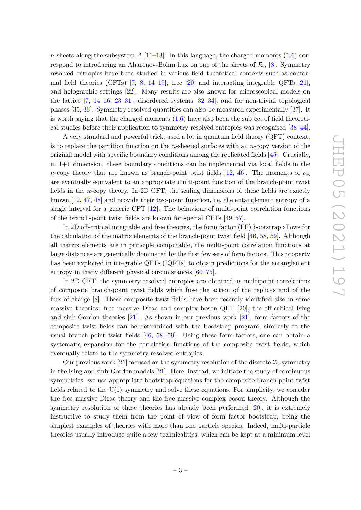*n* sheets along the subsystem  $A$  [\[11–](#page-34-7)[13\]](#page-34-8). In this language, the charged moments [\(1.6\)](#page-2-0) correspond to introducing an Aharonov-Bohm flux on one of the sheets of  $\mathcal{R}_n$  [\[8\]](#page-34-6). Symmetry resolved entropies have been studied in various field theoretical contexts such as conformal field theories (CFTs) [\[7,](#page-34-4) [8,](#page-34-6) [14–](#page-34-9)[19\]](#page-35-0), free [\[20\]](#page-35-1) and interacting integrable QFTs [\[21\]](#page-35-2), and holographic settings [\[22\]](#page-35-3). Many results are also known for microscopical models on the lattice [\[7,](#page-34-4) [14–](#page-34-9)[16,](#page-34-10) [23–](#page-35-4)[31\]](#page-35-5), disordered systems [\[32](#page-35-6)[–34\]](#page-35-7), and for non-trivial topological phases [\[35,](#page-36-0) [36\]](#page-36-1). Symmetry resolved quantities can also be measured experimentally [\[37\]](#page-36-2). It is worth saying that the charged moments  $(1.6)$  have also been the subject of field theoretical studies before their application to symmetry resolved entropies was recognised [\[38–](#page-36-3)[44\]](#page-36-4).

A very standard and powerful trick, used a lot in quantum field theory (QFT) context, is to replace the partition function on the *n*-sheeted surfaces with an *n*-copy version of the original model with specific boundary conditions among the replicated fields [\[45\]](#page-36-5). Crucially, in 1+1 dimension, these boundary conditions can be implemented via local fields in the *n*-copy theory that are known as branch-point twist fields [\[12,](#page-34-11) [46\]](#page-36-6). The moments of  $\rho_A$ are eventually equivalent to an appropriate multi-point function of the branch-point twist fields in the *n*-copy theory. In 2D CFT, the scaling dimensions of these fields are exactly known [\[12,](#page-34-11) [47,](#page-36-7) [48\]](#page-36-8) and provide their two-point function, i.e. the entanglement entropy of a single interval for a generic CFT [\[12\]](#page-34-11). The behaviour of multi-point correlation functions of the branch-point twist fields are known for special CFTs [\[49](#page-36-9)[–57\]](#page-37-0).

In 2D off-critical integrable and free theories, the form factor (FF) bootstrap allows for the calculation of the matrix elements of the branch-point twist field [\[46,](#page-36-6) [58,](#page-37-1) [59\]](#page-37-2). Although all matrix elements are in principle computable, the multi-point correlation functions at large distances are generically dominated by the first few sets of form factors. This property has been exploited in integrable QFTs (IQFTs) to obtain predictions for the entanglement entropy in many different physical circumstances  $[60-75]$  $[60-75]$ .

In 2D CFT, the symmetry resolved entropies are obtained as multipoint correlations of composite branch-point twist fields which fuse the action of the replicas and of the flux of charge [\[8\]](#page-34-6). These composite twist fields have been recently identified also in some massive theories: free massive Dirac and complex boson QFT [\[20\]](#page-35-1), the off-critical Ising and sinh-Gordon theories [\[21\]](#page-35-2). As shown in our previous work [\[21\]](#page-35-2), form factors of the composite twist fields can be determined with the bootstrap program, similarly to the usual branch-point twist fields  $[46, 58, 59]$  $[46, 58, 59]$  $[46, 58, 59]$  $[46, 58, 59]$  $[46, 58, 59]$ . Using these form factors, one can obtain a systematic expansion for the correlation functions of the composite twist fields, which eventually relate to the symmetry resolved entropies.

Our previous work [\[21\]](#page-35-2) focused on the symmetry resolution of the discrete  $\mathbb{Z}_2$  symmetry in the Ising and sinh-Gordon models [\[21\]](#page-35-2). Here, instead, we initiate the study of continuous symmetries: we use appropriate bootstrap equations for the composite branch-point twist fields related to the  $U(1)$  symmetry and solve these equations. For simplicity, we consider the free massive Dirac theory and the free massive complex boson theory. Although the symmetry resolution of these theories has already been performed [\[20\]](#page-35-1), it is extremely instructive to study them from the point of view of form factor bootstrap, being the simplest examples of theories with more than one particle species. Indeed, multi-particle theories usually introduce quite a few technicalities, which can be kept at a minimum level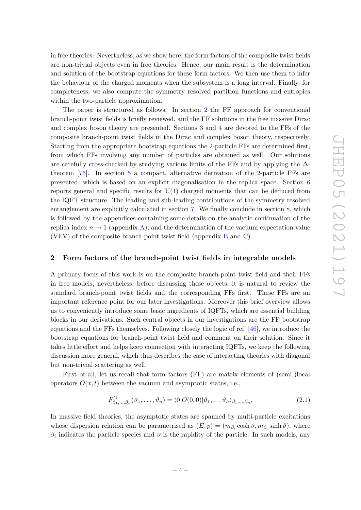in free theories. Nevertheless, as we show here, the form factors of the composite twist fields are non-trivial objects even in free theories. Hence, our main result is the determination and solution of the bootstrap equations for these form factors. We then use them to infer the behaviour of the charged moments when the subsystem is a long interval. Finally, for completeness, we also compute the symmetry resolved partition functions and entropies within the two-particle approximation.

The paper is structured as follows. In section [2](#page-4-0) the FF approach for conventional branch-point twist fields is briefly reviewed, and the FF solutions in the free massive Dirac and complex boson theory are presented. Sections [3](#page-9-1) and [4](#page-14-0) are devoted to the FFs of the composite branch-point twist fields in the Dirac and complex boson theory, respectively. Starting from the appropriate bootstrap equations the 2-particle FFs are determined first, from which FFs involving any number of particles are obtained as well. Our solutions are carefully cross-checked by studying various limits of the FFs and by applying the  $\Delta$ theorem [\[76\]](#page-38-1). In section [5](#page-17-1) a compact, alternative derivation of the 2-particle FFs are presented, which is based on an explicit diagonalisation in the replica space. Section [6](#page-20-0) reports general and specific results for  $U(1)$  charged moments that can be deduced from the IQFT structure. The leading and sub-leading contributions of the symmetry resolved entanglement are explicitly calculated in section [7.](#page-22-0) We finally conclude in section [8,](#page-24-0) which is followed by the appendices containing some details on the analytic continuation of the replica index  $n \to 1$  (appendix [A\)](#page-25-0), and the determination of the vacuum expectation value (VEV) of the composite branch-point twist field (appendix [B](#page-30-0) and [C\)](#page-32-0).

# <span id="page-4-0"></span>**2 Form factors of the branch-point twist fields in integrable models**

A primary focus of this work is on the composite branch-point twist field and their FFs in free models, nevertheless, before discussing these objects, it is natural to review the standard branch-point twist fields and the corresponding FFs first. These FFs are an important reference point for our later investigations. Moreover this brief overview allows us to conveniently introduce some basic ingredients of IQFTs, which are essential building blocks in our derivations. Such central objects in our investigations are the FF bootstrap equations and the FFs themselves. Following closely the logic of ref. [\[46\]](#page-36-6), we introduce the bootstrap equations for branch-point twist field and comment on their solution. Since it takes little effort and helps keep connection with interacting IQFTs, we keep the following discussion more general, which thus describes the case of interacting theories with diagonal but non-trivial scattering as well.

First of all, let us recall that form factors (FF) are matrix elements of (semi-)local operators  $O(x, t)$  between the vacuum and asymptotic states, i.e.,

$$
F^O_{\beta_1,\dots,\beta_n}(\vartheta_1,\dots,\vartheta_n) = \langle 0|O(0,0)|\vartheta_1,\dots,\vartheta_n\rangle_{\beta_1,\dots,\beta_n}.\tag{2.1}
$$

In massive field theories, the asymptotic states are spanned by multi-particle excitations whose dispersion relation can be parametrised as  $(E, p) = (m_{\beta_i} \cosh \vartheta, m_{\beta_i} \sinh \vartheta)$ , where  $\beta_i$  indicates the particle species and  $\vartheta$  is the rapidity of the particle. In such models, any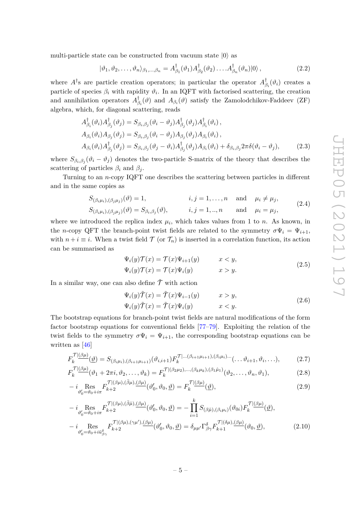multi-particle state can be constructed from vacuum state  $|0\rangle$  as

$$
|\vartheta_1, \vartheta_2, \dots, \vartheta_n \rangle_{\beta_1, \dots, \beta_n} = A^{\dagger}_{\beta_1}(\vartheta_1) A^{\dagger}_{\beta_2}(\vartheta_2) \dots A^{\dagger}_{\beta_n}(\vartheta_n) |0\rangle, \qquad (2.2)
$$

where  $A^{\dagger}$ s are particle creation operators; in particular the operator  $A^{\dagger}_{\beta}$ *βi* (*ϑi*) creates a particle of species  $\beta_i$  with rapidity  $\vartheta_i$ . In an IQFT with factorised scattering, the creation and annihilation operators *A* †  $\phi_{\beta_i}^{\dagger}(\vartheta)$  and  $A_{\beta_i}(\vartheta)$  satisfy the Zamolodchikov-Faddeev (ZF) algebra, which, for diagonal scattering, reads

$$
A_{\beta_i}^{\dagger}(\vartheta_i) A_{\beta_j}^{\dagger}(\vartheta_j) = S_{\beta_i, \beta_j}(\vartheta_i - \vartheta_j) A_{\beta_j}^{\dagger}(\vartheta_j) A_{\beta_i}^{\dagger}(\vartheta_i),
$$
  
\n
$$
A_{\beta_i}(\vartheta_i) A_{\beta_j}(\vartheta_j) = S_{\beta_i, \beta_j}(\vartheta_i - \vartheta_j) A_{\beta_j}(\vartheta_j) A_{\beta_i}(\vartheta_i),
$$
  
\n
$$
A_{\beta_i}(\vartheta_i) A_{\beta_j}^{\dagger}(\vartheta_j) = S_{\beta_i, \beta_j}(\vartheta_j - \vartheta_i) A_{\beta_j}^{\dagger}(\vartheta_j) A_{\beta_i}(\vartheta_i) + \delta_{\beta_i, \beta_j} 2\pi \delta(\vartheta_i - \vartheta_j),
$$
\n(2.3)

where  $S_{\beta_i,\beta_j}(\vartheta_i-\vartheta_j)$  denotes the two-particle S-matrix of the theory that describes the scattering of particles  $\beta_i$  and  $\beta_j$ .

Turning to an *n*-copy IQFT one describes the scattering between particles in different and in the same copies as

$$
S_{(\beta_i\mu_i),(\beta_j\mu_j)}(\vartheta) = 1, \qquad i, j = 1, ..., n \text{ and } \mu_i \neq \mu_j,
$$
  
\n
$$
S_{(\beta_i\mu_i),(\beta_j\mu_j)}(\vartheta) = S_{\beta_i,\beta_j}(\vartheta), \qquad i, j = 1, ..., n \text{ and } \mu_i = \mu_j,
$$
\n(2.4)

where we introduced the replica index  $\mu_i$ , which takes values from 1 to *n*. As known, in the *n*-copy QFT the branch-point twist fields are related to the symmetry  $\sigma \Psi_i = \Psi_{i+1}$ , with  $n + i \equiv i$ . When a twist field  $\mathcal T$  (or  $\mathcal T_n$ ) is inserted in a correlation function, its action can be summarised as

$$
\Psi_i(y)\mathcal{T}(x) = \mathcal{T}(x)\Psi_{i+1}(y) \qquad x < y,
$$
  

$$
\Psi_i(y)\mathcal{T}(x) = \mathcal{T}(x)\Psi_i(y) \qquad x > y.
$$
\n(2.5)

In a similar way, one can also define  $\tilde{\mathcal{T}}$  with action

<span id="page-5-3"></span><span id="page-5-2"></span><span id="page-5-1"></span><span id="page-5-0"></span>
$$
\Psi_i(y)\tilde{\mathcal{T}}(x) = \tilde{\mathcal{T}}(x)\Psi_{i-1}(y) \qquad x > y,
$$
  

$$
\Psi_i(y)\tilde{\mathcal{T}}(x) = \tilde{\mathcal{T}}(x)\Psi_i(y) \qquad x < y.
$$
\n(2.6)

The bootstrap equations for branch-point twist fields are natural modifications of the form factor bootstrap equations for conventional fields [\[77–](#page-38-2)[79\]](#page-38-3). Exploiting the relation of the twist fields to the symmetry  $\sigma \Psi_i = \Psi_{i+1}$ , the corresponding bootstrap equations can be written as [\[46\]](#page-36-6)

$$
F_k^{\mathcal{T}[(\beta\mu)]}(\underline{\vartheta}) = S_{(\beta_i\mu_i),(\beta_{i+1}\mu_{i+1})}(\vartheta_{i,i+1}) F_k^{\mathcal{T}[\dots(\beta_{i+1}\mu_{i+1}),(\beta_i\mu_i)\dots}(\dots\vartheta_{i+1},\vartheta_i,\dots),\tag{2.7}
$$

$$
F_k^{\mathcal{T}[(\beta\mu)]}(\vartheta_1 + 2\pi i, \vartheta_2, \dots, \vartheta_k) = F_k^{\mathcal{T}[(\beta_2\mu_2), \dots, (\beta_k\mu_k), (\beta_1\hat{\mu}_1)]}(\vartheta_2, \dots, \vartheta_n, \vartheta_1),
$$
(2.8)

$$
-i\underset{\vartheta_0'=\vartheta_0+i\pi}{\operatorname{Res}}F_{k+2}^{\mathcal{T}[(\beta\mu),(\bar{\beta}\mu),(\beta\mu)]}(\vartheta_0',\vartheta_0,\underline{\vartheta})=F_k^{\mathcal{T}[(\beta\mu)]}(\underline{\vartheta}),\tag{2.9}
$$

$$
-i\underset{\vartheta_{0}'=\vartheta_{0}+i\pi}{\text{Res}}F_{k+2}^{\mathcal{T}[(\beta\mu),(\bar{\beta}\hat{\mu}),(\beta\mu)}(\vartheta_{0}',\vartheta_{0},\underline{\vartheta})=-\prod_{i=1}^{k}S_{(\beta\hat{\mu}),(\beta_{i}\mu_{i})}(\vartheta_{0i})F_{k}^{\mathcal{T}[(\beta\mu)}(\underline{\vartheta}),
$$

$$
-i\underset{\vartheta_{0}'=\vartheta_{0}+i\bar{u}_{\beta\gamma}}{\text{Res}}F_{k+2}^{\mathcal{T}[(\beta\mu),(\gamma\mu'),(\beta\mu)}(\vartheta_{0}',\vartheta_{0},\underline{\vartheta})=\delta_{\mu\mu'}\Gamma_{\beta\gamma}^{\delta}F_{k+1}^{\mathcal{T}[(\delta\mu),(\beta\mu)}(\vartheta_{0},\underline{\vartheta}),
$$
(2.10)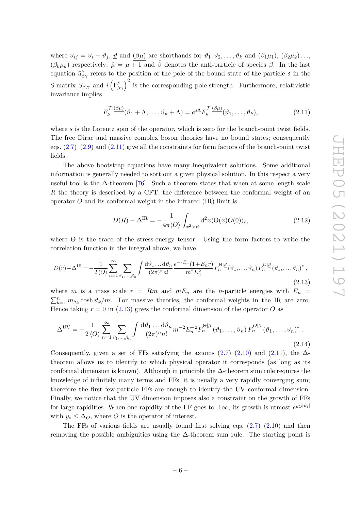where  $\vartheta_{ij} = \vartheta_i - \vartheta_j$ ,  $\underline{\vartheta}$  and  $(\beta\mu)$  are shorthands for  $\vartheta_1, \vartheta_2, \ldots, \vartheta_k$  and  $(\beta_1\mu_1), (\beta_2\mu_2) \ldots$  $(\beta_k \mu_k)$  respectively;  $\hat{\mu} = \mu + 1$  and  $\bar{\beta}$  denotes the anti-particle of species  $\beta$ . In the last equation  $\bar{u}^{\delta}_{\beta\gamma}$  refers to the position of the pole of the bound state of the particle  $\delta$  in the S-matrix  $S_{\beta,\gamma}$  and  $i\left(\Gamma_{\beta\gamma}^{\delta}\right)^2$  is the corresponding pole-strength. Furthermore, relativistic invariance implies

<span id="page-6-0"></span>
$$
F_k^{\mathcal{T}|\underline{(\beta\mu)}}(\vartheta_1 + \Lambda, \dots, \vartheta_k + \Lambda) = e^{s\Lambda} F_k^{\mathcal{T}|\underline{(\beta\mu)}}(\vartheta_1, \dots, \vartheta_k), \tag{2.11}
$$

where *s* is the Lorentz spin of the operator, which is zero for the branch-point twist fields. The free Dirac and massive complex boson theories have no bound states; consequently eqs.  $(2.7)$ – $(2.9)$  and  $(2.11)$  give all the constraints for form factors of the branch-point twist fields.

The above bootstrap equations have many inequivalent solutions. Some additional information is generally needed to sort out a given physical solution. In this respect a very useful tool is the  $\Delta$ -theorem [\[76\]](#page-38-1). Such a theorem states that when at some length scale *R* the theory is described by a CFT, the difference between the conformal weight of an operator  $O$  and its conformal weight in the infrared  $(IR)$  limit is

$$
D(R) - \Delta^{\text{IR}} = -\frac{1}{4\pi \langle O \rangle} \int_{x^2 > R} d^2x \langle \Theta(x) O(0) \rangle_c, \qquad (2.12)
$$

where  $\Theta$  is the trace of the stress-energy tensor. Using the form factors to write the correlation function in the integral above, we have

<span id="page-6-1"></span>
$$
D(r) - \Delta^{\text{IR}} = -\frac{1}{2\langle O \rangle} \sum_{n=1}^{\infty} \sum_{\beta_1, \dots, \beta_n} \int \frac{\mathrm{d}\vartheta_1 \dots \mathrm{d}\vartheta_n}{(2\pi)^n n!} \frac{e^{-rE_n}(1 + E_n r)}{m^2 E_n^2} F_n^{\Theta|\beta}(\vartheta_1, \dots, \vartheta_n) F_n^{O|\beta}(\vartheta_1, \dots, \vartheta_n)^*,
$$
\n(2.13)

where *m* is a mass scale  $r = Rm$  and  $mE_n$  are the *n*-particle energies with  $E_n =$  $\sum_{k=1}^{n} m_{\beta_k} \cosh \vartheta_k / m$ . For massive theories, the conformal weights in the IR are zero. Hence taking  $r = 0$  in [\(2.13\)](#page-6-1) gives the conformal dimension of the operator O as

<span id="page-6-2"></span>
$$
\Delta^{\text{UV}} = -\frac{1}{2 \langle O \rangle} \sum_{n=1}^{\infty} \sum_{\beta_1, \dots, \beta_n} \int \frac{d\vartheta_1 \dots d\vartheta_n}{(2\pi)^n n!} m^{-2} E_n^{-2} F_n^{\Theta|\beta} (\vartheta_1, \dots, \vartheta_n) F_n^{O|\beta} (\vartheta_1, \dots, \vartheta_n)^* .
$$
\n(2.14)

Consequently, given a set of FFs satisfying the axioms  $(2.7)$ – $(2.10)$  and  $(2.11)$ , the  $\Delta$ theorem allows us to identify to which physical operator it corresponds (as long as its conformal dimension is known). Although in principle the  $\Delta$ -theorem sum rule requires the knowledge of infinitely many terms and FFs, it is usually a very rapidly converging sum; therefore the first few-particle FFs are enough to identify the UV conformal dimension. Finally, we notice that the UV dimension imposes also a constraint on the growth of FFs for large rapidities. When one rapidity of the FF goes to  $\pm \infty$ , its growth is utmost  $e^{y_O|\vartheta_i|}$ with  $y_o \leq \Delta_O$ , where *O* is the operator of interest.

The FFs of various fields are usually found first solving eqs.  $(2.7)$ – $(2.10)$  and then removing the possible ambiguities using the  $\Delta$ -theorem sum rule. The starting point is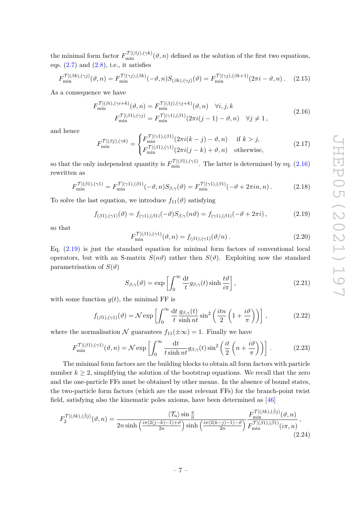the minimal form factor  $F_{\min}^{\mathcal{T}|(\beta j), (\gamma k)}(\vartheta, n)$  defined as the solution of the first two equations, eqs.  $(2.7)$  and  $(2.8)$ , i.e., it satisfies

$$
F_{\min}^{\mathcal{T}|(\beta k), (\gamma j)}(\vartheta, n) = F_{\min}^{\mathcal{T}|(\gamma j), (\beta k)}(-\vartheta, n) S_{(\beta k), (\gamma j)}(\vartheta) = F_{\min}^{\mathcal{T}|(\gamma j), (\beta k + 1)}(2\pi i - \vartheta, n). \tag{2.15}
$$

As a consequence we have

$$
F_{\min}^{\mathcal{T}|(\beta i), (\gamma i+k)}(\vartheta, n) = F_{\min}^{\mathcal{T}|(\beta j), (\gamma j+k)}(\vartheta, n) \quad \forall i, j, k
$$
  
\n
$$
F_{\min}^{\mathcal{T}|(\beta 1), (\gamma j)} = F_{\min}^{\mathcal{T}|(\gamma 1), (\beta 1)}(2\pi i(j-1) - \vartheta, n) \quad \forall j \neq 1,
$$
\n(2.16)

and hence

<span id="page-7-0"></span>
$$
F_{\min}^{\mathcal{T}|(\beta j),(\gamma k)} = \begin{cases} F_{\min}^{\mathcal{T}|(\gamma 1),(\beta 1)}(2\pi i(k-j) - \vartheta, n) & \text{if } k > j, \\ F_{\min}^{\mathcal{T}|(\beta 1),(\gamma 1)}(2\pi i(j-k) + \vartheta, n) & \text{otherwise,} \end{cases} \tag{2.17}
$$

so that the only independent quantity is  $F_{\min}^{\mathcal{T}((\beta1),(\gamma1))}$ . The latter is determined by eq. [\(2.16\)](#page-7-0) rewritten as

$$
F_{\min}^{\mathcal{T}|(\beta 1),(\gamma 1)} = F_{\min}^{\mathcal{T}|(\gamma 1),(\beta 1)}(-\vartheta, n) S_{\beta,\gamma}(\vartheta) = F_{\min}^{\mathcal{T}|(\gamma 1),(\beta 1)}(-\vartheta + 2\pi i n, n).
$$
 (2.18)

To solve the last equation, we introduce  $f_{11}(\vartheta)$  satisfying

<span id="page-7-1"></span>
$$
f_{(\beta 1),(\gamma 1)}(\vartheta) = f_{(\gamma 1),(\beta 1)}(-\vartheta)S_{\beta,\gamma}(n\vartheta) = f_{(\gamma 1),(\beta 1)}(-\vartheta + 2\pi i), \qquad (2.19)
$$

so that

$$
F_{\min}^{\mathcal{T}[(\beta 1),(\gamma 1)}(\vartheta, n) = f_{(\beta 1),(\gamma 1)}(\vartheta/n).
$$
 (2.20)

Eq. [\(2.19\)](#page-7-1) is just the standard equation for minimal form factors of conventional local operators, but with an S-matrix  $S(n\theta)$  rather then  $S(\theta)$ . Exploiting now the standard parametrisation of  $S(\vartheta)$ 

$$
S_{\beta,\gamma}(\vartheta) = \exp\left[\int_0^\infty \frac{\mathrm{d}t}{t} g_{\beta,\gamma}(t) \sinh\frac{t\vartheta}{i\pi}\right],\tag{2.21}
$$

with some function  $g(t)$ , the minimal FF is

$$
f_{(\beta 1),(\gamma 1)}(\vartheta) = \mathcal{N} \exp\left[\int_0^\infty \frac{\mathrm{d}t}{t} \frac{g_{\beta,\gamma}(t)}{\sinh nt} \sin^2\left(\frac{itn}{2}\left(1 + \frac{i\vartheta}{\pi}\right)\right)\right],\tag{2.22}
$$

where the normalisation  $\mathcal N$  guarantees  $f_{11}(\pm \infty) = 1$ . Finally we have

$$
F_{\min}^{\mathcal{T}|(\beta1),(\gamma1)}(\vartheta,n) = \mathcal{N} \exp\left[\int_0^\infty \frac{\mathrm{d}t}{t \sinh nt} g_{\beta,\gamma}(t) \sin^2\left(\frac{it}{2}\left(n + \frac{i\vartheta}{\pi}\right)\right)\right].\tag{2.23}
$$

The minimal form factors are the building blocks to obtain all form factors with particle number  $k \geq 2$ , simplifying the solution of the bootstrap equations. We recall that the zero and the one-particle FFs must be obtained by other means. In the absence of bound states, the two-particle form factors (which are the most relevant FFs) for the branch-point twist field, satisfying also the kinematic poles axioms, have been determined as [\[46\]](#page-36-6)

$$
F_2^{\mathcal{T}|(\beta k),(\bar{\beta}j)}(\vartheta,n) = \frac{\langle \mathcal{T}_n \rangle \sin \frac{\pi}{n}}{2n \sinh\left(\frac{i\pi (2(j-k)-1)+\vartheta}{2n}\right) \sinh\left(\frac{i\pi (2(k-j)-1)-\vartheta}{2n}\right)} \frac{F_{\min}^{\mathcal{T}|(\beta k),(\bar{\beta}j)}(\vartheta,n)}{F_{\min}^{\mathcal{T}|(\beta 1),(\bar{\beta}1)}(i\pi,n)},\tag{2.24}
$$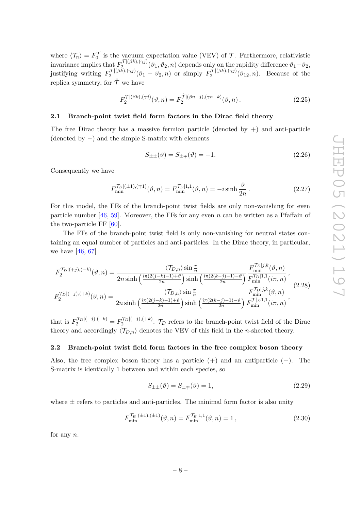where  $\langle \mathcal{T}_n \rangle = F_0^{\mathcal{T}}$  is the vacuum expectation value (VEV) of  $\mathcal{T}$ . Furthermore, relativistic invariance implies that  $F_2^{\mathcal{T}\mid (\beta k), (\gamma j)}$  $\mathcal{L}^{(1)(\beta k), (\gamma j)}(\vartheta_1, \vartheta_2, n)$  depends only on the rapidity difference  $\vartheta_1 - \vartheta_2$ , justifying writing  $F_2^{\mathcal{T}\mid (\beta \bar{k}), (\gamma j)}$  $\sum_{2}^{T\mid(\beta k),(\gamma j)}(\vartheta_{1}-\vartheta_{2},n)$  or simply  $F_{2}^{\mathcal{T}\mid(\beta k),(\gamma j)}$  $2^{1/(\beta\kappa),(\gamma\jmath)}(\vartheta_{12},n)$ . Because of the replica symmetry, for  $\hat{\mathcal{T}}$  we have

$$
F_2^{\mathcal{T}\left(\beta k\right),(\gamma j)}(\vartheta,n) = F_2^{\hat{\mathcal{T}}\left(\beta n-j\right),(\gamma n-k)}(\vartheta,n) \,. \tag{2.25}
$$

# <span id="page-8-0"></span>**2.1 Branch-point twist field form factors in the Dirac field theory**

The free Dirac theory has a massive fermion particle (denoted by  $+$ ) and anti-particle (denoted by −) and the simple S-matrix with elements

$$
S_{\pm\pm}(\vartheta) = S_{\pm\mp}(\vartheta) = -1.
$$
\n(2.26)

Consequently we have

$$
F_{\min}^{\mathcal{T}_D|(\pm 1),(\mp 1)}(\vartheta, n) = F_{\min}^{\mathcal{T}_D|1,1}(\vartheta, n) = -i \sinh \frac{\vartheta}{2n}.
$$
 (2.27)

For this model, the FFs of the branch-point twist fields are only non-vanishing for even particle number [\[46,](#page-36-6) [59\]](#page-37-2). Moreover, the FFs for any even *n* can be written as a Pfaffain of the two-particle FF [\[60\]](#page-37-3).

The FFs of the branch-point twist field is only non-vanishing for neutral states containing an equal number of particles and anti-particles. In the Dirac theory, in particular, we have  $[46, 67]$  $[46, 67]$  $[46, 67]$ 

<span id="page-8-2"></span>
$$
F_2^{\mathcal{T}_D|(+j),(-k)}(\vartheta,n) = \frac{\langle \mathcal{T}_{D,n} \rangle \sin \frac{\pi}{n}}{2n \sinh\left(\frac{i\pi (2(j-k)-1)+\vartheta}{2n}\right) \sinh\left(\frac{i\pi (2(k-j)-1)-\vartheta}{2n}\right)} \frac{F_{\min}^{\mathcal{T}_D|j,k}(\vartheta,n)}{F_{\min}^{\mathcal{T}_D|1,1}(i\pi,n)},
$$
  

$$
F_2^{\mathcal{T}_D|(-j),(+k)}(\vartheta,n) = \frac{\langle \mathcal{T}_{D,n} \rangle \sin \frac{\pi}{n}}{2n \sinh\left(\frac{i\pi (2(j-k)-1)+\vartheta}{2n}\right) \sinh\left(\frac{i\pi (2(k-j)-1)-\vartheta}{2n}\right)} \frac{F_{\min}^{\mathcal{T}_D|j,k}(\vartheta,n)}{F_{\min}^{\mathcal{T}_D|1,1}(i\pi,n)},
$$
(2.28)

that is  $F_2^{\mathcal{T}_D\vert (+j),(-k)} = F_2^{\mathcal{T}_D\vert (-j),(+k)}$ .  $\mathcal{T}_D$  refers to the branch-point twist field of the Dirac theory and accordingly  $\langle \mathcal{T}_{D,n} \rangle$  denotes the VEV of this field in the *n*-sheeted theory.

# <span id="page-8-1"></span>**2.2 Branch-point twist field form factors in the free complex boson theory**

Also, the free complex boson theory has a particle  $(+)$  and an antiparticle  $(-)$ . The S-matrix is identically 1 between and within each species, so

$$
S_{\pm\pm}(\vartheta) = S_{\pm\mp}(\vartheta) = 1,\tag{2.29}
$$

where  $\pm$  refers to particles and anti-particles. The minimal form factor is also unity

$$
F_{\min}^{\mathcal{T}_B[(\pm 1),(\pm 1)}(\vartheta, n) = F_{\min}^{\mathcal{T}_B[1,1]}(\vartheta, n) = 1, \qquad (2.30)
$$

for any *n*.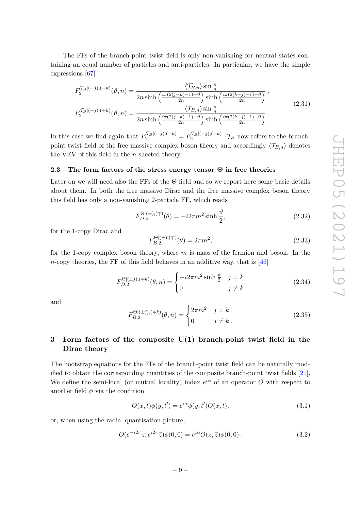The FFs of the branch-point twist field is only non-vanishing for neutral states containing an equal number of particles and anti-particles. In particular, we have the simple expressions [\[67\]](#page-37-4)

$$
F_2^{\mathcal{T}_B|(+j),(-k)}(\vartheta,n) = \frac{\langle \mathcal{T}_{B,n} \rangle \sin \frac{\pi}{n}}{2n \sinh\left(\frac{i\pi (2(j-k)-1)+\vartheta}{2n}\right) \sinh\left(\frac{i\pi (2(k-j)-1)-\vartheta}{2n}\right)},
$$
  

$$
F_2^{\mathcal{T}_B|(-j),(+k)}(\vartheta,n) = \frac{\langle \mathcal{T}_{B,n} \rangle \sin \frac{\pi}{n}}{2n \sinh\left(\frac{i\pi (2(j-k)-1)+\vartheta}{2n}\right) \sinh\left(\frac{i\pi (2(k-j)-1)-\vartheta}{2n}\right)}.
$$
 (2.31)

In this case we find again that  $F_2^{\mathcal{T}_B|(+j),(-k)} = F_2^{\mathcal{T}_B|(-j),(+k)}$ .  $\mathcal{T}_B$  now refers to the branchpoint twist field of the free massive complex boson theory and accordingly  $\langle \mathcal{T}_{B,n} \rangle$  denotes the VEV of this field in the *n*-sheeted theory.

# <span id="page-9-0"></span>**2.3 The form factors of the stress energy tensor Θ in free theories**

Later on we will need also the FFs of the  $\Theta$  field and so we report here some basic details about them. In both the free massive Dirac and the free massive complex boson theory this field has only a non-vanishing 2-particle FF, which reads

$$
F_{D,2}^{\Theta|(\pm),(\mp)}(\theta) = -i2\pi m^2 \sinh\frac{\vartheta}{2},\tag{2.32}
$$

for the 1-copy Dirac and

$$
F_{B,2}^{\Theta((\pm),(\mp)}(\theta) = 2\pi m^2, \tag{2.33}
$$

for the 1-copy complex boson theory, where *m* is mass of the fermion and boson. In the *n*-copy theories, the FF of this field behaves in an additive way, that is [\[46\]](#page-36-6)

$$
F_{D,2}^{\Theta|(\pm j),(\mp k)}(\theta,n) = \begin{cases} -i2\pi m^2 \sinh\frac{\vartheta}{2} & j=k\\ 0 & j \neq k \end{cases}
$$
 (2.34)

and

$$
F_{B,2}^{\Theta|(\pm j),(\mp k)}(\theta,n) = \begin{cases} 2\pi m^2 & j=k\\ 0 & j \neq k \end{cases}
$$
 (2.35)

# <span id="page-9-1"></span>**3 Form factors of the composite U(1) branch-point twist field in the Dirac theory**

The bootstrap equations for the FFs of the branch-point twist field can be naturally modified to obtain the corresponding quantities of the composite branch-point twist fields [\[21\]](#page-35-2). We define the semi-local (or mutual locality) index  $e^{i\alpha}$  of an operator O with respect to another field  $\phi$  via the condition

$$
O(x,t)\phi(y,t') = e^{i\alpha}\phi(y,t')O(x,t),\tag{3.1}
$$

or, when using the radial quantisation picture,

<span id="page-9-2"></span>
$$
O(e^{-i2\pi}z, e^{i2\pi}\bar{z})\phi(0,0) = e^{i\alpha}O(z,\bar{z})\phi(0,0).
$$
 (3.2)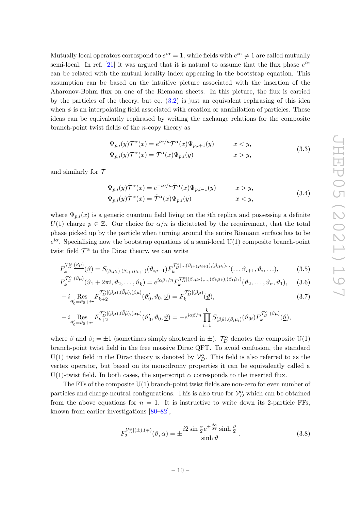Mutually local operators correspond to  $e^{i\alpha} = 1$ , while fields with  $e^{i\alpha} \neq 1$  are called mutually semi-local. In ref. [\[21\]](#page-35-2) it was argued that it is natural to assume that the flux phase  $e^{i\alpha}$ can be related with the mutual locality index appearing in the bootstrap equation. This assumption can be based on the intuitive picture associated with the insertion of the Aharonov-Bohm flux on one of the Riemann sheets. In this picture, the flux is carried by the particles of the theory, but eq. [\(3.2\)](#page-9-2) is just an equivalent rephrasing of this idea when  $\phi$  is an interpolating field associated with creation or annihilation of particles. These ideas can be equivalently rephrased by writing the exchange relations for the composite branch-point twist fields of the *n*-copy theory as

$$
\Psi_{p,i}(y)\mathcal{T}^{\alpha}(x) = e^{i\alpha/n}\mathcal{T}^{\alpha}(x)\Psi_{p,i+1}(y) \qquad x < y,
$$
  
\n
$$
\Psi_{p,i}(y)\mathcal{T}^{\alpha}(x) = \mathcal{T}^{\alpha}(x)\Psi_{p,i}(y) \qquad x > y,
$$
\n(3.3)

and similarly for  $\tilde{\mathcal{T}}$ 

$$
\Psi_{p,i}(y)\tilde{\mathcal{T}}^{\alpha}(x) = e^{-i\alpha/n}\tilde{\mathcal{T}}^{\alpha}(x)\Psi_{p,i-1}(y) \qquad x > y,
$$
\n(2.4)

<span id="page-10-2"></span><span id="page-10-1"></span><span id="page-10-0"></span>
$$
\Psi_{p,i}(y)\tilde{\mathcal{T}}^{\alpha}(x) = \tilde{\mathcal{T}}^{\alpha}(x)\Psi_{p,i}(y) \qquad x < y,
$$
\n(3.4)

where  $\Psi_{p,i}(x)$  is a generic quantum field living on the *i*th replica and possessing a definite  $U(1)$  charge  $p \in \mathbb{Z}$ . Our choice for  $\alpha/n$  is dictateded by the requirement, that the total phase picked up by the particle when turning around the entire Riemann surface has to be  $e^{i\alpha}$ . Specialising now the bootstrap equations of a semi-local U(1) composite branch-point twist field  $\mathcal{T}^{\alpha}$  to the Dirac theory, we can write

$$
F_k^{\mathcal{T}_D^{\alpha}(\mathcal{B}\mu)}(\underline{\vartheta}) = S_{(\beta_i\mu_i),(\beta_{i+1}\mu_{i+1})}(\vartheta_{i,i+1}) F_k^{\mathcal{T}_D^{\alpha}(\dots(\beta_{i+1}\mu_{i+1}),(\beta_i\mu_i)\dots}(\dots\vartheta_{i+1},\vartheta_i,\dots),\tag{3.5}
$$

$$
F_k^{\mathcal{T}_D^{\alpha}(\beta\mu)}(\vartheta_1 + 2\pi i, \vartheta_2, \dots, \vartheta_k) = e^{i\alpha\beta_1/n} F_k^{\mathcal{T}_D^{\alpha}(\beta_2\mu_2), \dots, (\beta_k\mu_k), (\beta_1\hat{\mu}_1)}(\vartheta_2, \dots, \vartheta_n, \vartheta_1), \quad (3.6)
$$

$$
-i \underset{\vartheta'_0 = \vartheta_0 + i\pi}{\text{Res}} F_{k+2}^{\mathcal{T}_{D}^{s}(\beta\mu), (\bar{\beta}\mu), (\beta\mu)}(\vartheta'_0, \vartheta_0, \underline{\vartheta}) = F_{k}^{\mathcal{T}_{D}^{s}(\beta\mu)}(\underline{\vartheta}), \tag{3.7}
$$

$$
-i\underset{\vartheta'_0=\vartheta_0+i\pi}{\operatorname{Res}}F_{k+2}^{\mathcal{T}_{D}^{\alpha}(\beta\mu),(\bar{\beta}\hat{\mu}),(\alpha\mu)}(\vartheta'_0,\vartheta_0,\underline{\vartheta})=-e^{i\alpha\beta/n}\prod_{i=1}^k S_{(\beta\hat{\mu}),(\beta_i\mu_i)}(\vartheta_{0i})F_{k}^{\mathcal{T}_{D}^{\alpha}(\beta\mu)}(\underline{\vartheta}),
$$

where  $\beta$  and  $\beta_i = \pm 1$  (sometimes simply shortened in  $\pm$ ).  $\mathcal{T}_{D}^{\alpha}$  denotes the composite U(1) branch-point twist field in the free massive Dirac QFT. To avoid confusion, the standard U(1) twist field in the Dirac theory is denoted by  $\mathcal{V}_D^{\alpha}$ . This field is also referred to as the vertex operator, but based on its monodromy properties it can be equivalently called a U(1)-twist field. In both cases, the superscript  $\alpha$  corresponds to the inserted flux.

The FFs of the composite  $U(1)$  branch-point twist fields are non-zero for even number of particles and charge-neutral configurations. This is also true for  $\mathcal{V}_D^{\alpha}$  which can be obtained from the above equations for  $n = 1$ . It is instructive to write down its 2-particle FFs, known from earlier investigations [\[80](#page-38-4)[–82\]](#page-38-5),

<span id="page-10-3"></span>
$$
F_2^{\mathcal{V}_D^{\alpha}](\pm),(\mp)}(\vartheta,\alpha) = \pm \frac{i2\sin\frac{\alpha}{2}e^{\pm\frac{\vartheta\alpha}{2\pi}}\sinh\frac{\vartheta}{2}}{\sinh\vartheta}.
$$
 (3.8)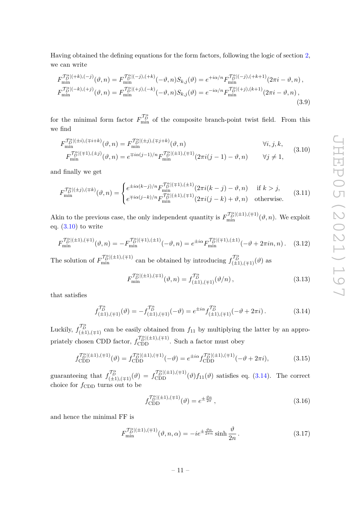Having obtained the defining equations for the form factors, following the logic of section [2,](#page-4-0) we can write

$$
F_{\min}^{\mathcal{T}_{D}^{\alpha}|(+k),(-j)}(\vartheta,n) = F_{\min}^{\mathcal{T}_{D}^{\alpha}|(-j),(+k)}(-\vartheta,n)S_{k,j}(\vartheta) = e^{+i\alpha/n}F_{\min}^{\mathcal{T}_{D}^{\alpha}|(-j),(+k+1)}(2\pi i - \vartheta,n),
$$
  
\n
$$
F_{\min}^{\mathcal{T}_{D}^{\alpha}|(-k),(+j)}(\vartheta,n) = F_{\min}^{\mathcal{T}_{D}^{\alpha}|(+j),(-k)}(-\vartheta,n)S_{k,j}(\vartheta) = e^{-i\alpha/n}F_{\min}^{\mathcal{T}_{D}^{\alpha}|(+j),(k+1)}(2\pi i - \vartheta,n),
$$
\n(3.9)

for the minimal form factor  $F_{\min}^{\mathcal{T}_{\hat{D}}^{\alpha}}$  of the composite branch-point twist field. From this we find

$$
F_{\min}^{\mathcal{T}_{D}^{\alpha}|(\pm i),(\mp i+k)}(\vartheta,n) = F_{\min}^{\mathcal{T}_{D}^{\alpha}|(\pm j),(\mp j+k)}(\vartheta,n)
$$
  
\n
$$
F_{\min}^{\mathcal{T}_{D}^{\alpha}|(\mp 1),(\pm j)}(\vartheta,n) = e^{\mp i\alpha(j-1)/n} F_{\min}^{\mathcal{T}_{D}^{\alpha}|(\pm 1),(\mp 1)}(2\pi i(j-1) - \vartheta,n)
$$
  $\forall j \neq 1,$  (3.10)

and finally we get

<span id="page-11-4"></span>
$$
F_{\min}^{\mathcal{T}_{D}^{\alpha}|(\pm j),(\mp k)}(\vartheta,n) = \begin{cases} e^{\pm i\alpha(k-j)/n} F_{\min}^{\mathcal{T}_{D}^{\alpha}|(\mp 1),(\pm 1)}(2\pi i(k-j) - \vartheta, n) & \text{if } k > j, \\ e^{\mp i\alpha(j-k)/n} F_{\min}^{\mathcal{T}_{D}^{\alpha}|(\pm 1),(\mp 1)}(2\pi i(j-k) + \vartheta, n) & \text{otherwise.} \end{cases}
$$
(3.11)

Akin to the previous case, the only independent quantity is  $F_{\min}^{\mathcal{T}_{D}^{\alpha}|(\pm 1),(\mp 1)}(\vartheta, n)$ . We exploit eq.  $(3.10)$  to write

$$
F_{\min}^{\mathcal{T}_{D}^{\alpha}|(\pm 1),(\mp 1)}(\vartheta,n) = -F_{\min}^{\mathcal{T}_{D}^{\alpha}|(\mp 1),(\pm 1)}(-\vartheta,n) = e^{\pm i\alpha} F_{\min}^{\mathcal{T}_{D}^{\alpha}|(\mp 1),(\pm 1)}(-\vartheta + 2\pi in, n). \tag{3.12}
$$

The solution of  $F_{\min}^{\mathcal{T}_{D}^{\alpha}(\pm 1), (\mp 1)}$  can be obtained by introducing  $f_{(\pm 1), (\mp 1)}^{\mathcal{T}_{D}^{\alpha}}(\vartheta)$  as

<span id="page-11-0"></span>
$$
F_{\min}^{\mathcal{T}_{D}^{\alpha}|(\pm 1),(\mp 1)}(\vartheta,n) = f_{(\pm 1),(\mp 1)}^{\mathcal{T}_{D}^{\alpha}}(\vartheta/n) ,
$$
\n(3.13)

that satisfies

<span id="page-11-1"></span>
$$
f_{(\pm 1),(\mp 1)}^{\mathcal{T}_{D}^{\alpha}}(\vartheta) = -f_{(\pm 1),(\mp 1)}^{\mathcal{T}_{D}^{\alpha}}(-\vartheta) = e^{\pm i\alpha} f_{(\pm 1),(\mp 1)}^{\mathcal{T}_{D}^{\alpha}}(-\vartheta + 2\pi i).
$$
 (3.14)

Luckily,  $f_{(\pm 1), (\mp 1)}^{\mathcal{T}_{\beta}^{\alpha}}$  can be easily obtained from  $f_{11}$  by multiplying the latter by an appropriately chosen CDD factor,  $f_{\text{CDD}}^{\mathcal{T}_{D}^{\alpha}|(\pm 1), (\mp 1)}$ . Such a factor must obey

<span id="page-11-3"></span>
$$
f_{\text{CDD}}^{\mathcal{T}_{D}^{s}((\pm 1), (\mp 1)}(\vartheta) = f_{\text{CDD}}^{\mathcal{T}_{D}^{s}((\pm 1), (\mp 1)}(-\vartheta)) = e^{\pm i\alpha} f_{\text{CDD}}^{\mathcal{T}_{D}^{s}((\pm 1), (\mp 1)}(-\vartheta + 2\pi i), \tag{3.15}
$$

guaranteeing that  $f_{(\pm 1),(\mp 1)}^{\mathcal{T}_{\mathcal{D}}^{\mathcal{B}}}(\vartheta) = f_{\text{CDD}}^{\mathcal{T}_{\mathcal{D}}^{\mathcal{B}}[(\pm 1),(\mp 1)}(\vartheta) f_{11}(\vartheta)$  satisfies eq. [\(3.14\)](#page-11-1). The correct choice for  $f_{\text{CDD}}$  turns out to be

<span id="page-11-2"></span>
$$
f_{\text{CDD}}^{\mathcal{T}_{D}^{a}(\pm 1), (\mp 1)}(\vartheta) = e^{\pm \frac{\vartheta \alpha}{2\pi}}, \qquad (3.16)
$$

and hence the minimal FF is

$$
F_{\min}^{\mathcal{T}_{D}^{a}|\left(\pm1\right),\left(\mp1\right)}(\vartheta,n,\alpha) = -ie^{\pm\frac{\vartheta\alpha}{2\pi n}}\sinh\frac{\vartheta}{2n}.
$$
\n(3.17)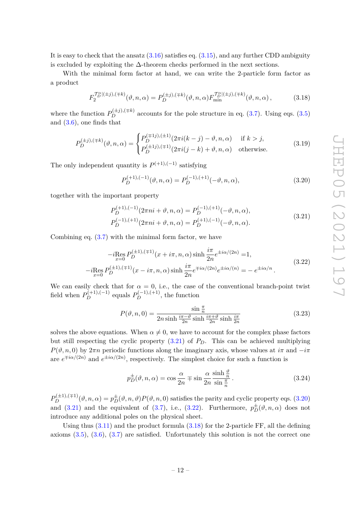It is easy to check that the ansatz  $(3.16)$  satisfies eq.  $(3.15)$ , and any further CDD ambiguity is excluded by exploiting the  $\Delta$ -theorem checks performed in the next sections.

With the minimal form factor at hand, we can write the 2-particle form factor as a product

<span id="page-12-3"></span>
$$
F_2^{\mathcal{T}_D^{a}(\pm j),(\mp k)}(\vartheta,n,\alpha) = P_D^{(\pm j),(\mp k)}(\vartheta,n,\alpha) F_{\min}^{\mathcal{T}_D^{a}(\pm j),(\mp k)}(\vartheta,n,\alpha) ,\qquad (3.18)
$$

where the function  $P_D^{(\pm j), (\mp k)}$  accounts for the pole structure in eq. [\(3.7\)](#page-10-0). Using eqs. [\(3.5\)](#page-10-1) and [\(3.6\)](#page-10-2), one finds that

<span id="page-12-4"></span>
$$
P_D^{(\pm j),(\mp k)}(\vartheta,n,\alpha) = \begin{cases} P_D^{(\mp 1j),(\pm 1)}(2\pi i(k-j) - \vartheta,n,\alpha) & \text{if } k > j, \\ P_D^{(\pm 1j),(\mp 1)}(2\pi i(j-k) + \vartheta,n,\alpha) & \text{otherwise.} \end{cases}
$$
(3.19)

The only independent quantity is  $P^{(+1), (-1)}$  satisfying

<span id="page-12-1"></span>
$$
P_D^{(+1),(-1)}(\vartheta,n,\alpha) = P_D^{(-1),(+1)}(-\vartheta,n,\alpha),\tag{3.20}
$$

<span id="page-12-0"></span>together with the important property

$$
P_D^{(+1),(-1)}(2\pi ni + \vartheta, n, \alpha) = P_D^{(-1),(+1)}(-\vartheta, n, \alpha),
$$
  
\n
$$
P_D^{(-1),(+1)}(2\pi ni + \vartheta, n, \alpha) = P_D^{(+1),(-1)}(-\vartheta, n, \alpha).
$$
\n(3.21)

<span id="page-12-2"></span>Combining eq. [\(3.7\)](#page-10-0) with the minimal form factor, we have

$$
-i \underset{x=0}{\text{Res}} P_D^{(\pm 1),(\mp 1)}(x + i\pi, n, \alpha) \sinh \frac{i\pi}{2n} e^{\pm i\alpha/(2n)} = 1,
$$
  
\n
$$
-i \underset{x=0}{\text{Res}} P_D^{(\pm 1),(\mp 1)}(x - i\pi, n, \alpha) \sinh \frac{i\pi}{2n} e^{\mp i\alpha/(2n)} e^{\pm i\alpha/(n)} = -e^{\pm i\alpha/n}.
$$
\n(3.22)

We can easily check that for  $\alpha = 0$ , i.e., the case of the conventional branch-point twist field when  $P_D^{(+1),(-1)}$  equals  $P_D^{(-1),(+1)}$ , the function

$$
P(\vartheta, n, 0) = \frac{\sin \frac{\pi}{n}}{2n \sinh \frac{i\pi - \vartheta}{2n} \sinh \frac{i\pi + \vartheta}{2n} \sinh \frac{i\pi}{2n}}
$$
(3.23)

solves the above equations. When  $\alpha \neq 0$ , we have to account for the complex phase factors but still respecting the cyclic property  $(3.21)$  of  $P<sub>D</sub>$ . This can be achieved multiplying  $P(\vartheta, n, 0)$  by  $2\pi n$  periodic functions along the imaginary axis, whose values at  $i\pi$  and  $-i\pi$ are  $e^{\mp i\alpha/(2n)}$  and  $e^{\pm i\alpha/(2n)}$ , respectively. The simplest choice for such a function is

$$
p_D^{\pm}(\vartheta, n, \alpha) = \cos\frac{\alpha}{2n} \mp \sin\frac{\alpha}{2n} \frac{\sinh\frac{\vartheta}{n}}{\sin\frac{\pi}{n}}.
$$
 (3.24)

 $P_D^{(\pm 1),(\mp 1)}(\vartheta,n,\alpha) = p_D^{\pm}(\vartheta,n,\vartheta)P(\vartheta,n,0)$  satisfies the parity and cyclic property eqs. [\(3.20\)](#page-12-1) and [\(3.21\)](#page-12-0) and the equivalent of [\(3.7\)](#page-10-0), i.e., [\(3.22\)](#page-12-2). Furthermore,  $p_D^{\pm}(\vartheta, n, \alpha)$  does not introduce any additional poles on the physical sheet.

Using thus  $(3.11)$  and the product formula  $(3.18)$  for the 2-particle FF, all the defining axioms  $(3.5)$ ,  $(3.6)$ ,  $(3.7)$  are satisfied. Unfortunately this solution is not the correct one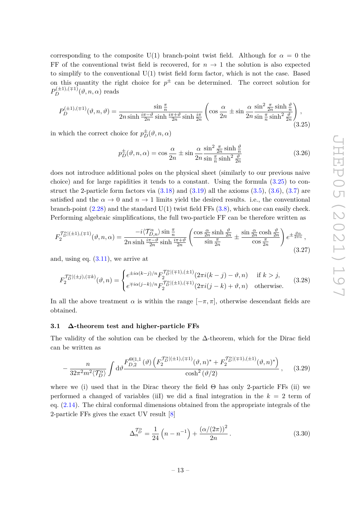corresponding to the composite U(1) branch-point twist field. Although for  $\alpha = 0$  the FF of the conventional twist field is recovered, for  $n \to 1$  the solution is also expected to simplify to the conventional  $U(1)$  twist field form factor, which is not the case. Based on this quantity the right choice for  $p^{\pm}$  can be determined. The correct solution for  $P_D^{(\pm 1),(\mp 1)}(\vartheta,n,\alpha)$  reads

<span id="page-13-1"></span>
$$
P_D^{(\pm 1),(\mp 1)}(\vartheta,n,\vartheta) = \frac{\sin\frac{\pi}{n}}{2n\sinh\frac{i\pi-\vartheta}{2n}\sinh\frac{i\pi+\vartheta}{2n}\sinh\frac{i\pi}{2n}} \left(\cos\frac{\alpha}{2n} \pm \sin\frac{\alpha}{2n}\frac{\sin^2\frac{\pi}{2n}\sinh\frac{\vartheta}{n}}{\sin\frac{\pi}{n}\sinh^2\frac{\vartheta}{2n}}\right),\tag{3.25}
$$

in which the correct choice for  $p_D^{\pm}(\vartheta, n, \alpha)$ 

$$
p_D^{\pm}(\vartheta, n, \alpha) = \cos\frac{\alpha}{2n} \pm \sin\frac{\alpha}{2n} \frac{\sin^2\frac{\pi}{2n}\sinh\frac{\vartheta}{n}}{\sin\frac{\pi}{n}\sinh^2\frac{\vartheta}{2n}}
$$
(3.26)

does not introduce additional poles on the physical sheet (similarly to our previous naive choice) and for large rapidities it tends to a constant. Using the formula  $(3.25)$  to construct the 2-particle form factors via  $(3.18)$  and  $(3.19)$  all the axioms  $(3.5)$ ,  $(3.6)$ ,  $(3.7)$  are satisfied and the  $\alpha \to 0$  and  $n \to 1$  limits yield the desired results. i.e., the conventional branch-point  $(2.28)$  and the standard  $U(1)$  twist field FFs  $(3.8)$ , which one can easily check. Performing algebraic simplifications, the full two-particle FF can be therefore written as

<span id="page-13-2"></span>
$$
F_2^{\mathcal{T}_D^{\alpha}|(\pm 1),(\mp 1)}(\vartheta,n,\alpha) = \frac{-i\langle \mathcal{T}_{D,n}^{\alpha}\rangle \sin\frac{\pi}{n}}{2n \sinh\frac{i\pi-\vartheta}{2n} \sinh\frac{i\pi+\vartheta}{2n}} \left(\frac{\cos\frac{\alpha}{2n}\sinh\frac{\vartheta}{2n}}{\sin\frac{\pi}{2n}} \pm \frac{\sin\frac{\alpha}{2n}\cosh\frac{\vartheta}{2n}}{\cos\frac{\pi}{2n}}\right) e^{\pm\frac{\vartheta\alpha}{2n n}},\tag{3.27}
$$

and, using eq. [\(3.11\)](#page-11-4), we arrive at

$$
F_2^{\mathcal{T}_D^{a}|(\pm j),(\mp k)}(\vartheta,n) = \begin{cases} e^{\pm i\alpha(k-j)/n} F_2^{\mathcal{T}_D^{a}|(\mp 1),(\pm 1)}(2\pi i(k-j) - \vartheta, n) & \text{if } k > j, \\ e^{\mp i\alpha(j-k)/n} F_2^{\mathcal{T}_D^{a}|(\pm 1),(\mp 1)}(2\pi i(j-k) + \vartheta, n) & \text{otherwise.} \end{cases}
$$
(3.28)

In all the above treatment  $\alpha$  is within the range  $[-\pi, \pi]$ , otherwise descendant fields are obtained.

### <span id="page-13-0"></span>**3.1 ∆-theorem test and higher-particle FFs**

The validity of the solution can be checked by the  $\Delta$ -theorem, which for the Dirac field can be written as

$$
-\frac{n}{32\pi^{2}m^{2}\langle\mathcal{T}_{D}^{\alpha}\rangle} \int \mathrm{d}\vartheta \frac{F_{D,2}^{\Theta|1,1}(\vartheta)\left(F_{2}^{\mathcal{T}_{D}^{\alpha}|(\pm 1),(\mp 1)}(\vartheta,n)^{*}+F_{2}^{\mathcal{T}_{D}^{\alpha}|(\mp 1),(\pm 1)}(\vartheta,n)^{*}\right)}{\cosh^{2}(\vartheta/2)},\qquad(3.29)
$$

where we (i) used that in the Dirac theory the field  $\Theta$  has only 2-particle FFs (ii) we performed a changed of variables (iiI) we did a final integration in the *k* = 2 term of eq. [\(2.14\)](#page-6-2). The chiral conformal dimensions obtained from the appropriate integrals of the 2-particle FFs gives the exact UV result [\[8\]](#page-34-6)

$$
\Delta_n^{\mathcal{T}_D^{\alpha}} = \frac{1}{24} \left( n - n^{-1} \right) + \frac{\left( \alpha / (2\pi) \right)^2}{2n} \,. \tag{3.30}
$$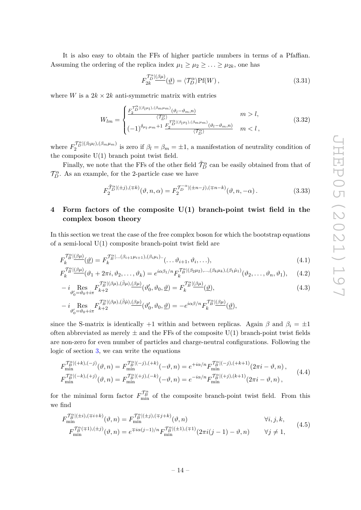It is also easy to obtain the FFs of higher particle numbers in terms of a Pfaffian. Assuming the ordering of the replica index  $\mu_1 \geq \mu_2 \geq \ldots \geq \mu_{2k}$ , one has

$$
F_{2k}^{\mathcal{T}_{D}^{\alpha}}(\underline{\theta}) = \langle \mathcal{T}_{D}^{\alpha} \rangle \text{Pf}(W) , \qquad (3.31)
$$

where *W* is a  $2k \times 2k$  anti-symmetric matrix with entries

$$
W_{lm} = \begin{cases} \frac{F_2^{\mathcal{T}_D^{\alpha}}(\beta_l \mu_l), (\beta_m \mu_m)}{\langle \mathcal{T}_D^{\alpha} \rangle} & m > l, \\ (-1)^{\delta_{\mu_l, \mu_m} + 1} \frac{F_2^{\mathcal{T}_D^{\alpha}}(\beta_l \mu_l), (\beta_m \mu_m)}{\langle \mathcal{T}_D^{\alpha} \rangle} & m < l, \end{cases}
$$
(3.32)

where  $F_2^{\mathcal{T}_{D}^{\alpha}(\beta_{l}\mu_{l}),(\beta_{m}\mu_{m})}$  is zero if  $\beta_l = \beta_m = \pm 1$ , a manifestation of neutrality condition of the composite  $U(1)$  branch point twist field.

Finally, we note that the FFs of the other field  $\tilde{\mathcal{T}}^{\alpha}_{D}$  can be easily obtained from that of  $\mathcal{T}_{D}^{\alpha}$ . As an example, for the 2-particle case we have

<span id="page-14-4"></span><span id="page-14-3"></span><span id="page-14-2"></span>
$$
F_2^{\widetilde{\mathcal{T}}_D^{ \alpha} |(\pm j),(\mp k)}(\vartheta, n, \alpha) = F_2^{\widetilde{\mathcal{T}}_D^{-\alpha} |(\pm n-j),(\mp n-k)}(\vartheta, n, -\alpha). \tag{3.33}
$$

# <span id="page-14-0"></span>**4 Form factors of the composite U(1) branch-point twist field in the complex boson theory**

In this section we treat the case of the free complex boson for which the bootstrap equations of a semi-local U(1) composite branch-point twist field are

$$
F_k^{\mathcal{T}^{\alpha}_{\mathcal{B}}\vert(\beta\mu)}(\underline{\vartheta}) = F_k^{\mathcal{T}^{\alpha}_{\mathcal{B}}\vert\ldots(\beta_{i+1}\mu_{i+1}),(\beta_i\mu_i)\ldots}(\ldots\vartheta_{i+1},\vartheta_i,\ldots),\tag{4.1}
$$

$$
F_k^{\mathcal{T}_B^{\alpha}}(\theta \mu)}(\vartheta_1 + 2\pi i, \vartheta_2, \dots, \vartheta_k) = e^{i\alpha\beta_1/n} F_k^{\mathcal{T}_B^{\alpha}}(\beta_2 \mu_2), \dots, (\beta_k \mu_k), (\beta_1 \hat{\mu}_1)}(\vartheta_2, \dots, \vartheta_n, \vartheta_1), \quad (4.2)
$$

$$
-i\underset{\vartheta'_0=\vartheta_0+i\pi}{\operatorname{Res}}F_{k+2}^{\mathcal{T}_{B}^{\alpha}(\beta\mu),(\bar{\beta}\mu),(\beta\mu)}(\vartheta'_0,\vartheta_0,\underline{\vartheta})=F_{k}^{\mathcal{T}_{B}^{\alpha}(\beta\mu)}(\underline{\vartheta}),\tag{4.3}
$$

$$
-\; i\underset{\vartheta_{0}'=\vartheta_{0}+i\pi}{\operatorname{Res}}F_{k+2}^{\mathcal{T}_{B}^{\alpha} \vert (\beta\mu), (\bar{\beta}\hat{\mu}),(\underline{\beta\mu})}(\vartheta_{0}',\vartheta_{0},\underline{\vartheta})=-e^{i\alpha\beta/n}F_{k}^{\mathcal{T}_{B}^{\alpha} \vert (\underline{\beta\mu})}(\underline{\vartheta}),
$$

since the S-matrix is identically +1 within and between replicas. Again  $\beta$  and  $\beta_i = \pm 1$ often abbreviated as merely  $\pm$  and the FFs of the composite U(1) branch-point twist fields are non-zero for even number of particles and charge-neutral configurations. Following the logic of section [3,](#page-9-1) we can write the equations

$$
F_{\min}^{\mathcal{T}_{B}^{\alpha}|(+k),(-j)}(\vartheta,n) = F_{\min}^{\mathcal{T}_{B}^{\alpha}|(-j),(+k)}(-\vartheta,n) = e^{+i\alpha/n} F_{\min}^{\mathcal{T}_{B}^{\alpha}|(-j),(+k+1)}(2\pi i - \vartheta,n),
$$
  
\n
$$
F_{\min}^{\mathcal{T}_{B}^{\alpha}|(-k),(+j)}(\vartheta,n) = F_{\min}^{\mathcal{T}_{B}^{\alpha}|(+j),(-k)}(-\vartheta,n) = e^{-i\alpha/n} F_{\min}^{\mathcal{T}_{B}^{\alpha}|(+j),(+1)}(2\pi i - \vartheta,n),
$$
\n(4.4)

for the minimal form factor  $F_{\min}^{\mathcal{T}_{\beta}^{\alpha}}$  of the composite branch-point twist field. From this we find

<span id="page-14-1"></span>
$$
F_{\min}^{\mathcal{T}_{B}^{\alpha} | (\pm i), (\mp i + k)}(\vartheta, n) = F_{\min}^{\mathcal{T}_{B}^{\alpha} | (\pm j), (\mp j + k)}(\vartheta, n)
$$
\n
$$
F_{\min}^{\mathcal{T}_{B}^{\alpha} (\mp 1), (\pm j)}(\vartheta, n) = e^{\mp i\alpha(j-1)/n} F_{\min}^{\mathcal{T}_{B}^{\alpha} | (\pm 1), (\mp 1)}(2\pi i(j-1) - \vartheta, n)
$$
\n
$$
\forall j \neq 1,
$$
\n(4.5)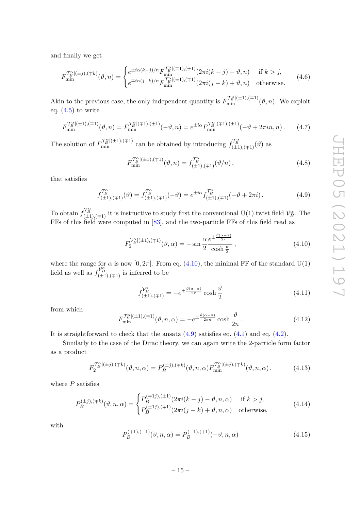and finally we get

$$
F_{\min}^{\mathcal{T}_{B}^{a}|(\pm j),(\mp k)}(\vartheta,n) = \begin{cases} e^{\pm i\alpha(k-j)/n} F_{\min}^{\mathcal{T}_{B}^{a}|(\mp 1),(\pm 1)}(2\pi i(k-j) - \vartheta, n) & \text{if } k > j, \\ e^{\mp i\alpha(j-k)/n} F_{\min}^{\mathcal{T}_{B}^{a}|(\pm 1),(\mp 1)}(2\pi i(j-k) + \vartheta, n) & \text{otherwise.} \end{cases}
$$
(4.6)

Akin to the previous case, the only independent quantity is  $F_{\min}^{\mathcal{T}_{B}^{\alpha}|(\pm 1),(\mp 1)}(\vartheta,n)$ . We exploit eq.  $(4.5)$  to write

$$
F_{\min}^{\mathcal{T}_{B}^{\alpha}|(\pm 1),(\mp 1)}(\vartheta,n) = F_{\min}^{\mathcal{T}_{B}^{\alpha}|(\mp 1),(\pm 1)}(-\vartheta,n) = e^{\pm i\alpha} F_{\min}^{\mathcal{T}_{B}^{\alpha}|(\mp 1),(\pm 1)}(-\vartheta + 2\pi in, n). \tag{4.7}
$$

The solution of  $F_{\min}^{\mathcal{T}_{\beta}^{\alpha}(\pm 1), (\mp 1)}$  can be obtained by introducing  $f_{(\pm 1), (\mp 1)}^{\mathcal{T}_{\beta}^{\alpha}}(\vartheta)$  as

$$
F_{\min}^{\mathcal{T}_{B}^{\alpha}|(\pm 1),(\mp 1)}(\vartheta,n) = f_{(\pm 1),(\mp 1)}^{\mathcal{T}_{B}^{\alpha}}(\vartheta/n) ,
$$
\n(4.8)

that satisfies

<span id="page-15-1"></span>
$$
f_{(\pm 1),(\mp 1)}^{T_B^{\alpha}}(\vartheta) = f_{(\pm 1),(\mp 1)}^{T_B^{\alpha}}(-\vartheta) = e^{\pm i\alpha} f_{(\pm 1),(\mp 1)}^{T_B^{\alpha}}(-\vartheta + 2\pi i).
$$
 (4.9)

To obtain  $f_{(\pm 1),(\mp 1)}^{\mathcal{T}_{\beta}^{\alpha}}$  it is instructive to study first the conventional U(1) twist field  $\mathcal{V}_{B}^{\alpha}$ . The FFs of this field were computed in [\[83\]](#page-38-6), and the two-particle FFs of this field read as

<span id="page-15-0"></span>
$$
F_2^{\mathcal{V}_B^{\alpha}|(\pm 1),(\mp 1)}(\vartheta,\alpha) = -\sin\frac{\alpha}{2}\frac{e^{\pm\frac{\vartheta(\alpha-\pi)}{2\pi}}}{\cosh\frac{\vartheta}{2}},\tag{4.10}
$$

where the range for  $\alpha$  is now [0, 2 $\pi$ ]. From eq. [\(4.10\)](#page-15-0), the minimal FF of the standard U(1) field as well as  $f_{(\pm 1),(\mp 1)}^{\vee_{B}^{\alpha}}$  is inferred to be

$$
f_{(\pm 1),(\mp 1)}^{\mathcal{V}_B^{\alpha}} = -e^{\pm \frac{\vartheta(\alpha - \pi)}{2\pi}} \cosh \frac{\vartheta}{2}
$$
 (4.11)

from which

$$
F_{\min}^{\mathcal{T}_B^n|(\pm 1),(\mp 1)}(\vartheta,n,\alpha) = -e^{\pm \frac{\vartheta(\alpha-\pi)}{2\pi n}} \cosh \frac{\vartheta}{2n}.
$$
 (4.12)

It is straightforward to check that the ansatz  $(4.9)$  satisfies eq.  $(4.1)$  and eq.  $(4.2)$ .

Similarly to the case of the Dirac theory, we can again write the 2-particle form factor as a product

<span id="page-15-2"></span>
$$
F_2^{\mathcal{T}_B^{a}(\pm j),(\mp k)}(\vartheta,n,\alpha) = P_B^{(\pm j),(\mp k)}(\vartheta,n,\alpha) F_{\min}^{\mathcal{T}_B^{a}(\pm j),(\mp k)}(\vartheta,n,\alpha) ,\qquad (4.13)
$$

where *P* satisfies

<span id="page-15-3"></span>
$$
P_B^{(\pm j),(\mp k)}(\vartheta,n,\alpha) = \begin{cases} P_B^{(\mp 1j),(\pm 1)}(2\pi i(k-j) - \vartheta,n,\alpha) & \text{if } k > j, \\ P_B^{(\pm 1j),(\mp 1)}(2\pi i(j-k) + \vartheta,n,\alpha) & \text{otherwise,} \end{cases}
$$
(4.14)

with

$$
P_B^{(+1),(-1)}(\vartheta,n,\alpha) = P_B^{(-1),(+1)}(-\vartheta,n,\alpha)
$$
\n(4.15)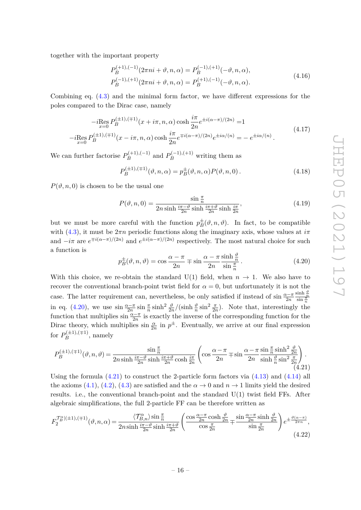together with the important property

$$
P_B^{(+1),(-1)}(2\pi ni + \vartheta, n, \alpha) = P_B^{(-1),(+1)}(-\vartheta, n, \alpha),
$$
  
\n
$$
P_B^{(-1),(+1)}(2\pi ni + \vartheta, n, \alpha) = P_B^{(+1),(-1)}(-\vartheta, n, \alpha).
$$
\n(4.16)

Combining eq. [\(4.3\)](#page-14-4) and the minimal form factor, we have different expressions for the poles compared to the Dirac case, namely

$$
-i \underset{x=0}{\text{Res}} P_B^{(\pm 1),(\mp 1)}(x + i\pi, n, \alpha) \cosh \frac{i\pi}{2n} e^{\pm i(\alpha - \pi)/(2n)} = 1
$$
  
\n
$$
-i \underset{x=0}{\text{Res}} P_B^{(\pm 1),(\mp 1)}(x - i\pi, n, \alpha) \cosh \frac{i\pi}{2n} e^{\mp i(\alpha - \pi)/(2n)} e^{\pm i\alpha/(n)} = -e^{\pm i\alpha/(n)}.
$$
\n(4.17)

We can further factorise  $P_R^{(+1),(-1)}$  $B^{(+1),(-1)}$  and  $P^{(-1),(+1)}_B$  writing them as

$$
P_B^{(\pm 1),(\mp 1)}(\vartheta, n, \alpha) = p_B^{\pm}(\vartheta, n, \alpha) P(\vartheta, n, 0).
$$
 (4.18)

 $P(\vartheta, n, 0)$  is chosen to be the usual one

$$
P(\vartheta, n, 0) = \frac{\sin \frac{\pi}{n}}{2n \sinh \frac{i\pi - \vartheta}{2n} \sinh \frac{i\pi + \vartheta}{2n} \sinh \frac{i\pi}{2n}},
$$
(4.19)

but we must be more careful with the function  $p_B^{\pm}(\vartheta, n, \vartheta)$ . In fact, to be compatible with [\(4.3\)](#page-14-4), it must be  $2\pi n$  periodic functions along the imaginary axis, whose values at  $i\pi$ and  $-i\pi$  are  $e^{\mp i(\alpha-\pi)/(2n)}$  and  $e^{\pm i(\alpha-\pi)/(2n)}$  respectively. The most natural choice for such a function is

<span id="page-16-0"></span>
$$
p_B^{\pm}(\vartheta, n, \vartheta) = \cos\frac{\alpha - \pi}{2n} \mp \sin\frac{\alpha - \pi}{2n} \frac{\sinh\frac{\vartheta}{n}}{\sin\frac{\pi}{n}}.
$$
 (4.20)

With this choice, we re-obtain the standard  $U(1)$  field, when  $n \to 1$ . We also have to recover the conventional branch-point twist field for  $\alpha = 0$ , but unfortunately it is not the case. The latter requirement can, nevertheless, be only satisfied if instead of sin  $\frac{\alpha - \pi}{2n}$  $\frac{\sinh \frac{\vartheta}{n}}{\sin \frac{\pi}{n}}$ in eq. [\(4.20\)](#page-16-0), we use  $\sin \frac{\alpha - \pi}{2n} \sin \frac{\pi}{n} \sinh^2 \frac{\vartheta}{2n} / (\sinh \frac{\vartheta}{n} \sin^2 \frac{\pi}{2n})$ . Note that, interestingly the function that multiplies  $\sin \frac{\alpha - \pi}{2n}$  is exactly the inverse of the corresponding function for the Dirac theory, which multiplies  $\sin \frac{\alpha}{2n}$  in  $p^{\pm}$ . Eventually, we arrive at our final expression for  $P_B^{(\pm 1), (\mp 1)}$  $B^{(\pm 1), (+1)}$ , namely

<span id="page-16-1"></span>
$$
P_B^{(\pm 1),(\mp 1)}(\vartheta,n,\vartheta) = \frac{\sin\frac{\pi}{n}}{2n\sinh\frac{i\pi-\vartheta}{2n}\sinh\frac{i\pi+\vartheta}{2n}\cosh\frac{i\pi}{2n}} \left(\cos\frac{\alpha-\pi}{2n}\mp\sin\frac{\alpha-\pi}{2n}\frac{\sin\frac{\pi}{n}\sinh^2\frac{\vartheta}{2n}}{\sinh\frac{\vartheta}{n}\sin^2\frac{\pi}{2n}}\right). \tag{4.21}
$$

Using the formula  $(4.21)$  to construct the 2-particle form factors via  $(4.13)$  and  $(4.14)$  all the axioms [\(4.1\)](#page-14-2), [\(4.2\)](#page-14-3), [\(4.3\)](#page-14-4) are satisfied and the  $\alpha \to 0$  and  $n \to 1$  limits yield the desired results. i.e., the conventional branch-point and the standard  $U(1)$  twist field FFs. After algebraic simplifications, the full 2-particle FF can be therefore written as

<span id="page-16-2"></span>
$$
F_2^{\mathcal{T}_B^n|(\pm 1),(\mp 1)}(\vartheta,n,\alpha) = \frac{\langle \mathcal{T}_{B,n}^{\alpha} \rangle \sin \frac{\pi}{n}}{2n \sinh \frac{i\pi - \vartheta}{2n} \sinh \frac{i\pi + \vartheta}{2n}} \left( \frac{\cos \frac{\alpha - \pi}{2n} \cosh \frac{\vartheta}{2n}}{\cos \frac{\pi}{2n}} \mp \frac{\sin \frac{\alpha - \pi}{2n} \sinh \frac{\vartheta}{2n}}{\sin \frac{\pi}{2n}} \right) e^{\pm \frac{\vartheta(\alpha - \pi)}{2n}},\tag{4.22}
$$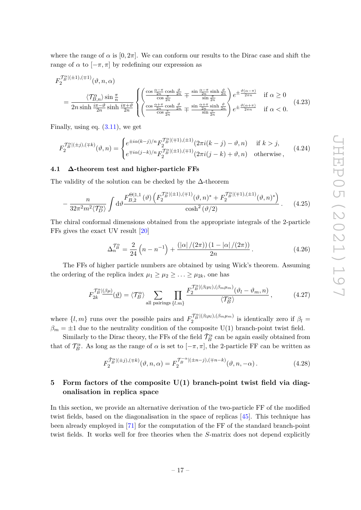where the range of  $\alpha$  is  $[0, 2\pi]$ . We can conform our results to the Dirac case and shift the range of  $\alpha$  to  $[-\pi, \pi]$  by redefining our expression as

$$
F_2^{\mathcal{T}_B^n(\pm 1),(\mp 1)}(\vartheta, n, \alpha)
$$
  
= 
$$
\frac{\langle \mathcal{T}_{B,n}^{\alpha} \rangle \sin \frac{\pi}{n}}{2n \sinh \frac{i\pi - \vartheta}{2n} \sinh \frac{i\pi + \vartheta}{2n}} \left\{ \begin{pmatrix} \frac{\cos \frac{\alpha - \pi}{2n} \cosh \frac{\vartheta}{2n}}{\cos \frac{\pi}{2n}} \mp \frac{\sin \frac{\alpha - \pi}{2n} \sinh \frac{\vartheta}{2n}}{\sin \frac{\pi}{2n}}\\ \frac{\cos \frac{\alpha + \pi}{2n} \cosh \frac{\vartheta}{2n}}{\cos \frac{\pi}{2n}} \mp \frac{\sin \frac{\alpha + \pi}{2n} \sinh \frac{\vartheta}{2n}}{\sin \frac{\pi}{2n}} \end{pmatrix} e^{\pm \frac{\vartheta(\alpha - \pi)}{2\pi n}} \quad \text{if } \alpha \ge 0
$$
(4.23)

Finally, using eq.  $(3.11)$ , we get

$$
F_2^{\mathcal{T}_B^n((\pm j),(\mp k)}(\vartheta,n) = \begin{cases} e^{\pm i\alpha(k-j)/n} F_2^{\mathcal{T}_B^n((\mp 1),(\pm 1)}(2\pi i(k-j) - \vartheta, n) & \text{if } k > j, \\ e^{\mp i\alpha(j-k)/n} F_2^{\mathcal{T}_B^n((\pm 1),(\mp 1)}(2\pi i(j-k) + \vartheta, n) & \text{otherwise} \end{cases}
$$
(4.24)

# <span id="page-17-0"></span>**4.1 ∆-theorem test and higher-particle FFs**

The validity of the solution can be checked by the  $\Delta$ -theorem

$$
-\frac{n}{32\pi^2 m^2 \langle T_D^{\alpha} \rangle} \int d\vartheta \frac{F_{B,2}^{\Theta[1,1]}(\vartheta) \left( F_2^{T_B^{\alpha}[(\pm 1),(\mp 1)}(\vartheta, n)^* + F_2^{T_B^{\alpha}[(\mp 1),(\pm 1)}(\vartheta, n)^* \right)}{\cosh^2(\vartheta/2)} . \tag{4.25}
$$

The chiral conformal dimensions obtained from the appropriate integrals of the 2-particle FFs gives the exact UV result [\[20\]](#page-35-1)

$$
\Delta_n^{\mathcal{T}_B^{\alpha}} = \frac{2}{24} \left( n - n^{-1} \right) + \frac{(|\alpha|/(2\pi))(1 - |\alpha|/(2\pi))}{2n} \,. \tag{4.26}
$$

The FFs of higher particle numbers are obtained by using Wick's theorem. Assuming the ordering of the replica index  $\mu_1 \geq \mu_2 \geq \ldots \geq \mu_{2k}$ , one has

$$
F_{2k}^{\mathcal{T}_{B}^{\alpha} \mid (\beta\mu)}(\underline{\vartheta}) = \langle \mathcal{T}_{B}^{\alpha} \rangle \sum_{\text{all pairings } \{l.m\}} \prod_{\{l.m\}} \frac{F_{2}^{\mathcal{T}_{B}^{\alpha} \mid (\beta_{l}\mu_{l}), (\beta_{m}\mu_{m})}(\vartheta_{l} - \vartheta_{m}, n)}{\langle \mathcal{T}_{B}^{\alpha} \rangle}, \tag{4.27}
$$

where  $\{l, m\}$  runs over the possible pairs and  $F_2^{\mathcal{T}_{B}^{a}(\beta_l\mu_l), (\beta_m\mu_m)}$  $i'^B_B$ <sup>[(*PlHl*),(*Pm* $\mu$ *m*)</sub> is identically zero if  $\beta_l =$ </sup>  $\beta_m = \pm 1$  due to the neutrality condition of the composite U(1) branch-point twist field.

Similarly to the Dirac theory, the FFs of the field  $\tilde{\mathcal{T}}^{\alpha}_B$  can be again easily obtained from that of  $\mathcal{T}_{B}^{\alpha}$ . As long as the range of  $\alpha$  is set to  $[-\pi, \pi]$ , the 2-particle FF can be written as

$$
F_2^{\tilde{\mathcal{T}}_B^{n}|(\pm j),(\mp k)}(\vartheta,n,\alpha) = F_2^{\tilde{\mathcal{T}}_B^{-\alpha}|(\pm n-j),(\mp n-k)}(\vartheta,n,-\alpha). \tag{4.28}
$$

# <span id="page-17-1"></span>**5 Form factors of the composite U(1) branch-point twist field via diagonalisation in replica space**

In this section, we provide an alternative derivation of the two-particle FF of the modified twist fields, based on the diagonalisation in the space of replicas [\[45\]](#page-36-5). This technique has been already employed in [\[71\]](#page-37-5) for the computation of the FF of the standard branch-point twist fields. It works well for free theories when the *S*-matrix does not depend explicitly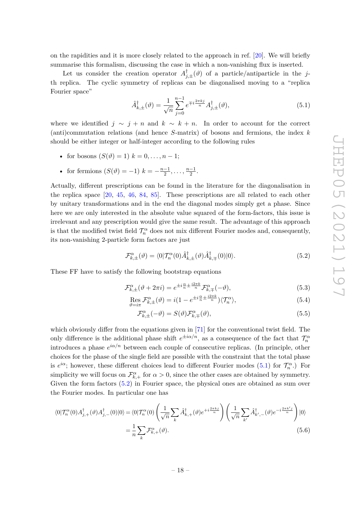on the rapidities and it is more closely related to the approach in ref. [\[20\]](#page-35-1). We will briefly summarise this formalism, discussing the case in which a non-vanishing flux is inserted.

Let us consider the creation operator  $A_{j,\pm}^{\dagger}(\vartheta)$  of a particle/antiparticle in the *j*th replica. The cyclic symmetry of replicas can be diagonalised moving to a "replica Fourier space"

<span id="page-18-0"></span>
$$
\hat{A}_{k,\pm}^{\dagger}(\vartheta) = \frac{1}{\sqrt{n}} \sum_{j=0}^{n-1} e^{\mp i \frac{2\pi kj}{n}} A_{j,\pm}^{\dagger}(\vartheta),\tag{5.1}
$$

where we identified  $j \sim j + n$  and  $k \sim k + n$ . In order to account for the correct (anti)commutation relations (and hence *S*-matrix) of bosons and fermions, the index *k* should be either integer or half-integer according to the following rules

- for bosons  $(S(\vartheta) = 1)$   $k = 0, ..., n 1;$
- for fermions  $(S(\vartheta) = -1)$   $k = -\frac{n-1}{2}$  $\frac{-1}{2}, \ldots, \frac{n-1}{2}$  $\frac{-1}{2}$ .

Actually, different prescriptions can be found in the literature for the diagonalisation in the replica space [\[20,](#page-35-1) [45,](#page-36-5) [46,](#page-36-6) [84,](#page-38-7) [85\]](#page-38-8). These prescriptions are all related to each other by unitary transformations and in the end the diagonal modes simply get a phase. Since here we are only interested in the absolute value squared of the form-factors, this issue is irrelevant and any prescription would give the same result. The advantage of this approach is that the modified twist field  $\mathcal{T}_n^{\alpha}$  does not mix different Fourier modes and, consequently, its non-vanishing 2-particle form factors are just

<span id="page-18-1"></span>
$$
\mathcal{F}_{k,\pm}^{\alpha}(\vartheta) = \langle 0|\mathcal{T}_{n}^{\alpha}(0)\hat{A}_{k,\pm}^{\dagger}(\vartheta)\hat{A}_{k,\mp}^{\dagger}(0)|0\rangle.
$$
 (5.2)

These FF have to satisfy the following bootstrap equations

$$
\mathcal{F}_{k,\pm}^{\alpha}(\vartheta + 2\pi i) = e^{\pm i\frac{\alpha}{n} \pm \frac{i2\pi k}{n}} \mathcal{F}_{k,\mp}^{\alpha}(-\vartheta),\tag{5.3}
$$

$$
\operatorname{Res}_{\vartheta=i\pi} \mathcal{F}_{k,\pm}^{\alpha}(\vartheta) = i(1 - e^{\pm i\frac{\alpha}{n} \pm \frac{i2\pi k}{n}}) \langle \mathcal{T}_n^{\alpha} \rangle,
$$
\n(5.4)

<span id="page-18-2"></span>
$$
\mathcal{F}_{k,\pm}^{\alpha}(-\vartheta) = S(\vartheta)\mathcal{F}_{k,\mp}^{\alpha}(\vartheta),\tag{5.5}
$$

which obviously differ from the equations given in [\[71\]](#page-37-5) for the conventional twist field. The only difference is the additional phase shift  $e^{\pm i\alpha/n}$ , as a consequence of the fact that  $\mathcal{T}_n^{\alpha}$ introduces a phase  $e^{i\alpha/n}$  between each couple of consecutive replicas. (In principle, other choices for the phase of the single field are possible with the constraint that the total phase is  $e^{i\alpha}$ ; however, these different choices lead to different Fourier modes [\(5.1\)](#page-18-0) for  $\mathcal{T}_n^{\alpha}$ .) For simplicity we will focus on  $\mathcal{F}_{k,+}^{\alpha}$  for  $\alpha > 0$ , since the other cases are obtained by symmetry. Given the form factors [\(5.2\)](#page-18-1) in Fourier space, the physical ones are obtained as sum over the Fourier modes. In particular one has

$$
\langle 0|\mathcal{T}_{n}^{\alpha}(0)A_{j,+}^{\dagger}(\vartheta)A_{j,-}^{\dagger}(0)|0\rangle = \langle 0|\mathcal{T}_{n}^{\alpha}(0)\left(\frac{1}{\sqrt{n}}\sum_{k}\hat{A}_{k,+}^{\dagger}(\vartheta)e^{+i\frac{2\pi k j}{n}}\right)\left(\frac{1}{\sqrt{n}}\sum_{k'}\hat{A}_{k',-}^{\dagger}(\vartheta)e^{-i\frac{2\pi k'j}{n}}\right)|0\rangle
$$

$$
=\frac{1}{n}\sum_{k}\mathcal{F}_{k,+}^{\alpha}(\vartheta).
$$
(5.6)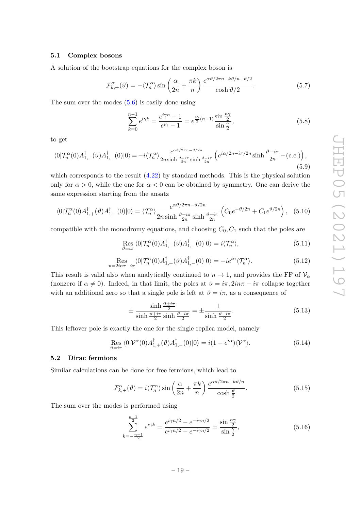# <span id="page-19-0"></span>**5.1 Complex bosons**

A solution of the bootstrap equations for the complex boson is

$$
\mathcal{F}_{k,+}^{\alpha}(\vartheta) = -\langle \mathcal{T}_{n}^{\alpha} \rangle \sin\left(\frac{\alpha}{2n} + \frac{\pi k}{n}\right) \frac{e^{\alpha \vartheta/2\pi n + k\vartheta/n - \vartheta/2}}{\cosh \vartheta/2}.
$$
 (5.7)

The sum over the modes  $(5.6)$  is easily done using

$$
\sum_{k=0}^{n-1} e^{i\gamma k} = \frac{e^{i\gamma n} - 1}{e^{i\gamma} - 1} = e^{\frac{i\gamma}{2}(n-1)} \frac{\sin \frac{n\gamma}{2}}{\sin \frac{\gamma}{2}},
$$
(5.8)

to get

$$
\langle 0|\mathcal{T}_n^{\alpha}(0)A_{1,+}^{\dagger}(\vartheta)A_{1,-}^{\dagger}(0)|0\rangle = -i\langle \mathcal{T}_n^{\alpha}\rangle \frac{e^{\alpha\vartheta/2\pi n - \vartheta/2n}}{2n\sinh\frac{\vartheta + i\pi}{2n}\sinh\frac{\vartheta - i\pi}{2n}}\left(e^{i\alpha/2n - i\pi/2n}\sinh\frac{\vartheta - i\pi}{2n} - (\text{c.c.})\right),\tag{5.9}
$$

which corresponds to the result  $(4.22)$  by standard methods. This is the physical solution only for  $\alpha > 0$ , while the one for  $\alpha < 0$  can be obtained by symmetry. One can derive the same expression starting from the ansatz

$$
\langle 0|\mathcal{T}_n^{\alpha}(0)A_{1,+}^{\dagger}(\vartheta)A_{1,-}^{\dagger}(0)|0\rangle = \langle \mathcal{T}_n^{\alpha}\rangle \frac{e^{\alpha\vartheta/2\pi n - \vartheta/2n}}{2n\sinh\frac{\vartheta + i\pi}{2n}\sinh\frac{\vartheta - i\pi}{2n}} \left(C_0e^{-\vartheta/2n} + C_1e^{\vartheta/2n}\right), \quad (5.10)
$$

compatible with the monodromy equations, and choosing  $C_0, C_1$  such that the poles are

$$
\underset{\vartheta=i\pi}{\text{Res}}\langle 0|\mathcal{T}_{n}^{\alpha}(0)A_{1,+}^{\dagger}(\vartheta)A_{1,-}^{\dagger}(0)|0\rangle = i\langle \mathcal{T}_{n}^{\alpha}\rangle, \tag{5.11}
$$

$$
\operatorname{Res}_{\vartheta=2in\pi-i\pi} \langle 0|\mathcal{T}_n^{\alpha}(0)A_{1,+}^{\dagger}(\vartheta)A_{1,-}^{\dagger}(0)|0\rangle = -ie^{i\alpha}\langle \mathcal{T}_n^{\alpha}\rangle. \tag{5.12}
$$

This result is valid also when analytically continued to  $n \to 1$ , and provides the FF of  $V_\alpha$ (nonzero if  $\alpha \neq 0$ ). Indeed, in that limit, the poles at  $\vartheta = i\pi, 2in\pi - i\pi$  collapse together with an additional zero so that a single pole is left at  $\vartheta = i\pi$ , as a consequence of

$$
\pm \frac{\sinh \frac{\vartheta \pm i\pi}{2}}{\sinh \frac{\vartheta + i\pi}{2} \sinh \frac{\vartheta - i\pi}{2}} = \pm \frac{1}{\sinh \frac{\vartheta - i\pi}{2}}.
$$
\n(5.13)

This leftover pole is exactly the one for the single replica model, namely

$$
\operatorname{Res}_{\vartheta=i\pi} \langle 0|\mathcal{V}^{\alpha}(0)A_{1,+}^{\dagger}(\vartheta)A_{1,-}^{\dagger}(0)|0\rangle = i(1 - e^{i\alpha})\langle \mathcal{V}^{\alpha}\rangle. \tag{5.14}
$$

### <span id="page-19-1"></span>**5.2 Dirac fermions**

Similar calculations can be done for free fermions, which lead to

$$
\mathcal{F}_{k,+}^{\alpha}(\vartheta) = i \langle \mathcal{T}_{n}^{\alpha} \rangle \sin \left( \frac{\alpha}{2n} + \frac{\pi k}{n} \right) \frac{e^{\alpha \vartheta / 2\pi n + k\vartheta / n}}{\cosh \frac{\vartheta}{2}}.
$$
 (5.15)

The sum over the modes is performed using

$$
\sum_{k=-\frac{n-1}{2}}^{\frac{n-1}{2}} e^{i\gamma k} = \frac{e^{i\gamma n/2} - e^{-i\gamma n/2}}{e^{i\gamma n/2} - e^{-i\gamma n/2}} = \frac{\sin \frac{n\gamma}{2}}{\sin \frac{\gamma}{2}},\tag{5.16}
$$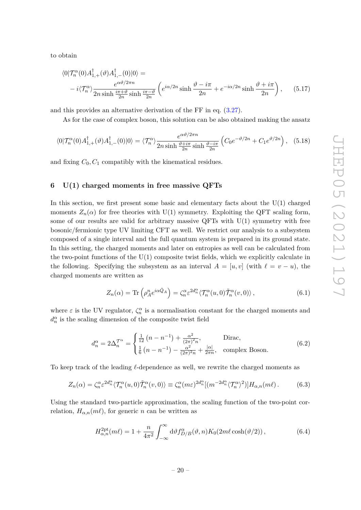to obtain

$$
\langle 0|\mathcal{T}_n^{\alpha}(0)A_{1,+}^{\dagger}(\vartheta)A_{1,-}^{\dagger}(0)|0\rangle =
$$
  
 
$$
-i\langle \mathcal{T}_n^{\alpha}\rangle \frac{e^{\alpha\vartheta/2\pi n}}{2n\sinh\frac{i\pi+\vartheta}{2n}\sinh\frac{i\pi-\vartheta}{2n}}\left(e^{i\alpha/2n}\sinh\frac{\vartheta-i\pi}{2n}+e^{-i\alpha/2n}\sinh\frac{\vartheta+i\pi}{2n}\right), \qquad (5.17)
$$

and this provides an alternative derivation of the FF in eq. [\(3.27\)](#page-13-2).

As for the case of complex boson, this solution can be also obtained making the ansatz

$$
\langle 0|\mathcal{T}_n^{\alpha}(0)A_{1,+}^{\dagger}(\vartheta)A_{1,-}^{\dagger}(0)|0\rangle = \langle \mathcal{T}_n^{\alpha}\rangle \frac{e^{\alpha\vartheta/2\pi n}}{2n\sinh\frac{\vartheta+i\pi}{2n}\sinh\frac{\vartheta-i\pi}{2n}} \left(C_0e^{-\vartheta/2n} + C_1e^{\vartheta/2n}\right), \quad (5.18)
$$

and fixing  $C_0, C_1$  compatibly with the kinematical residues.

# <span id="page-20-0"></span>**6 U(1) charged moments in free massive QFTs**

In this section, we first present some basic and elementary facts about the  $U(1)$  charged moments  $Z_n(\alpha)$  for free theories with U(1) symmetry. Exploiting the QFT scaling form, some of our results are valid for arbitrary massive QFTs with  $U(1)$  symmetry with free bosonic/fermionic type UV limiting CFT as well. We restrict our analysis to a subsystem composed of a single interval and the full quantum system is prepared in its ground state. In this setting, the charged moments and later on entropies as well can be calculated from the two-point functions of the  $U(1)$  composite twist fields, which we explicitly calculate in the following. Specifying the subsystem as an interval  $A = [u, v]$  (with  $\ell = v - u$ ), the charged moments are written as

$$
Z_n(\alpha) = \text{Tr}\left(\rho_A^n e^{i\alpha \hat{Q}_A}\right) = \zeta_n^{\alpha} \varepsilon^{2d_n^{\alpha}} \langle \mathcal{T}_n^{\alpha}(u,0) \tilde{\mathcal{T}}_n^{\alpha}(v,0) \rangle, \qquad (6.1)
$$

where  $\varepsilon$  is the UV regulator,  $\zeta_n^{\alpha}$  is a normalisation constant for the charged moments and  $d_n^{\alpha}$  is the scaling dimension of the composite twist field

$$
d_n^{\alpha} = 2\Delta_n^{\mathcal{T}^{\alpha}} = \begin{cases} \frac{1}{12} (n - n^{-1}) + \frac{\alpha^2}{(2\pi)^2 n}, & \text{Dirac,} \\ \frac{1}{6} (n - n^{-1}) - \frac{\alpha^2}{(2\pi)^2 n} + \frac{|\alpha|}{2\pi n}, & \text{complex Boson.} \end{cases}
$$
(6.2)

To keep track of the leading  $\ell$ -dependence as well, we rewrite the charged moments as

$$
Z_n(\alpha) = \zeta_n^{\alpha} \varepsilon^{2d_n^{\alpha}} \langle \mathcal{T}_n^{\alpha}(u,0) \tilde{\mathcal{T}}_n^{\alpha}(v,0) \rangle \equiv \zeta_n^{\alpha}(m\varepsilon)^{2d_n^{\alpha}} [(m^{-2d_n^{\alpha}} \langle \mathcal{T}_n^{\alpha} \rangle^2)] H_{\alpha,n}(m\ell).
$$
 (6.3)

Using the standard two-particle approximation, the scaling function of the two-point correlation,  $H_{\alpha,n}(m\ell)$ , for generic *n* can be written as

<span id="page-20-1"></span>
$$
H_{\alpha,n}^{2pt}(m\ell) = 1 + \frac{n}{4\pi^2} \int_{-\infty}^{\infty} d\vartheta f_{D/B}^{\alpha}(\vartheta, n) K_0(2m\ell \cosh(\vartheta/2)), \qquad (6.4)
$$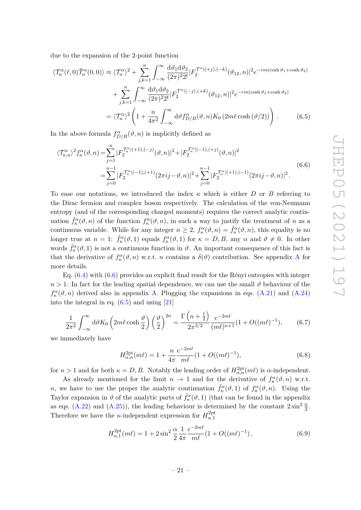due to the expansion of the 2-point function

$$
\langle \mathcal{T}_n^{\alpha}(\ell,0)\tilde{\mathcal{T}}_n^{\alpha}(0,0)\rangle \approx \langle \mathcal{T}_n^{\alpha}\rangle^2 + \sum_{j,k=1}^n \int_{-\infty}^{\infty} \frac{d\vartheta_1 d\vartheta_2}{(2\pi)^2 2!} |F_2^{\mathcal{T}^{\alpha}|(+j),(-k)}(\vartheta_{12},n)|^2 e^{-rm(\cosh\vartheta_1 + \cosh\vartheta_2)} + \sum_{j,k=1}^n \int_{-\infty}^{\infty} \frac{d\vartheta_1 d\vartheta_2}{(2\pi)^2 2!} |F_2^{\mathcal{T}^{\alpha}|(-j),(+k)}(\vartheta_{12},n)|^2 e^{-rm(\cosh\vartheta_1 + \cosh\vartheta_2)} = \langle \mathcal{T}_n^{\alpha}\rangle^2 \left(1 + \frac{n}{4\pi^2} \int_{-\infty}^{\infty} d\vartheta f_{D/B}^{\alpha}(\vartheta,n) K_0(2m\ell\cosh(\vartheta/2))\right).
$$
(6.5)

In the above formula  $f_{D/B}^{\alpha}(\vartheta, n)$  is implicitly defined as

<span id="page-21-1"></span><span id="page-21-0"></span>
$$
\langle \mathcal{T}^{\alpha}_{\kappa,n} \rangle^2 f^{\alpha}_{\kappa}(\vartheta, n) = \sum_{j=1}^n |F_2^{\mathcal{T}^{\alpha}_{\kappa}|(+1), (-j)}(\vartheta, n)|^2 + |F_2^{\mathcal{T}^{\alpha}_{\kappa}|(-1), (+j)}(\vartheta, n)|^2
$$
  
= 
$$
\sum_{j=0}^{n-1} |F_2^{\mathcal{T}^{\alpha}_{\kappa}|(-1), (+1)}(2\pi i j - \vartheta, n)|^2 + \sum_{j=0}^{n-1} |F_2^{\mathcal{T}^{\alpha}_{\kappa}|(+1), (-1)}(2\pi i j - \vartheta, n)|^2.
$$
 (6.6)

To ease our notations, we introduced the index *κ* which is either *D* or *B* referring to the Dirac fermion and complex boson respectively. The calculation of the von-Neumann entropy (and of the corresponding charged moments) requires the correct analytic continuation  $\tilde{f}_\kappa^{\alpha}(\vartheta, n)$  of the function  $f_\kappa^{\alpha}(\vartheta, n)$ , in such a way to justify the treatment of *n* as a continuous variable. While for any integer  $n \geq 2$ ,  $f_{\kappa}^{\alpha}(\vartheta, n) = \tilde{f}_{\kappa}^{\alpha}(\vartheta, n)$ , this equality is no longer true at  $n = 1$ :  $\tilde{f}_{\kappa}^{\alpha}(\vartheta, 1)$  equals  $f_{\kappa}^{\alpha}(\vartheta, 1)$  for  $\kappa = D, B$ , any  $\alpha$  and  $\vartheta \neq 0$ . In other words  $\tilde{f}_{\kappa}^{\alpha}(\vartheta,1)$  is not a continuous function in  $\vartheta$ . An important consequence of this fact is that the derivative of  $f_{\kappa}^{\alpha}(\vartheta, n)$  w.r.t. *n* contains a  $\delta(\vartheta)$  contribution. See appendix [A](#page-25-0) for more details.

Eq.  $(6.4)$  with  $(6.6)$  provides an explicit final result for the Rényi entropies with integer  $n > 1$ . In fact for the leading spatial dependence, we can use the small  $\vartheta$  behaviour of the  $f_{\kappa}^{\alpha}(\vartheta, n)$  derived also in appendix [A.](#page-25-0) Plugging the expansions in eqs. [\(A.21\)](#page-29-0) and [\(A.24\)](#page-29-1) into the integral in eq. [\(6.5\)](#page-21-1) and using [\[21\]](#page-35-2)

<span id="page-21-3"></span>
$$
\frac{1}{2\pi^2} \int_{-\infty}^{\infty} d\vartheta K_0 \left( 2m\ell \cosh\frac{\vartheta}{2} \right) \left( \frac{\vartheta}{2} \right)^{2n} = \frac{\Gamma\left(n + \frac{1}{2}\right)}{2\pi^{3/2}} \frac{e^{-2m\ell}}{(m\ell)^{n+1}} (1 + O((m\ell)^{-1}),\tag{6.7}
$$

we immediately have

<span id="page-21-2"></span>
$$
H_{\alpha,n}^{2\text{pt}}(m\ell) = 1 + \frac{n}{4\pi} \frac{e^{-2m\ell}}{m\ell} (1 + O((m\ell)^{-1}), \tag{6.8}
$$

for  $n > 1$  and for both  $\kappa = D, B$ . Notably the leading order of  $H_{\alpha,n}^{2pt}(m\ell)$  is  $\alpha$ -independent.

As already mentioned for the limit  $n \to 1$  and for the derivative of  $f_{\kappa}^{\alpha}(\vartheta, n)$  w.r.t. *n*, we have to use the proper the analytic continuation  $\tilde{f}_{\kappa}^{\alpha}(\vartheta,1)$  of  $f_{\kappa}^{\alpha}(\vartheta,n)$ . Using the Taylor expansion in  $\vartheta$  of the analytic parts of  $\tilde{f}^{\alpha}_{\kappa}(\vartheta,1)$  (that can be found in the appendix as eqs. [\(A.22\)](#page-29-2) and [\(A.25\)](#page-29-3)), the leading behaviour is determined by the constant  $2\sin^2\frac{\alpha}{2}$ . Therefore we have the *κ*-independent expression for  $H_{\alpha,1}^{\text{2pt}}$ *α,*1

$$
H_{\alpha,1}^{2pt}(m\ell) = 1 + 2\sin^2\frac{\alpha}{2}\frac{1}{4\pi}\frac{e^{-2m\ell}}{m\ell}(1 + O((m\ell)^{-1}),\tag{6.9}
$$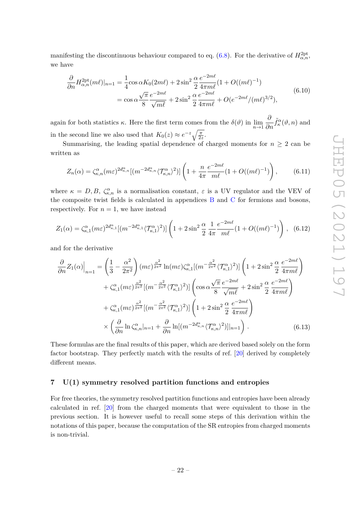manifesting the discontinuous behaviour compared to eq. [\(6.8\)](#page-21-2). For the derivative of  $H_{\alpha,n}^{\text{2pt}}$ , we have

$$
\frac{\partial}{\partial n} H_{\alpha,n}^{2pt}(m\ell)|_{n=1} = \frac{1}{4} \cos \alpha K_0(2m\ell) + 2 \sin^2 \frac{\alpha}{2} \frac{e^{-2m\ell}}{4\pi m\ell} (1 + O((m\ell)^{-1}))
$$
  
=  $\cos \alpha \frac{\sqrt{\pi}}{8} \frac{e^{-2m\ell}}{\sqrt{m\ell}} + 2 \sin^2 \frac{\alpha}{2} \frac{e^{-2m\ell}}{4\pi m\ell} + O(e^{-2m\ell}/(m\ell)^{3/2}),$  (6.10)

again for both statistics  $\kappa$ . Here the first term comes from the  $\delta(\vartheta)$  in  $\lim_{n\to 1} \frac{\partial}{\partial n}$  $\frac{\partial}{\partial n} \tilde{f}_{\kappa}^{\alpha}(\vartheta, n)$  and in the second line we also used that  $K_0(z) \approx e^{-z} \sqrt{\frac{\pi}{2z}}$ .

Summarising, the leading spatial dependence of charged moments for  $n \geq 2$  can be written as

<span id="page-22-1"></span>
$$
Z_n(\alpha) = \zeta_{\kappa,n}^{\alpha}(m\varepsilon)^{2d_{\kappa,n}^{\alpha}}[(m^{-2d_{\kappa,n}^{\alpha}}\langle \mathcal{T}_{\kappa,n}^{\alpha}\rangle^2)]\left(1 + \frac{n}{4\pi} \frac{e^{-2m\ell}}{m\ell} (1 + O((m\ell)^{-1})\right),\tag{6.11}
$$

where  $\kappa = D, B, \zeta_{\kappa,n}^{\alpha}$  is a normalisation constant,  $\varepsilon$  is a UV regulator and the VEV of the composite twist fields is calculated in appendices [B](#page-30-0) and [C](#page-32-0) for fermions and bosons, respectively. For  $n = 1$ , we have instead

$$
Z_1(\alpha) = \zeta_{\kappa,1}^{\alpha}(m\varepsilon)^{2d_{\kappa,1}^{\alpha}}[(m^{-2d_{\kappa,1}^{\alpha}}\langle \mathcal{T}_{\kappa,1}^{\alpha}\rangle^2)]\left(1+2\sin^2\frac{\alpha}{2}\frac{1}{4\pi}\frac{e^{-2m\ell}}{m\ell}(1+O((m\ell)^{-1})\right), (6.12)
$$

and for the derivative

$$
\frac{\partial}{\partial n} Z_1(\alpha) \Big|_{n=1} = \left( \frac{1}{3} - \frac{\alpha^2}{2\pi^2} \right) (m\varepsilon)^{\frac{\alpha^2}{2\pi^2}} \ln(m\varepsilon) \zeta_{\kappa,1}^{\alpha} [(m^{-\frac{\alpha^2}{2\pi^2}} \langle \mathcal{T}_{\kappa,1}^{\alpha} \rangle^2)] \left( 1 + 2\sin^2 \frac{\alpha}{2} \frac{e^{-2m\ell}}{4\pi m\ell} \right) \n+ \zeta_{\kappa,1}^{\alpha} (m\varepsilon)^{\frac{\alpha^2}{2\pi^2}} [(m^{-\frac{\alpha^2}{2\pi^2}} \langle \mathcal{T}_{\kappa,1}^{\alpha} \rangle^2)] \left( \cos \alpha \frac{\sqrt{\pi}}{8} \frac{e^{-2m\ell}}{\sqrt{m\ell}} + 2\sin^2 \frac{\alpha}{2} \frac{e^{-2m\ell}}{4\pi m\ell} \right) \n+ \zeta_{\kappa,1}^{\alpha} (m\varepsilon)^{\frac{\alpha^2}{2\pi^2}} [(m^{-\frac{\alpha^2}{2\pi^2}} \langle \mathcal{T}_{\kappa,1}^{\alpha} \rangle^2)] \left( 1 + 2\sin^2 \frac{\alpha}{2} \frac{e^{-2m\ell}}{4\pi m\ell} \right) \n\times \left( \frac{\partial}{\partial n} \ln \zeta_{\kappa,n}^{\alpha} |_{n=1} + \frac{\partial}{\partial n} \ln[(m^{-2d_{\kappa,n}^{\alpha}} \langle \mathcal{T}_{\kappa,n}^{\alpha} \rangle^2)] |_{n=1} \right). \tag{6.13}
$$

<span id="page-22-2"></span>These formulas are the final results of this paper, which are derived based solely on the form factor bootstrap. They perfectly match with the results of ref. [\[20\]](#page-35-1) derived by completely different means.

# <span id="page-22-0"></span>**7 U(1) symmetry resolved partition functions and entropies**

For free theories, the symmetry resolved partition functions and entropies have been already calculated in ref. [\[20\]](#page-35-1) from the charged moments that were equivalent to those in the previous section. It is however useful to recall some steps of this derivation within the notations of this paper, because the computation of the SR entropies from charged moments is non-trivial.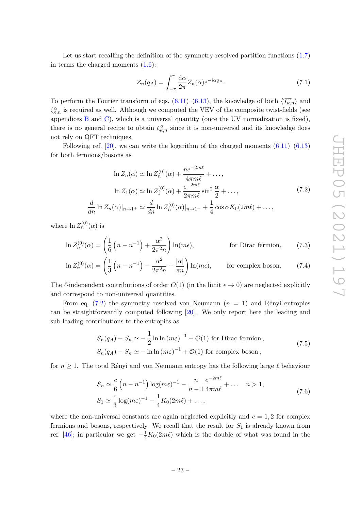Let us start recalling the definition of the symmetry resolved partition functions  $(1.7)$ in terms the charged moments  $(1.6)$ :

<span id="page-23-0"></span>
$$
\mathcal{Z}_n(q_A) = \int_{-\pi}^{\pi} \frac{d\alpha}{2\pi} Z_n(\alpha) e^{-i\alpha q_A}.
$$
\n(7.1)

To perform the Fourier transform of eqs.  $(6.11)$ – $(6.13)$ , the knowledge of both  $\langle \mathcal{T}_{\kappa,n}^{\alpha} \rangle$  and  $\zeta_{\kappa,n}^{\alpha}$  is required as well. Although we computed the VEV of the composite twist-fields (see appendices  $B$  and  $C$ ), which is a universal quantity (once the UV normalization is fixed), there is no general recipe to obtain  $\zeta_{\kappa,n}^{\alpha}$  since it is non-universal and its knowledge does not rely on QFT techniques.

Following ref.  $[20]$ , we can write the logarithm of the charged moments  $(6.11)$ – $(6.13)$ for both fermions/bosons as

$$
\ln Z_n(\alpha) \simeq \ln Z_n^{(0)}(\alpha) + \frac{ne^{-2m\ell}}{4\pi m\ell} + \dots,
$$
  
\n
$$
\ln Z_1(\alpha) \simeq \ln Z_1^{(0)}(\alpha) + \frac{e^{-2m\ell}}{2\pi m\ell} \sin^2 \frac{\alpha}{2} + \dots,
$$
  
\n
$$
\frac{d}{dn} \ln Z_n(\alpha)|_{n \to 1^+} \simeq \frac{d}{dn} \ln Z_n^{(0)}(\alpha)|_{n \to 1^+} + \frac{1}{4} \cos \alpha K_0(2m\ell) + \dots,
$$
\n(7.2)

where  $\ln Z_n^{(0)}(\alpha)$  is

$$
\ln Z_n^{(0)}(\alpha) = \left(\frac{1}{6}\left(n - n^{-1}\right) + \frac{\alpha^2}{2\pi^2 n}\right) \ln(m\epsilon), \qquad \text{for Dirac fermion,} \qquad (7.3)
$$

$$
\ln Z_n^{(0)}(\alpha) = \left(\frac{1}{3}\left(n - n^{-1}\right) - \frac{\alpha^2}{2\pi^2 n} + \frac{|\alpha|}{\pi n}\right) \ln(m\epsilon), \qquad \text{for complex boson.} \tag{7.4}
$$

The  $\ell$ -independent contributions of order  $O(1)$  (in the limit  $\epsilon \to 0$ ) are neglected explicitly and correspond to non-universal quantities.

From eq.  $(7.2)$  the symmetry resolved von Neumann  $(n = 1)$  and Rényi entropies can be straightforwardly computed following [\[20\]](#page-35-1). We only report here the leading and sub-leading contributions to the entropies as

$$
S_n(q_A) - S_n \simeq -\frac{1}{2} \ln \ln (m\varepsilon)^{-1} + \mathcal{O}(1) \text{ for Dirac fermion},
$$
  
\n
$$
S_n(q_A) - S_n \simeq -\ln \ln (m\varepsilon)^{-1} + \mathcal{O}(1) \text{ for complex boson},
$$
\n(7.5)

<span id="page-23-1"></span>for  $n \geq 1$ . The total Rényi and von Neumann entropy has the following large  $\ell$  behaviour

$$
S_n \simeq \frac{c}{6} \left( n - n^{-1} \right) \log(m\varepsilon)^{-1} - \frac{n}{n-1} \frac{e^{-2m\ell}}{4\pi m\ell} + \dots \quad n > 1,
$$
  
\n
$$
S_1 \simeq \frac{c}{3} \log(m\varepsilon)^{-1} - \frac{1}{4} K_0(2m\ell) + \dots,
$$
\n(7.6)

where the non-universal constants are again neglected explicitly and  $c = 1, 2$  for complex fermions and bosons, respectively. We recall that the result for *S*<sup>1</sup> is already known from ref. [\[46\]](#page-36-6); in particular we get  $-\frac{1}{4}K_0(2m\ell)$  which is the double of what was found in the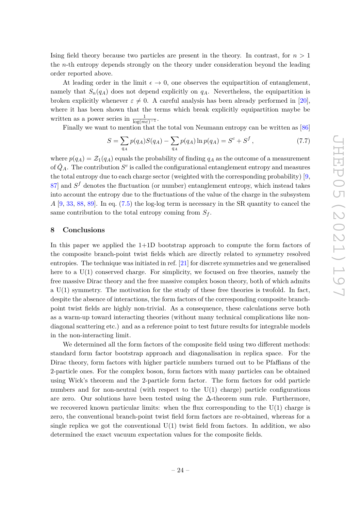Ising field theory because two particles are present in the theory. In contrast, for *n >* 1 the *n*-th entropy depends strongly on the theory under consideration beyond the leading order reported above.

At leading order in the limit  $\epsilon \to 0$ , one observes the equipartition of entanglement, namely that  $S_n(q_A)$  does not depend explicitly on  $q_A$ . Nevertheless, the equipartition is broken explicitly whenever  $\varepsilon \neq 0$ . A careful analysis has been already performed in [\[20\]](#page-35-1), where it has been shown that the terms which break explicitly equipartition maybe be written as a power series in  $\frac{1}{\log(m\varepsilon)^{-1}}$ .

Finally we want to mention that the total von Neumann entropy can be written as [\[86\]](#page-38-9)

$$
S = \sum_{q_A} p(q_A)S(q_A) - \sum_{q_A} p(q_A) \ln p(q_A) = S^c + S^f,
$$
\n(7.7)

where  $p(q_A) = \mathcal{Z}_1(q_A)$  equals the probability of finding  $q_A$  as the outcome of a measurement of  $\hat{Q}_A$ . The contribution  $S^c$  is called the configurational entanglement entropy and measures the total entropy due to each charge sector (weighted with the corresponding probability) [\[9,](#page-34-12)  $87$  and  $S<sup>f</sup>$  denotes the fluctuation (or number) entanglement entropy, which instead takes into account the entropy due to the fluctuations of the value of the charge in the subsystem *A* [\[9,](#page-34-12) [33,](#page-35-8) [88,](#page-38-11) [89\]](#page-39-0). In eq. [\(7.5\)](#page-23-1) the log-log term is necessary in the SR quantity to cancel the same contribution to the total entropy coming from  $S_f$ .

### <span id="page-24-0"></span>**8 Conclusions**

In this paper we applied the  $1+1D$  bootstrap approach to compute the form factors of the composite branch-point twist fields which are directly related to symmetry resolved entropies. The technique was initiated in ref. [\[21\]](#page-35-2) for discrete symmetries and we generalised here to a  $U(1)$  conserved charge. For simplicity, we focused on free theories, namely the free massive Dirac theory and the free massive complex boson theory, both of which admits a U(1) symmetry. The motivation for the study of these free theories is twofold. In fact, despite the absence of interactions, the form factors of the corresponding composite branchpoint twist fields are highly non-trivial. As a consequence, these calculations serve both as a warm-up toward interacting theories (without many technical complications like nondiagonal scattering etc.) and as a reference point to test future results for integrable models in the non-interacting limit.

We determined all the form factors of the composite field using two different methods: standard form factor bootstrap approach and diagonalisation in replica space. For the Dirac theory, form factors with higher particle numbers turned out to be Pfaffians of the 2-particle ones. For the complex boson, form factors with many particles can be obtained using Wick's theorem and the 2-particle form factor. The form factors for odd particle numbers and for non-neutral (with respect to the  $U(1)$  charge) particle configurations are zero. Our solutions have been tested using the ∆-theorem sum rule. Furthermore, we recovered known particular limits: when the flux corresponding to the  $U(1)$  charge is zero, the conventional branch-point twist field form factors are re-obtained, whereas for a single replica we got the conventional  $U(1)$  twist field from factors. In addition, we also determined the exact vacuum expectation values for the composite fields.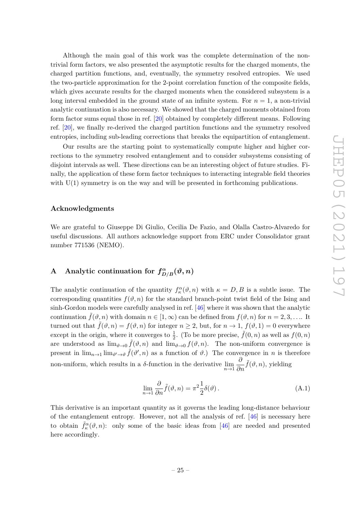Although the main goal of this work was the complete determination of the nontrivial form factors, we also presented the asymptotic results for the charged moments, the charged partition functions, and, eventually, the symmetry resolved entropies. We used the two-particle approximation for the 2-point correlation function of the composite fields, which gives accurate results for the charged moments when the considered subsystem is a long interval embedded in the ground state of an infinite system. For  $n = 1$ , a non-trivial analytic continuation is also necessary. We showed that the charged moments obtained from form factor sums equal those in ref. [\[20\]](#page-35-1) obtained by completely different means. Following ref. [\[20\]](#page-35-1), we finally re-derived the charged partition functions and the symmetry resolved entropies, including sub-leading corrections that breaks the equipartition of entanglement.

Our results are the starting point to systematically compute higher and higher corrections to the symmetry resolved entanglement and to consider subsystems consisting of disjoint intervals as well. These directions can be an interesting object of future studies. Finally, the application of these form factor techniques to interacting integrable field theories with  $U(1)$  symmetry is on the way and will be presented in forthcoming publications.

# **Acknowledgments**

We are grateful to Giuseppe Di Giulio, Cecilia De Fazio, and Olalla Castro-Alvaredo for useful discussions. All authors acknowledge support from ERC under Consolidator grant number 771536 (NEMO).

# <span id="page-25-0"></span>**A** Analytic continuation for  $f_{D/B}^{\alpha}(\vartheta, n)$

The analytic continuation of the quantity  $f_{\kappa}^{\alpha}(\vartheta, n)$  with  $\kappa = D, B$  is a subtle issue. The corresponding quantities  $f(\vartheta, n)$  for the standard branch-point twist field of the Ising and sinh-Gordon models were carefully analysed in ref. [\[46\]](#page-36-6) where it was shown that the analytic continuation  $\tilde{f}(\vartheta, n)$  with domain  $n \in [1, \infty)$  can be defined from  $f(\vartheta, n)$  for  $n = 2, 3, \ldots$  It turned out that  $\tilde{f}(\vartheta, n) = f(\vartheta, n)$  for integer  $n \geq 2$ , but, for  $n \to 1$ ,  $f(\vartheta, 1) = 0$  everywhere except in the origin, where it converges to  $\frac{1}{2}$ . (To be more precise,  $\tilde{f}(0, n)$  as well as  $f(0, n)$ are understood as  $\lim_{\vartheta\to 0} \tilde{f}(\vartheta,n)$  and  $\lim_{\vartheta\to 0} f(\vartheta,n)$ . The non-uniform convergence is present in  $\lim_{n\to 1} \lim_{\vartheta'\to\vartheta} \tilde{f}(\vartheta',n)$  as a function of  $\vartheta$ .) The convergence in *n* is therefore non-uniform, which results in a *δ*-function in the derivative  $\lim_{n\to 1} \frac{\partial}{\partial n}$  $\frac{\partial}{\partial n}$ *f*<sup>( $\vartheta$ , *n*), yielding</sup>

<span id="page-25-1"></span>
$$
\lim_{n \to 1} \frac{\partial}{\partial n} \tilde{f}(\vartheta, n) = \pi^2 \frac{1}{2} \delta(\vartheta).
$$
\n(A.1)

This derivative is an important quantity as it governs the leading long-distance behaviour of the entanglement entropy. However, not all the analysis of ref. [\[46\]](#page-36-6) is necessary here to obtain  $\tilde{f}_{\kappa}^{\alpha}(\vartheta, n)$ : only some of the basic ideas from [\[46\]](#page-36-6) are needed and presented here accordingly.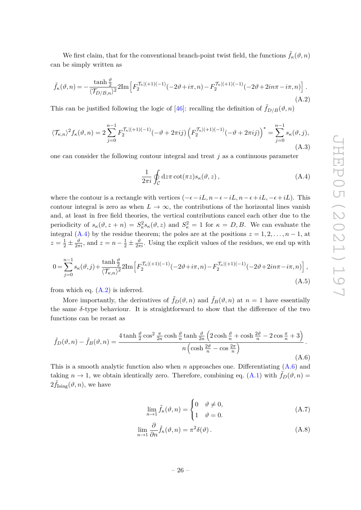We first claim, that for the conventional branch-point twist field, the functions  $\hat{f}_{\kappa}(\vartheta, n)$ can be simply written as

<span id="page-26-1"></span>
$$
\tilde{f}_{\kappa}(\vartheta, n) = -\frac{\tanh\frac{\vartheta}{2}}{\langle \mathcal{T}_{D/B,n} \rangle^2} 2\mathrm{Im} \left[ F_2^{\mathcal{T}_{\kappa} | (+1)(-1)}(-2\vartheta + i\pi, n) - F_2^{\mathcal{T}_{\kappa} | (+1)(-1)}(-2\vartheta + 2in\pi - i\pi, n) \right].
$$
\n(A.2)

This can be justified following the logic of [\[46\]](#page-36-6): recalling the definition of  $\tilde{f}_{D/B}(\vartheta, n)$ 

$$
\langle \mathcal{T}_{\kappa,n} \rangle^2 f_{\kappa}(\vartheta, n) = 2 \sum_{j=0}^{n-1} F_2^{\mathcal{T}_{\kappa}[(+1)(-1)}(-\vartheta + 2\pi i j) \left( F_2^{\mathcal{T}_{\kappa}[(+1)(-1)}(-\vartheta + 2\pi i j) \right)^* = \sum_{j=0}^{n-1} s_{\kappa}(\vartheta, j),
$$
\n(A.3)

one can consider the following contour integral and treat *j* as a continuous parameter

<span id="page-26-0"></span>
$$
\frac{1}{2\pi i} \oint_C dz \pi \cot(\pi z) s_{\kappa}(\vartheta, z), \tag{A.4}
$$

where the contour is a rectangle with vertices  $(-\epsilon - iL, n - \epsilon + iL, n - \epsilon + iL)$ . This contour integral is zero as when  $L \to \infty$ , the contributions of the horizontal lines vanish and, at least in free field theories, the vertical contributions cancel each other due to the periodicity of  $s_{\kappa}(\vartheta, z + n) = S_{\kappa}^2 s_{\kappa}(\vartheta, z)$  and  $S_{\kappa}^2 = 1$  for  $\kappa = D, B$ . We can evaluate the integral [\(A.4\)](#page-26-0) by the residue theorem; the poles are at the positions  $z = 1, 2, \ldots, n - 1$ , at  $z = \frac{1}{2} \pm \frac{\vartheta}{2\pi i}$ , and  $z = n - \frac{1}{2} \pm \frac{\vartheta}{2\pi i}$ . Using the explicit values of the residues, we end up with

$$
0 = \sum_{j=0}^{n-1} s_{\kappa}(\vartheta, j) + \frac{\tanh\frac{\vartheta}{2}}{\langle \mathcal{T}_{\kappa,n} \rangle^2} 2\mathrm{Im} \left[ F_2^{\mathcal{T}_{\kappa}|(+1)(-1)}(-2\vartheta + i\pi, n) - F_2^{\mathcal{T}_{\kappa}|(+1)(-1)}(-2\vartheta + 2i n\pi - i\pi, n) \right],
$$
\n(A.5)

from which eq.  $(A.2)$  is inferred.

More importantly, the derivatives of  $\tilde{f}_D(\vartheta, n)$  and  $\tilde{f}_B(\vartheta, n)$  at  $n = 1$  have essentially the same *δ*-type behaviour. It is straightforward to show that the difference of the two functions can be recast as

<span id="page-26-2"></span>
$$
\tilde{f}_D(\vartheta, n) - \tilde{f}_B(\vartheta, n) = \frac{4 \tanh \frac{\vartheta}{2} \cos^2 \frac{\pi}{2n} \cosh \frac{\vartheta}{n} \tanh \frac{\vartheta}{2n} \left(2 \cosh \frac{\vartheta}{n} + \cosh \frac{2\vartheta}{n} - 2 \cos \frac{\pi}{n} + 3\right)}{n \left(\cosh \frac{2\vartheta}{n} - \cos \frac{2\pi}{n}\right)}.
$$
\n(A.6)

This is a smooth analytic function also when *n* approaches one. Differentiating [\(A.6\)](#page-26-2) and taking  $n \to 1$ , we obtain identically zero. Therefore, combining eq. [\(A.1\)](#page-25-1) with  $\tilde{f}_D(\vartheta, n) =$  $2\tilde{f}_{\text{Ising}}(\vartheta, n)$ , we have

$$
\lim_{n \to 1} \tilde{f}_{\kappa}(\vartheta, n) = \begin{cases} 0 & \vartheta \neq 0, \\ 1 & \vartheta = 0. \end{cases}
$$
 (A.7)

$$
\lim_{n \to 1} \frac{\partial}{\partial n} \tilde{f}_{\kappa}(\vartheta, n) = \pi^2 \delta(\vartheta).
$$
\n(A.8)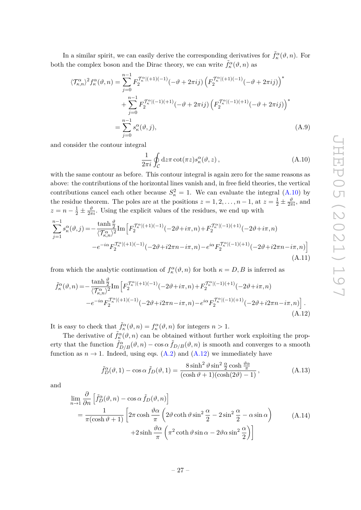In a similar spirit, we can easily derive the corresponding derivatives for  $\tilde{f}_{\kappa}^{\alpha}(\vartheta, n)$ . For both the complex boson and the Dirac theory, we can write  $\tilde{f}_{\kappa}^{\alpha}(\vartheta, n)$  as

$$
\langle \mathcal{T}_{\kappa,n}^{\alpha} \rangle^2 f_{\kappa}^{\alpha}(\vartheta, n) = \sum_{j=0}^{n-1} F_2^{\mathcal{T}_{\kappa}^{\alpha}|(+1)(-1)}(-\vartheta + 2\pi i j) \left( F_2^{\mathcal{T}_{\kappa}^{\alpha}|(+1)(-1)}(-\vartheta + 2\pi i j) \right)^* + \sum_{j=0}^{n-1} F_2^{\mathcal{T}_{\kappa}^{\alpha}|(-1)(+1)}(-\vartheta + 2\pi i j) \left( F_2^{\mathcal{T}_{\kappa}^{\alpha}|(-1)(+1)}(-\vartheta + 2\pi i j) \right)^* = \sum_{j=0}^{n-1} s_{\kappa}^{\alpha}(\vartheta, j),
$$
 (A.9)

and consider the contour integral

<span id="page-27-0"></span>
$$
\frac{1}{2\pi i} \oint_C dz \pi \cot(\pi z) s_\kappa^\alpha(\vartheta, z) , \qquad (A.10)
$$

with the same contour as before. This contour integral is again zero for the same reasons as above: the contributions of the horizontal lines vanish and, in free field theories, the vertical contributions cancel each other because  $S_{\kappa}^2 = 1$ . We can evaluate the integral [\(A.10\)](#page-27-0) by the residue theorem. The poles are at the positions  $z = 1, 2, \ldots, n - 1$ , at  $z = \frac{1}{2} \pm \frac{\vartheta}{2\pi i}$ , and  $z = n - \frac{1}{2} \pm \frac{\vartheta}{2\pi i}$ . Using the explicit values of the residues, we end up with

$$
\sum_{j=1}^{n-1} s_{\kappa}^{\alpha}(\vartheta, j) = -\frac{\tanh\frac{\vartheta}{2}}{\langle \mathcal{T}_{\kappa,n}^{\alpha}\rangle^{2}} \text{Im}\left[F_{2}^{\mathcal{T}_{\kappa}^{\alpha}|(+1)(-1)}(-2\vartheta + i\pi, n) + F_{2}^{\mathcal{T}_{\kappa}^{\alpha}|(-1)(+1)}(-2\vartheta + i\pi, n) - e^{-i\alpha}F_{2}^{\mathcal{T}_{\kappa}^{\alpha}|(+1)(-1)}(-2\vartheta + i2\pi n - i\pi, n) - e^{i\alpha}F_{2}^{\mathcal{T}_{\kappa}^{\alpha}|(-1)(+1)}(-2\vartheta + i2\pi n - i\pi, n)\right]
$$
\n(A.11)

from which the analytic continuation of  $f_{\kappa}^{\alpha}(\vartheta, n)$  for both  $\kappa = D, B$  is inferred as

<span id="page-27-1"></span>
$$
\tilde{f}_{\kappa}^{\alpha}(\vartheta,n) = -\frac{\tanh\frac{\vartheta}{2}}{\langle \mathcal{T}_{\kappa,n}^{\alpha}\rangle^{2}} \text{Im}\left[F_{2}^{\mathcal{T}_{\kappa}^{\alpha}|(+1)(-1)}(-2\vartheta+i\pi,n) + F_{2}^{\mathcal{T}_{\kappa}^{\alpha}|(-1)(+1)}(-2\vartheta+i\pi,n) - e^{-i\alpha}F_{2}^{\mathcal{T}_{\kappa}^{\alpha}|(+1)(-1)}(-2\vartheta+i2\pi n-i\pi,n) - e^{i\alpha}F_{2}^{\mathcal{T}_{\kappa}^{\alpha}|(-1)(+1)}(-2\vartheta+i2\pi n-i\pi,n)\right].
$$
\n(A.12)

It is easy to check that  $\tilde{f}_{\kappa}^{\alpha}(\vartheta, n) = f_{\kappa}^{\alpha}(\vartheta, n)$  for integers  $n > 1$ .

The derivative of  $\tilde{f}_{\kappa}^{\alpha}(\vartheta, n)$  can be obtained without further work exploiting the property that the function  $\tilde{f}_{D/B}^{\alpha}(\vartheta, n) - \cos \alpha \tilde{f}_{D/B}(\vartheta, n)$  is smooth and converges to a smooth function as  $n \to 1$ . Indeed, using eqs. [\(A.2\)](#page-26-1) and [\(A.12\)](#page-27-1) we immediately have

$$
\tilde{f}_D^{\alpha}(\vartheta, 1) - \cos \alpha \, \tilde{f}_D(\vartheta, 1) = \frac{8 \sinh^2 \vartheta \sin^2 \frac{\alpha}{2} \cosh \frac{\vartheta \alpha}{\pi}}{(\cosh \vartheta + 1)(\cosh(2\vartheta) - 1)},\tag{A.13}
$$

and

$$
\lim_{n \to 1} \frac{\partial}{\partial n} \left[ \tilde{f}_D^{\alpha}(\vartheta, n) - \cos \alpha \tilde{f}_D(\vartheta, n) \right]
$$
\n
$$
= \frac{1}{\pi (\cosh \vartheta + 1)} \left[ 2\pi \cosh \frac{\vartheta \alpha}{\pi} \left( 2\vartheta \coth \vartheta \sin^2 \frac{\alpha}{2} - 2\sin^2 \frac{\alpha}{2} - \alpha \sin \alpha \right) + 2\sinh \frac{\vartheta \alpha}{\pi} \left( \pi^2 \coth \vartheta \sin \alpha - 2\vartheta \alpha \sin^2 \frac{\alpha}{2} \right) \right]
$$
\n(A.14)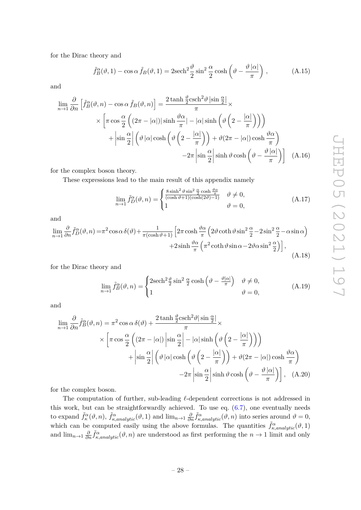for the Dirac theory and

$$
\tilde{f}_B^{\alpha}(\vartheta, 1) - \cos \alpha \tilde{f}_B(\vartheta, 1) = 2\mathrm{sech}^2 \frac{\vartheta}{2} \sin^2 \frac{\alpha}{2} \cosh \left(\vartheta - \frac{\vartheta |\alpha|}{\pi}\right), \tag{A.15}
$$

and

$$
\lim_{n \to 1} \frac{\partial}{\partial n} \left[ \tilde{f}_B^{\alpha}(\vartheta, n) - \cos \alpha \tilde{f}_B(\vartheta, n) \right] = \frac{2 \tanh \frac{\vartheta}{2} \text{csch}^2 \vartheta \left| \sin \frac{\alpha}{2} \right|}{\pi} \times \left[ \pi \cos \frac{\alpha}{2} \left( (2\pi - |\alpha|) |\sinh \frac{\vartheta \alpha}{\pi}| - |\alpha| \sinh \left( \vartheta \left( 2 - \frac{|\alpha|}{\pi} \right) \right) \right) \right] + \left| \sin \frac{\alpha}{2} \right| \left( \vartheta \left| \alpha \right| \cosh \left( \vartheta \left( 2 - \frac{|\alpha|}{\pi} \right) \right) + \vartheta (2\pi - |\alpha|) \cosh \frac{\vartheta \alpha}{\pi} \right) - 2\pi \left| \sin \frac{\alpha}{2} \right| \sinh \vartheta \cosh \left( \vartheta - \frac{\vartheta |\alpha|}{\pi} \right) \right]
$$
(A.16)

for the complex boson theory.

These expressions lead to the main result of this appendix namely

$$
\lim_{n \to 1} \tilde{f}_D^{\alpha}(\vartheta, n) = \begin{cases} \frac{8 \sinh^2 \vartheta \sin^2 \frac{\alpha}{2} \cosh \frac{\vartheta \alpha}{\pi}}{(\cosh \vartheta + 1)(\cosh(2\vartheta) - 1)} & \vartheta \neq 0, \\ 1 & \vartheta = 0, \end{cases}
$$
\n(A.17)

and

$$
\lim_{n \to 1} \frac{\partial}{\partial n} \tilde{f}_D^{\alpha}(\vartheta, n) = \pi^2 \cos \alpha \delta(\vartheta) + \frac{1}{\pi (\cosh \vartheta + 1)} \left[ 2\pi \cosh \frac{\vartheta \alpha}{\pi} \left( 2\vartheta \coth \vartheta \sin^2 \frac{\alpha}{2} - 2\sin^2 \frac{\alpha}{2} - \alpha \sin \alpha \right) \right. \\
\left. + 2\sinh \frac{\vartheta \alpha}{\pi} \left( \pi^2 \coth \vartheta \sin \alpha - 2\vartheta \alpha \sin^2 \frac{\alpha}{2} \right) \right],
$$
\n(A.18)

for the Dirac theory and

$$
\lim_{n \to 1} \tilde{f}_B^{\alpha}(\vartheta, n) = \begin{cases} 2\mathrm{sech}^2 \frac{\vartheta}{2} \sin^2 \frac{\alpha}{2} \cosh \left(\vartheta - \frac{\vartheta |\alpha|}{\pi}\right) & \vartheta \neq 0, \\ 1 & \vartheta = 0, \end{cases}
$$
(A.19)

and

$$
\lim_{n \to 1} \frac{\partial}{\partial n} \tilde{f}_B^{\alpha}(\vartheta, n) = \pi^2 \cos \alpha \delta(\vartheta) + \frac{2 \tanh \frac{\vartheta}{2} \text{csch}^2 \vartheta |\sin \frac{\alpha}{2}|}{\pi} \times \left[ \pi \cos \frac{\alpha}{2} \left( (2\pi - |\alpha|) \left| \sin \frac{\alpha}{2} \right| - |\alpha| \sinh \left( \vartheta \left( 2 - \frac{|\alpha|}{\pi} \right) \right) \right) \right] + \left| \sin \frac{\alpha}{2} \right| \left( \vartheta |\alpha| \cosh \left( \vartheta \left( 2 - \frac{|\alpha|}{\pi} \right) \right) + \vartheta (2\pi - |\alpha|) \cosh \frac{\vartheta \alpha}{\pi} \right) - 2\pi \left| \sin \frac{\alpha}{2} \right| \sinh \vartheta \cosh \left( \vartheta - \frac{\vartheta |\alpha|}{\pi} \right) \right], \quad (A.20)
$$

for the complex boson.

The computation of further, sub-leading  $\ell$ -dependent corrections is not addressed in this work, but can be straightforwardly achieved. To use eq.  $(6.7)$ , one eventually needs to expand  $\tilde{f}_{\kappa}^{\alpha}(\vartheta, n)$ ,  $\tilde{f}_{\kappa,analytic}^{\alpha}(\vartheta, 1)$  and  $\lim_{n\to 1} \frac{\partial}{\partial n}$  $\frac{\partial}{\partial n} \tilde{f}_{\kappa,analytic}^{\alpha}(\vartheta, n)$  into series around  $\vartheta = 0$ , which can be computed easily using the above formulas. The quantities  $\tilde{f}_{\kappa,analytic}^{\alpha}(\vartheta,1)$ and  $\lim_{n\to 1} \frac{\partial}{\partial n}$  $\frac{\partial}{\partial n} \tilde{f}^{\alpha}_{\kappa,analytic}(\vartheta, n)$  are understood as first performing the  $n \to 1$  limit and only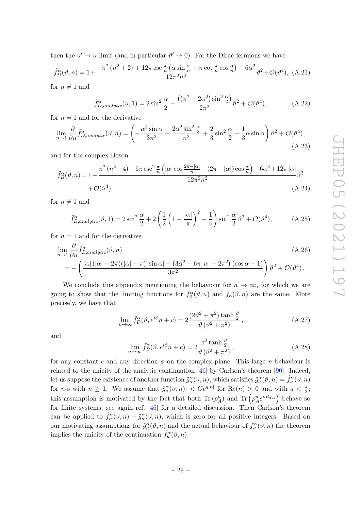then the  $\vartheta' \to \vartheta$  limit (and in particular  $\vartheta' \to 0$ ). For the Dirac fermions we have

<span id="page-29-0"></span>
$$
\tilde{f}_D^{\alpha}(\vartheta, n) = 1 + \frac{-\pi^2 \left(n^2 + 2\right) + 12\pi \csc \frac{\pi}{n} \left(\alpha \sin \frac{\alpha}{n} + \pi \cot \frac{\pi}{n} \cos \frac{\alpha}{n}\right) + 6\alpha^2}{12\pi^2 n^2} \vartheta^2 + \mathcal{O}(\vartheta^4), \text{ (A.21)}
$$

for  $n \neq 1$  and

<span id="page-29-2"></span><span id="page-29-1"></span>
$$
\tilde{f}_{D,analytic}^{\alpha}(\vartheta,1) = 2\sin^2\frac{\alpha}{2} - \frac{((\pi^2 - 2\alpha^2)\sin^2\frac{\alpha}{2})}{2\pi^2}\vartheta^2 + \mathcal{O}(\vartheta^4),\tag{A.22}
$$

for  $n = 1$  and for the derivative

$$
\lim_{n \to 1} \frac{\partial}{\partial n} \tilde{f}_{D,analytic}^{\alpha}(\vartheta, n) = \left( -\frac{\alpha^3 \sin \alpha}{3\pi^2} - \frac{2\alpha^2 \sin^2 \frac{\alpha}{2}}{\pi^2} + \frac{2}{3} \sin^2 \frac{\alpha}{2} + \frac{1}{3} \alpha \sin \alpha \right) \vartheta^2 + \mathcal{O}(\vartheta^4),\tag{A.23}
$$

and for the complex Boson

$$
\tilde{f}_B^{\alpha}(\vartheta, n) = 1 - \frac{\pi^2 (n^2 - 4) + 6\pi \csc^2 \frac{\pi}{n} \left( |\alpha| \cos \frac{2\pi - |\alpha|}{n} + (2\pi - |\alpha|) \cos \frac{\alpha}{n} \right) - 6\alpha^2 + 12\pi |\alpha|}{12\pi^2 n^2} \vartheta^2
$$
\n
$$
+ \mathcal{O}(\vartheta^4) \tag{A.24}
$$

for  $n \neq 1$  and

<span id="page-29-3"></span>
$$
\tilde{f}_{B,analytic}^{\alpha}(\vartheta,1) = 2\sin^2\frac{\alpha}{2} + 2\left(\frac{1}{2}\left(1 - \frac{|\alpha|}{\pi}\right)^2 - \frac{1}{4}\right)\sin^2\frac{\alpha}{2}\vartheta^2 + \mathcal{O}(\vartheta^4),\tag{A.25}
$$

for  $n = 1$  and for the derivative

$$
\lim_{n \to 1} \frac{\partial}{\partial n} \tilde{f}_{B,analytic}^{\alpha}(\vartheta, n)
$$
\n
$$
= -\left(\frac{|\alpha| \left(|\alpha| - 2\pi\right)(|\alpha| - \pi)| \sin \alpha| - (3\alpha^2 - 6\pi |\alpha| + 2\pi^2) (\cos \alpha - 1)}{3\pi^2}\right) \vartheta^2 + \mathcal{O}(\vartheta^4).
$$
\n(A.26)

We conclude this appendix mentioning the behaviour for  $n \to \infty$ , for which we are going to show that the limiting functions for  $\tilde{f}_\kappa^{\alpha}(\vartheta,n)$  and  $\tilde{f}_\kappa(\vartheta,n)$  are the same. More precisely, we have that

$$
\lim_{n \to \infty} \tilde{f}_D^{\alpha}(\vartheta, e^{i\phi} n + c) = 2 \frac{(2\vartheta^2 + \pi^2) \tanh \frac{\vartheta}{2}}{\vartheta (\vartheta^2 + \pi^2)},
$$
\n(A.27)

and

$$
\lim_{n \to \infty} \tilde{f}_B^{\alpha}(\vartheta, e^{i\phi} n + c) = 2 \frac{\pi^2 \tanh \frac{\vartheta}{2}}{\vartheta (\vartheta^2 + \pi^2)},
$$
\n(A.28)

for any constant *c* and any direction  $\phi$  on the complex plane. This large *n* behaviour is related to the unicity of the analytic continuation  $[46]$  by Carlson's theorem  $[90]$ . Indeed, Let us suppose the existence of another function  $\tilde{g}^{\alpha}_{\kappa}(\vartheta, n)$ , which satisfies  $\tilde{g}^{\alpha}_{\kappa}(\vartheta, n) = \tilde{f}^{\alpha}_{\kappa}(\vartheta, n)$ for *n*-s with  $n \ge 1$ . We assume that  $\tilde{g}_\kappa^\alpha(\vartheta, n) < C e^{q|n|}$  for  $\text{Re}(n) > 0$  and with  $q < \frac{\pi}{2}$ ; this assumption is motivated by the fact that both  $\text{Tr}(\rho_A^n)$  and  $\text{Tr}(\rho_A^n e^{i\alpha \hat{Q}_A})$  behave so for finite systems, see again ref. [\[46\]](#page-36-6) for a detailed discussion. Then Carlson's theorem can be applied to  $\tilde{f}^{\alpha}_{\kappa}(\vartheta,n) - \tilde{g}^{\alpha}_{\kappa}(\vartheta,n)$ , which is zero for all positive integers. Based on our motivating assumptions for  $\tilde{g}^{\alpha}_{\kappa}(\vartheta, n)$  and the actual behaviour of  $\tilde{f}^{\alpha}_{\kappa}(\vartheta, n)$  the theorem implies the unicity of the continuation  $\tilde{f}_{\kappa}^{\alpha}(\vartheta, n)$ .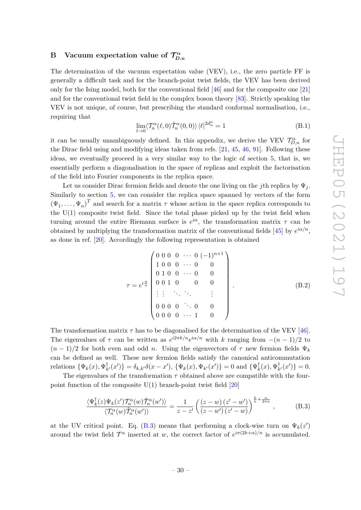### <span id="page-30-0"></span>**B** Vacuum expectation value of  $\mathcal{T}_D^{\alpha}$ *D.n*

The determination of the vacuum expectation value (VEV), i.e., the zero particle FF is generally a difficult task and for the branch-point twist fields, the VEV has been derived only for the Ising model, both for the conventional field [\[46\]](#page-36-6) and for the composite one [\[21\]](#page-35-2) and for the conventional twist field in the complex boson theory [\[83\]](#page-38-6). Strictly speaking the VEV is not unique, of course, but prescribing the standard conformal normalisation, i.e., requiring that

$$
\lim_{l \to 0} \langle \mathcal{T}_n^{\alpha}(\ell, 0) \tilde{\mathcal{T}}_n^{\alpha}(0, 0) \rangle |\ell|^{2d_n^{\alpha}} = 1
$$
\n(B.1)

it can be usually unambiguously defined. In this appendix, we derive the VEV  $\mathcal{T}_{D,n}^{\alpha}$  for the Dirac field using and modifying ideas taken from refs. [\[21,](#page-35-2) [45,](#page-36-5) [46,](#page-36-6) [91\]](#page-39-2). Following these ideas, we eventually proceed in a very similar way to the logic of section [5,](#page-17-1) that is, we essentially perform a diagonalisation in the space of replicas and exploit the factorisation of the field into Fourier components in the replica space.

Let us consider Dirac fermion fields and denote the one living on the *j*th replica by Ψ*<sup>j</sup>* . Similarly to section [5,](#page-17-1) we can consider the replica space spanned by vectors of the form  $(\Psi_1, \ldots, \Psi_n)^T$  and search for a matrix  $\tau$  whose action in the space replica corresponds to the  $U(1)$  composite twist field. Since the total phase picked up by the twist field when turning around the entire Riemann surface is *e iα*, the transformation matrix *τ* can be obtained by multiplying the transformation matrix of the conventional fields  $[45]$  by  $e^{i\alpha/n}$ , as done in ref. [\[20\]](#page-35-1). Accordingly the following representation is obtained

$$
\tau = e^{i\frac{\alpha}{n}} \begin{pmatrix} 0 & 0 & 0 & \cdots & 0 & (-1)^{n+1} \\ 1 & 0 & 0 & \cdots & 0 & & 0 \\ 0 & 1 & 0 & 0 & \cdots & 0 & 0 \\ 0 & 0 & 1 & 0 & & 0 & 0 \\ \vdots & \vdots & \ddots & \ddots & & \vdots & \vdots \\ 0 & 0 & 0 & 0 & \cdots & 0 & 0 \\ 0 & 0 & 0 & \cdots & 1 & 0 \end{pmatrix}
$$
(B.2)

The transformation matrix  $\tau$  has to be diagonalised for the determination of the VEV [\[46\]](#page-36-6). The eigenvalues of  $\tau$  can be written as  $e^{i2\pi k/n}e^{i\alpha/n}$  with *k* ranging from  $-(n-1)/2$  to  $(n-1)/2$  for both even and odd *n*. Using the eigenvectors of  $\tau$  new fermion fields  $\Psi_k$ can be defined as well. These new fermion fields satisfy the canonical anticommutation relations  $\{\Psi_k(x), \Psi_k^{\dagger}\}$  $\phi_{k'}^{\dagger}(x')$ } =  $\delta_{k,k'}\delta(x-x')$ , { $\Psi_k(x)$ ,  $\Psi_{k'}(x')$ } = 0 and { $\Psi_k^{\dagger}$ }  $\frac{1}{k}(x), \Psi_k^{\dagger}$  $\chi^{\dagger}_{k'}(x')\} = 0.$ 

The eigenvalues of the transformation  $\tau$  obtained above are compatible with the fourpoint function of the composite  $U(1)$  branch-point twist field [\[20\]](#page-35-1)

<span id="page-30-1"></span>
$$
\frac{\langle \Psi_k^{\dagger}(z)\Psi_k(z')\mathcal{T}_n^{\alpha}(w)\tilde{\mathcal{T}}_n^{\alpha}(w')\rangle}{\langle \mathcal{T}_n^{\alpha}(w)\tilde{\mathcal{T}}_n^{\alpha}(w')\rangle} = \frac{1}{z-z'}\left(\frac{(z-w)(z'-w')}{(z-w')(z'-w)}\right)^{\frac{k}{n}+\frac{\alpha}{2\pi n}},\tag{B.3}
$$

at the UV critical point. Eq. [\(B.3\)](#page-30-1) means that performing a clock-wise turn on  $\Psi_k(z)$ around the twist field  $\mathcal{T}^{\alpha}$  inserted at *w*, the correct factor of  $e^{i\pi(2k+\alpha)/n}$  is accumulated.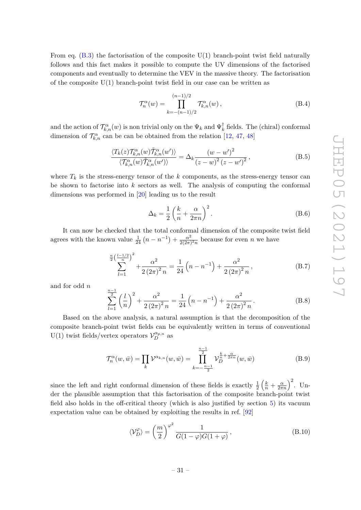From eq.  $(B.3)$  the factorisation of the composite  $U(1)$  branch-point twist field naturally follows and this fact makes it possible to compute the UV dimensions of the factorised components and eventually to determine the VEV in the massive theory. The factorisation of the composite  $U(1)$  branch-point twist field in our case can be written as

$$
\mathcal{T}_n^{\alpha}(w) = \prod_{k=-(n-1)/2}^{(n-1)/2} \mathcal{T}_{k,n}^{\alpha}(w) ,\qquad (B.4)
$$

and the action of  $\mathcal{T}_{k,n}^{\alpha}(w)$  is non trivial only on the  $\Psi_k$  and  $\Psi_k^{\dagger}$  $\overline{k}$  fields. The (chiral) conformal dimension of  $\mathcal{T}_{k,n}^{\alpha}$  can be can be obtained from the relation [\[12,](#page-34-11) [47,](#page-36-7) [48\]](#page-36-8)

$$
\frac{\langle T_k(z)\mathcal{T}_{k,n}^{\alpha}(w)\tilde{\mathcal{T}}_{k,n}^{\alpha}(w')\rangle}{\langle \mathcal{T}_{k,n}^{\alpha}(w)\tilde{\mathcal{T}}_{k,n}^{\alpha}(w')\rangle} = \Delta_k \frac{(w-w')^2}{(z-w')^2},
$$
(B.5)

where  $T_k$  is the stress-energy tensor of the  $k$  components, as the stress-energy tensor can be shown to factorise into *k* sectors as well. The analysis of computing the conformal dimensions was performed in [\[20\]](#page-35-1) leading us to the result

$$
\Delta_k = \frac{1}{2} \left( \frac{k}{n} + \frac{\alpha}{2\pi n} \right)^2.
$$
\n(B.6)

It can now be checked that the total conformal dimension of the composite twist field agrees with the known value  $\frac{1}{24}(n - n^{-1}) + \frac{\alpha^2}{2(2\pi)}$  $\frac{\alpha^2}{2(2\pi)^2 n}$  because for even *n* we have

$$
\sum_{l=1}^{\frac{n}{2}\left(\frac{l-1/2}{n}\right)^2} + \frac{\alpha^2}{2\left(2\pi\right)^2 n} = \frac{1}{24} \left(n - n^{-1}\right) + \frac{\alpha^2}{2\left(2\pi\right)^2 n},\tag{B.7}
$$

and for odd *n*

$$
\sum_{l=1}^{\frac{n-1}{2}} \left(\frac{l}{n}\right)^2 + \frac{\alpha^2}{2\left(2\pi\right)^2 n} = \frac{1}{24} \left(n - n^{-1}\right) + \frac{\alpha^2}{2\left(2\pi\right)^2 n}.
$$
 (B.8)

Based on the above analysis, a natural assumption is that the decomposition of the composite branch-point twist fields can be equivalently written in terms of conventional U(1) twist fields/vertex operators  $\mathcal{V}_{D}^{\alpha_{p,n}}$  as

$$
\mathcal{T}_n^{\alpha}(w,\bar{w}) = \prod_k \mathcal{V}^{\alpha_{k,n}}(w,\bar{w}) = \prod_{k=-\frac{n-1}{2}}^{\frac{n-1}{2}} \mathcal{V}_D^{\frac{k}{n} + \frac{\alpha}{2\pi n}}(w,\bar{w})
$$
(B.9)

since the left and right conformal dimension of these fields is exactly  $\frac{1}{2} \left( \frac{k}{n} + \frac{\alpha}{2\pi n} \right)^2$ . Under the plausible assumption that this factorisation of the composite branch-point twist field also holds in the off-critical theory (which is also justified by section [5\)](#page-17-1) its vacuum expectation value can be obtained by exploiting the results in ref. [\[92\]](#page-39-3)

$$
\langle \mathcal{V}_D^{\varphi} \rangle = \left(\frac{m}{2}\right)^{\varphi^2} \frac{1}{G(1-\varphi)G(1+\varphi)},\tag{B.10}
$$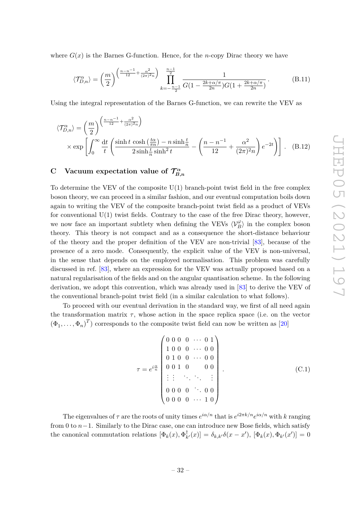where  $G(x)$  is the Barnes G-function. Hence, for the *n*-copy Dirac theory we have

$$
\langle \mathcal{T}_{D,n}^{\alpha} \rangle = \left(\frac{m}{2}\right)^{\left(\frac{n-n^{-1}}{12} + \frac{\alpha^2}{(2\pi)^2 n}\right)} \prod_{k=-\frac{n-1}{2}}^{\frac{n-1}{2}} \frac{1}{G(1 - \frac{2k + \alpha/\pi}{2n})G(1 + \frac{2k + \alpha/\pi}{2n})}.
$$
(B.11)

Using the integral representation of the Barnes G-function, we can rewrite the VEV as

$$
\langle \mathcal{T}_{D,n}^{\alpha} \rangle = \left( \frac{m}{2} \right)^{\left( \frac{n-n^{-1}}{12} + \frac{\alpha^2}{(2\pi)^2 n} \right)} \times \exp \left[ \int_0^\infty \frac{dt}{t} \left( \frac{\sinh t \cosh \left( \frac{t\alpha}{\pi n} \right) - n \sinh \frac{t}{n}}{2 \sinh \frac{t}{n} \sinh^2 t} - \left( \frac{n-n^{-1}}{12} + \frac{\alpha^2}{(2\pi)^2 n} \right) e^{-2t} \right) \right].
$$
 (B.12)

### <span id="page-32-0"></span>**C** Vacuum expectation value of  $\mathcal{T}_R^{\alpha}$ *B,n*

To determine the VEV of the composite  $U(1)$  branch-point twist field in the free complex boson theory, we can proceed in a similar fashion, and our eventual computation boils down again to writing the VEV of the composite branch-point twist field as a product of VEVs for conventional  $U(1)$  twist fields. Contrary to the case of the free Dirac theory, however, we now face an important subtlety when defining the VEVs  $\langle V_B^{\varphi} \rangle$  in the complex boson theory. This theory is not compact and as a consequence the short-distance behaviour of the theory and the proper definition of the VEV are non-trivial [\[83\]](#page-38-6), because of the presence of a zero mode. Consequently, the explicit value of the VEV is non-universal, in the sense that depends on the employed normalisation. This problem was carefully discussed in ref. [\[83\]](#page-38-6), where an expression for the VEV was actually proposed based on a natural regularisation of the fields and on the angular quantisation scheme. In the following derivation, we adopt this convention, which was already used in [\[83\]](#page-38-6) to derive the VEV of the conventional branch-point twist field (in a similar calculation to what follows).

To proceed with our eventual derivation in the standard way, we first of all need again the transformation matrix *τ* , whose action in the space replica space (i.e. on the vector  $(\Phi_1, \ldots, \Phi_n)^T$  corresponds to the composite twist field can now be written as [\[20\]](#page-35-1)

$$
\tau = e^{i\frac{\alpha}{n}} \begin{pmatrix} 0 & 0 & 0 & 0 & \cdots & 0 & 1 \\ 1 & 0 & 0 & 0 & \cdots & 0 & 0 \\ 0 & 1 & 0 & 0 & \cdots & 0 & 0 \\ 0 & 0 & 1 & 0 & & 0 & 0 \\ \vdots & \vdots & \ddots & \ddots & \ddots & \vdots \\ 0 & 0 & 0 & 0 & \cdots & 0 & 0 \\ 0 & 0 & 0 & 0 & \cdots & 1 & 0 \end{pmatrix} .
$$
 (C.1)

The eigenvalues of  $\tau$  are the roots of unity times  $e^{i\alpha/n}$  that is  $e^{i2\pi k/n}e^{i\alpha/n}$  with *k* ranging from 0 to *n*−1. Similarly to the Dirac case, one can introduce new Bose fields, which satisfy the canonical commutation relations  $[\Phi_k(x), \Phi_k^{\dagger}]$  $\delta_{k,k'}(x)$ ] =  $\delta_{k,k'}\delta(x-x'), \ [\Phi_k(x), \Phi_{k'}(x')] = 0$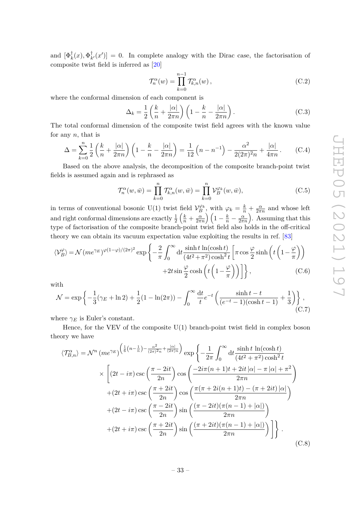and  $[\Phi_k^{\dagger}(x), \Phi_k^{\dagger}]$  $\chi^{\dagger}_{k'}(x')$  = 0. In complete analogy with the Dirac case, the factorisation of composite twist field is inferred as [\[20\]](#page-35-1)

$$
\mathcal{T}_n^{\alpha}(w) = \prod_{k=0}^{n-1} \mathcal{T}_{k,n}^{\alpha}(w), \qquad (C.2)
$$

where the conformal dimension of each component is

$$
\Delta_k = \frac{1}{2} \left( \frac{k}{n} + \frac{|\alpha|}{2\pi n} \right) \left( 1 - \frac{k}{n} - \frac{|\alpha|}{2\pi n} \right). \tag{C.3}
$$

The total conformal dimension of the composite twist field agrees with the known value for any *n*, that is

$$
\Delta = \sum_{k=0}^{n} \frac{1}{2} \left( \frac{k}{n} + \frac{|\alpha|}{2\pi n} \right) \left( 1 - \frac{k}{n} - \frac{|\alpha|}{2\pi n} \right) = \frac{1}{12} \left( n - n^{-1} \right) - \frac{\alpha^2}{2(2\pi)^2 n} + \frac{|\alpha|}{4\pi n} \,. \tag{C.4}
$$

Based on the above analysis, the decomposition of the composite branch-point twist fields is assumed again and is rephrased as

$$
\mathcal{T}_n^{\alpha}(w,\bar{w}) = \prod_{k=0}^n \mathcal{T}_{k,n}^{\alpha}(w,\bar{w}) = \prod_{k=0}^n \mathcal{V}_B^{\varphi_k}(w,\bar{w}),\tag{C.5}
$$

in terms of conventional bosonic U(1) twist field  $V_B^{\varphi_k}$ , with  $\varphi_k = \frac{k}{n} + \frac{\alpha}{2\pi}$  $\frac{\alpha}{2\pi n}$  and whose left and right conformal dimensions are exactly  $\frac{1}{2} \left( \frac{k}{n} + \frac{\alpha}{2\pi n} \right) \left( 1 - \frac{k}{n} - \frac{\alpha}{2\pi n} \right)$ . Assuming that this type of factorisation of the composite branch-point twist field also holds in the off-critical theory we can obtain its vacuum expectation value exploiting the results in ref. [\[83\]](#page-38-6)

$$
\langle \mathcal{V}_{B}^{\varphi} \rangle = \mathcal{N}(me^{\gamma_{E}})^{\varphi(1-\varphi)/(2\pi)^{2}} \exp \left\{ -\frac{2}{\pi} \int_{0}^{\infty} dt \frac{\sinh t \ln(\cosh t)}{(4t^{2}+\pi^{2})\cosh^{2} t} \left[ \pi \cos \frac{\varphi}{2} \sinh \left( t \left( 1 - \frac{\varphi}{\pi} \right) \right) \right] + 2t \sin \frac{\varphi}{2} \cosh \left( t \left( 1 - \frac{\varphi}{\pi} \right) \right) \right] \right\}, \tag{C.6}
$$

with

$$
\mathcal{N} = \exp\left\{-\frac{1}{3}(\gamma_E + \ln 2) + \frac{1}{2}(1 - \ln(2\pi)) - \int_0^\infty \frac{dt}{t} e^{-t} \left(\frac{\sinh t - t}{(e^{-t} - 1)(\cosh t - 1)} + \frac{1}{3}\right)\right\},\tag{C.7}
$$

where  $\gamma_E$  is Euler's constant.

Hence, for the VEV of the composite  $U(1)$  branch-point twist field in complex boson theory we have

$$
\langle \mathcal{T}_{B,n}^{\alpha} \rangle = \mathcal{N}^{n} \left( m e^{\gamma_E} \right)^{\left( \frac{1}{6} \left( n - \frac{1}{n} \right) - \frac{\alpha^2}{(2\pi)^2 n} + \frac{|\alpha|}{(2\pi)^n} \right)} \exp \left\{ -\frac{1}{2\pi} \int_0^\infty dt \frac{\sinh t \ln(\cosh t)}{\left( 4t^2 + \pi^2 \right) \cosh^2 t} \right\}
$$
  
 
$$
\times \left[ (2t - i\pi) \csc \left( \frac{\pi - 2it}{2n} \right) \cos \left( \frac{-2i\pi (n + 1)t + 2it |\alpha| - \pi |\alpha| + \pi^2}{2\pi n} \right) \right.
$$

$$
+ (2t + i\pi) \csc \left( \frac{\pi + 2it}{2n} \right) \cos \left( \frac{\pi (\pi + 2i(n + 1)t) - (\pi + 2it) |\alpha|}{2\pi n} \right)
$$

$$
+ (2t - i\pi) \csc \left( \frac{\pi - 2it}{2n} \right) \sin \left( \frac{(\pi - 2it)(\pi (n - 1) + |\alpha|)}{2\pi n} \right)
$$

$$
+ (2t + i\pi) \csc \left( \frac{\pi + 2it}{2n} \right) \sin \left( \frac{(\pi + 2it)(\pi (n - 1) + |\alpha|)}{2\pi n} \right) \right].
$$

$$
(C.8)
$$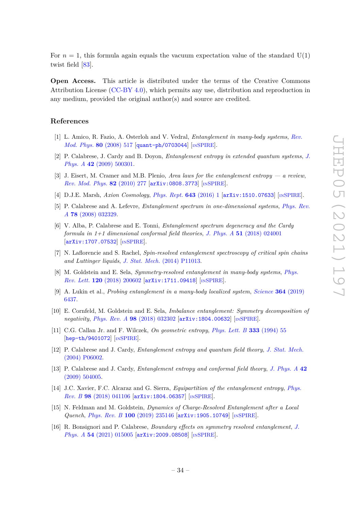For  $n = 1$ , this formula again equals the vacuum expectation value of the standard  $U(1)$ twist field [\[83\]](#page-38-6).

**Open Access.** This article is distributed under the terms of the Creative Commons Attribution License [\(CC-BY 4.0\)](https://creativecommons.org/licenses/by/4.0/), which permits any use, distribution and reproduction in any medium, provided the original author(s) and source are credited.

# **References**

- <span id="page-34-0"></span>[1] L. Amico, R. Fazio, A. Osterloh and V. Vedral, *Entanglement in many-body systems*, *[Rev.](https://doi.org/10.1103/RevModPhys.80.517) [Mod. Phys.](https://doi.org/10.1103/RevModPhys.80.517)* **80** (2008) 517 [[quant-ph/0703044](https://arxiv.org/abs/quant-ph/0703044)] [IN[SPIRE](https://inspirehep.net/search?p=find+J%20%22Rev.Mod.Phys.%2C80%2C517%22)].
- [2] P. Calabrese, J. Cardy and B. Doyon, *Entanglement entropy in extended quantum systems*, *[J.](https://doi.org/10.1088/1751-8121/42/50/500301) Phys. A* **42** [\(2009\) 500301.](https://doi.org/10.1088/1751-8121/42/50/500301)
- [3] J. Eisert, M. Cramer and M.B. Plenio, *Area laws for the entanglement entropy a review*, *[Rev. Mod. Phys.](https://doi.org/10.1103/RevModPhys.82.277)* **82** (2010) 277 [[arXiv:0808.3773](https://arxiv.org/abs/0808.3773)] [IN[SPIRE](https://inspirehep.net/search?p=find+J%20%22Rev.Mod.Phys.%2C82%2C277%22)].
- <span id="page-34-1"></span>[4] D.J.E. Marsh, *Axion Cosmology*, *[Phys. Rept.](https://doi.org/10.1016/j.physrep.2016.06.005)* **643** (2016) 1 [[arXiv:1510.07633](https://arxiv.org/abs/1510.07633)] [IN[SPIRE](https://inspirehep.net/search?p=find+J%20%22Phys.Rept%2C643%2C1%22)].
- <span id="page-34-2"></span>[5] P. Calabrese and A. Lefevre, *Entanglement spectrum in one-dimensional systems*, *[Phys. Rev.](https://doi.org/10.1103/PhysRevA.78.032329) A* **78** [\(2008\) 032329.](https://doi.org/10.1103/PhysRevA.78.032329)
- <span id="page-34-3"></span>[6] V. Alba, P. Calabrese and E. Tonni, *Entanglement spectrum degeneracy and the Cardy formula in 1+1 dimensional conformal field theories*, *J. Phys. A* **51** [\(2018\) 024001](https://doi.org/10.1088/1751-8121/aa9365) [[arXiv:1707.07532](https://arxiv.org/abs/1707.07532)] [IN[SPIRE](https://inspirehep.net/search?p=find+J%20%22J.Phys.%2CA51%2C024001%22)].
- <span id="page-34-4"></span>[7] N. Laflorencie and S. Rachel, *Spin-resolved entanglement spectroscopy of critical spin chains and Luttinger liquids*, *J. Stat. Mech.* [\(2014\) P11013.](https://doi.org/10.1088/1742-5468/2014/11/P11013)
- <span id="page-34-6"></span>[8] M. Goldstein and E. Sela, *Symmetry-resolved entanglement in many-body systems*, *[Phys.](https://doi.org/10.1103/PhysRevLett.120.200602) Rev. Lett.* **120** [\(2018\) 200602](https://doi.org/10.1103/PhysRevLett.120.200602) [[arXiv:1711.09418](https://arxiv.org/abs/1711.09418)] [IN[SPIRE](https://inspirehep.net/search?p=find+J%20%22Phys.Rev.Lett.%2C120%2C200602%22)].
- <span id="page-34-12"></span>[9] A. Lukin et al., *Probing entanglement in a many-body localized system*, *[Science](https://doi.org/10.1126/science.aau0818)* **364** (2019) [6437.](https://doi.org/10.1126/science.aau0818)
- <span id="page-34-5"></span>[10] E. Cornfeld, M. Goldstein and E. Sela, *Imbalance entanglement: Symmetry decomposition of negativity*, *Phys. Rev. A* **98** [\(2018\) 032302](https://doi.org/10.1103/PhysRevA.98.032302) [[arXiv:1804.00632](https://arxiv.org/abs/1804.00632)] [IN[SPIRE](https://inspirehep.net/search?p=find+J%20%22Phys.Rev.%2CA98%2C032302%22)].
- <span id="page-34-7"></span>[11] C.G. Callan Jr. and F. Wilczek, *On geometric entropy*, *[Phys. Lett. B](https://doi.org/10.1016/0370-2693(94)91007-3)* **333** (1994) 55 [[hep-th/9401072](https://arxiv.org/abs/hep-th/9401072)] [IN[SPIRE](https://inspirehep.net/search?p=find+J%20%22Phys.Lett.%2CB333%2C55%22)].
- <span id="page-34-11"></span>[12] P. Calabrese and J. Cardy, *Entanglement entropy and quantum field theory*, *[J. Stat. Mech.](https://doi.org/10.1088/1742-5468/2004/06/P06002)* [\(2004\) P06002.](https://doi.org/10.1088/1742-5468/2004/06/P06002)
- <span id="page-34-8"></span>[13] P. Calabrese and J. Cardy, *Entanglement entropy and conformal field theory*, *[J. Phys. A](https://doi.org/10.1088/1751-8113/42/50/504005)* **42** [\(2009\) 504005.](https://doi.org/10.1088/1751-8113/42/50/504005)
- <span id="page-34-9"></span>[14] J.C. Xavier, F.C. Alcaraz and G. Sierra, *Equipartition of the entanglement entropy*, *[Phys.](https://doi.org/10.1103/PhysRevB.98.041106) Rev. B* **98** [\(2018\) 041106](https://doi.org/10.1103/PhysRevB.98.041106) [[arXiv:1804.06357](https://arxiv.org/abs/1804.06357)] [IN[SPIRE](https://inspirehep.net/search?p=find+J%20%22Phys.Rev.%2CB98%2C041106%22)].
- [15] N. Feldman and M. Goldstein, *Dynamics of Charge-Resolved Entanglement after a Local Quench*, *Phys. Rev. B* **100** [\(2019\) 235146](https://doi.org/10.1103/PhysRevB.100.235146) [[arXiv:1905.10749](https://arxiv.org/abs/1905.10749)] [IN[SPIRE](https://inspirehep.net/search?p=find+J%20%22Phys.Rev.%2CB100%2C235146%22)].
- <span id="page-34-10"></span>[16] R. Bonsignori and P. Calabrese, *Boundary effects on symmetry resolved entanglement*, *[J.](https://doi.org/10.1088/1751-8121/abcc3a) Phys. A* **54** [\(2021\) 015005](https://doi.org/10.1088/1751-8121/abcc3a) [[arXiv:2009.08508](https://arxiv.org/abs/2009.08508)] [IN[SPIRE](https://inspirehep.net/search?p=find+J%20%22J.Phys.%2CA54%2C015005%22)].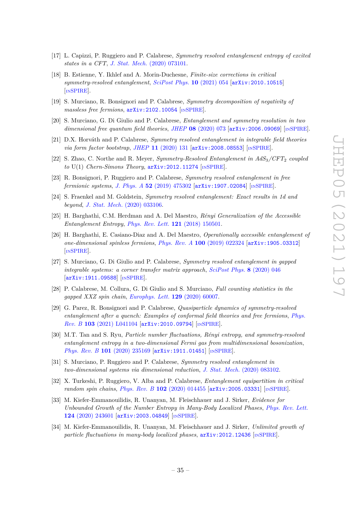- [17] L. Capizzi, P. Ruggiero and P. Calabrese, *Symmetry resolved entanglement entropy of excited states in a CFT*, *J. Stat. Mech.* [\(2020\) 073101.](https://doi.org/10.1088/1742-5468/ab96b6)
- [18] B. Estienne, Y. Ikhlef and A. Morin-Duchesne, *Finite-size corrections in critical symmetry-resolved entanglement*, *[SciPost Phys.](https://doi.org/10.21468/SciPostPhys.10.3.054)* **10** (2021) 054 [[arXiv:2010.10515](https://arxiv.org/abs/2010.10515)] [IN[SPIRE](https://inspirehep.net/search?p=find+EPRINT%2BarXiv%3A2010.10515)].
- <span id="page-35-0"></span>[19] S. Murciano, R. Bonsignori and P. Calabrese, *Symmetry decomposition of negativity of massless free fermions*, [arXiv:2102.10054](https://arxiv.org/abs/2102.10054) [IN[SPIRE](https://inspirehep.net/search?p=find+EPRINT%2BarXiv%3A2102.10054)].
- <span id="page-35-1"></span>[20] S. Murciano, G. Di Giulio and P. Calabrese, *Entanglement and symmetry resolution in two dimensional free quantum field theories*, *JHEP* **08** [\(2020\) 073](https://doi.org/10.1007/JHEP08(2020)073) [[arXiv:2006.09069](https://arxiv.org/abs/2006.09069)] [IN[SPIRE](https://inspirehep.net/search?p=find+J%20%22JHEP%2C2008%2C073%22%20and%20year%3D2020)].
- <span id="page-35-2"></span>[21] D.X. Horváth and P. Calabrese, *Symmetry resolved entanglement in integrable field theories via form factor bootstrap*, *JHEP* **11** [\(2020\) 131](https://doi.org/10.1007/JHEP11(2020)131) [[arXiv:2008.08553](https://arxiv.org/abs/2008.08553)] [IN[SPIRE](https://inspirehep.net/search?p=find+J%20%22JHEP%2C2011%2C131%22%20and%20year%3D2020)].
- <span id="page-35-3"></span>[22] S. Zhao, C. Northe and R. Meyer, *Symmetry-Resolved Entanglement in AdS*3*/CFT*<sup>2</sup> *coupled to* U(1) *Chern-Simons Theory*, [arXiv:2012.11274](https://arxiv.org/abs/2012.11274) [IN[SPIRE](https://inspirehep.net/search?p=find+EPRINT%2BarXiv%3A2012.11274)].
- <span id="page-35-4"></span>[23] R. Bonsignori, P. Ruggiero and P. Calabrese, *Symmetry resolved entanglement in free fermionic systems*, *J. Phys. A* **52** [\(2019\) 475302](https://doi.org/10.1088/1751-8121/ab4b77) [[arXiv:1907.02084](https://arxiv.org/abs/1907.02084)] [IN[SPIRE](https://inspirehep.net/search?p=find+J%20%22J.Phys.%2CA52%2C475302%22)].
- [24] S. Fraenkel and M. Goldstein, *Symmetry resolved entanglement: Exact results in 1d and beyond*, *J. Stat. Mech.* [\(2020\) 033106.](https://doi.org/10.1088/1742-5468/ab7753)
- [25] H. Barghathi, C.M. Herdman and A. Del Maestro, *Rényi Generalization of the Accessible Entanglement Entropy*, *[Phys. Rev. Lett.](https://doi.org/10.1103/PhysRevLett.121.150501)* **121** (2018) 150501.
- [26] H. Barghathi, E. Casiano-Diaz and A. Del Maestro, *Operationally accessible entanglement of one-dimensional spinless fermions*, *Phys. Rev. A* **100** [\(2019\) 022324](https://doi.org/10.1103/PhysRevA.100.022324) [[arXiv:1905.03312](https://arxiv.org/abs/1905.03312)] [IN[SPIRE](https://inspirehep.net/search?p=find+J%20%22Phys.Rev.%2CA100%2C022324%22)].
- [27] S. Murciano, G. Di Giulio and P. Calabrese, *Symmetry resolved entanglement in gapped integrable systems: a corner transfer matrix approach*, *[SciPost Phys.](https://doi.org/10.21468/SciPostPhys.8.3.046)* **8** (2020) 046 [[arXiv:1911.09588](https://arxiv.org/abs/1911.09588)] [IN[SPIRE](https://inspirehep.net/search?p=find+J%20%22SciPost%20Phys.%2C8%2C046%22)].
- [28] P. Calabrese, M. Collura, G. Di Giulio and S. Murciano, *Full counting statistics in the gapped XXZ spin chain*, *[Europhys. Lett.](https://doi.org/10.1209/0295-5075/129/60007)* **129** (2020) 60007.
- [29] G. Parez, R. Bonsignori and P. Calabrese, *Quasiparticle dynamics of symmetry-resolved entanglement after a quench: Examples of conformal field theories and free fermions*, *[Phys.](https://doi.org/10.1103/PhysRevB.103.L041104) Rev. B* **103** [\(2021\) L041104](https://doi.org/10.1103/PhysRevB.103.L041104) [[arXiv:2010.09794](https://arxiv.org/abs/2010.09794)] [IN[SPIRE](https://inspirehep.net/search?p=find+J%20%22Phys.Rev.%2CB103%2CL041104%22)].
- [30] M.T. Tan and S. Ryu, *Particle number fluctuations, Rényi entropy, and symmetry-resolved entanglement entropy in a two-dimensional Fermi gas from multidimensional bosonization*, *Phys. Rev. B* **101** [\(2020\) 235169](https://doi.org/10.1103/PhysRevB.101.235169) [[arXiv:1911.01451](https://arxiv.org/abs/1911.01451)] [IN[SPIRE](https://inspirehep.net/search?p=find+J%20%22Phys.Rev.%2CB101%2C235169%22)].
- <span id="page-35-5"></span>[31] S. Murciano, P. Ruggiero and P. Calabrese, *Symmetry resolved entanglement in two-dimensional systems via dimensional reduction*, *J. Stat. Mech.* [\(2020\) 083102.](https://doi.org/10.1088/1742-5468/aba1e5)
- <span id="page-35-6"></span>[32] X. Turkeshi, P. Ruggiero, V. Alba and P. Calabrese, *Entanglement equipartition in critical random spin chains*, *Phys. Rev. B* **102** [\(2020\) 014455](https://doi.org/10.1103/PhysRevB.102.014455) [[arXiv:2005.03331](https://arxiv.org/abs/2005.03331)] [IN[SPIRE](https://inspirehep.net/search?p=find+J%20%22Phys.Rev.%2CB102%2C014455%22)].
- <span id="page-35-8"></span>[33] M. Kiefer-Emmanouilidis, R. Unanyan, M. Fleischhauer and J. Sirker, *Evidence for Unbounded Growth of the Number Entropy in Many-Body Localized Phases*, *[Phys. Rev. Lett.](https://doi.org/10.1103/PhysRevLett.124.243601)* **124** [\(2020\) 243601](https://doi.org/10.1103/PhysRevLett.124.243601) [[arXiv:2003.04849](https://arxiv.org/abs/2003.04849)] [IN[SPIRE](https://inspirehep.net/search?p=find+J%20%22Phys.Rev.Lett.%2C124%2C243601%22)].
- <span id="page-35-7"></span>[34] M. Kiefer-Emmanouilidis, R. Unanyan, M. Fleischhauer and J. Sirker, *Unlimited growth of particle fluctuations in many-body localized phases,*  $arXiv:2012.12436$  *[IN[SPIRE](https://inspirehep.net/search?p=find+EPRINT%2BarXiv%3A2012.12436)].*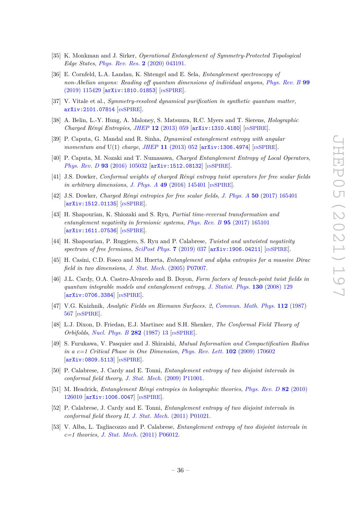- <span id="page-36-0"></span>[35] K. Monkman and J. Sirker, *Operational Entanglement of Symmetry-Protected Topological Edge States*, *[Phys. Rev. Res.](https://doi.org/10.1103/PhysRevResearch.2.043191)* **2** (2020) 043191.
- <span id="page-36-1"></span>[36] E. Cornfeld, L.A. Landau, K. Shtengel and E. Sela, *Entanglement spectroscopy of non-Abelian anyons: Reading off quantum dimensions of individual anyons*, *[Phys. Rev. B](https://doi.org/10.1103/PhysRevB.99.115429)* **99** [\(2019\) 115429](https://doi.org/10.1103/PhysRevB.99.115429) [[arXiv:1810.01853](https://arxiv.org/abs/1810.01853)] [IN[SPIRE](https://inspirehep.net/search?p=find+J%20%22Phys.Rev.%2CB99%2C115429%22)].
- <span id="page-36-2"></span>[37] V. Vitale et al., *Symmetry-resolved dynamical purification in synthetic quantum matter*, [arXiv:2101.07814](https://arxiv.org/abs/2101.07814) [IN[SPIRE](https://inspirehep.net/search?p=find+EPRINT%2BarXiv%3A2101.07814)].
- <span id="page-36-3"></span>[38] A. Belin, L.-Y. Hung, A. Maloney, S. Matsuura, R.C. Myers and T. Sierens, *Holographic Charged Rényi Entropies*, *JHEP* **12** [\(2013\) 059](https://doi.org/10.1007/JHEP12(2013)059) [[arXiv:1310.4180](https://arxiv.org/abs/1310.4180)] [IN[SPIRE](https://inspirehep.net/search?p=find+J%20%22JHEP%2C1312%2C059%22%20and%20year%3D2013)].
- [39] P. Caputa, G. Mandal and R. Sinha, *Dynamical entanglement entropy with angular momentum and* U(1) *charge*, *JHEP* 11 [\(2013\) 052](https://doi.org/10.1007/JHEP11(2013)052) [[arXiv:1306.4974](https://arxiv.org/abs/1306.4974)] [IN[SPIRE](https://inspirehep.net/search?p=find+J%20%22JHEP%2C1311%2C052%22%20and%20year%3D2013)].
- [40] P. Caputa, M. Nozaki and T. Numasawa, *Charged Entanglement Entropy of Local Operators*, *Phys. Rev. D* 93 [\(2016\) 105032](https://doi.org/10.1103/PhysRevD.93.105032) [[arXiv:1512.08132](https://arxiv.org/abs/1512.08132)] [IN[SPIRE](https://inspirehep.net/search?p=find+J%20%22Phys.Rev.%2CD93%2C105032%22)].
- [41] J.S. Dowker, *Conformal weights of charged Rényi entropy twist operators for free scalar fields in arbitrary dimensions, J. Phys. A* **49** [\(2016\) 145401](https://doi.org/10.1088/1751-8113/49/14/145401) [IN[SPIRE](https://inspirehep.net/search?p=find+J%20%22J.Phys.%2CA49%2C145401%22)].
- [42] J.S. Dowker, *Charged Rényi entropies for free scalar fields*, *J. Phys. A* **50** [\(2017\) 165401](https://doi.org/10.1088/1751-8121/aa6178) [[arXiv:1512.01135](https://arxiv.org/abs/1512.01135)] [IN[SPIRE](https://inspirehep.net/search?p=find+J%20%22J.Phys.%2CA50%2C165401%22)].
- [43] H. Shapourian, K. Shiozaki and S. Ryu, *Partial time-reversal transformation and entanglement negativity in fermionic systems*, *Phys. Rev. B* **95** [\(2017\) 165101](https://doi.org/10.1103/PhysRevB.95.165101) [[arXiv:1611.07536](https://arxiv.org/abs/1611.07536)] [IN[SPIRE](https://inspirehep.net/search?p=find+J%20%22Phys.Rev.%2CB95%2C165101%22)].
- <span id="page-36-4"></span>[44] H. Shapourian, P. Ruggiero, S. Ryu and P. Calabrese, *Twisted and untwisted negativity spectrum of free fermions*, *[SciPost Phys.](https://doi.org/10.21468/SciPostPhys.7.3.037)* **7** (2019) 037 [[arXiv:1906.04211](https://arxiv.org/abs/1906.04211)] [IN[SPIRE](https://inspirehep.net/search?p=find+J%20%22SciPost%20Phys.%2C7%2C037%22)].
- <span id="page-36-5"></span>[45] H. Casini, C.D. Fosco and M. Huerta, *Entanglement and alpha entropies for a massive Dirac field in two dimensions*, *J. Stat. Mech.* [\(2005\) P07007.](https://iopscience.iop.org/article/10.1088/1742-5468/2005/07/P07007)
- <span id="page-36-6"></span>[46] J.L. Cardy, O.A. Castro-Alvaredo and B. Doyon, *Form factors of branch-point twist fields in quantum integrable models and entanglement entropy*, *[J. Statist. Phys.](https://doi.org/10.1007/s10955-007-9422-x)* **130** (2008) 129 [[arXiv:0706.3384](https://arxiv.org/abs/0706.3384)] [IN[SPIRE](https://inspirehep.net/search?p=find+J%20%22J.Stat.Phys.%2C130%2C129%22)].
- <span id="page-36-7"></span>[47] V.G. Knizhnik, *Analytic Fields on Riemann Surfaces. 2*, *[Commun. Math. Phys.](https://doi.org/10.1007/BF01225373)* **112** (1987) [567](https://doi.org/10.1007/BF01225373) [IN[SPIRE](https://inspirehep.net/search?p=find+J%20%22Commun.Math.Phys.%2C112%2C567%22)].
- <span id="page-36-8"></span>[48] L.J. Dixon, D. Friedan, E.J. Martinec and S.H. Shenker, *The Conformal Field Theory of Orbifolds*, *[Nucl. Phys. B](https://doi.org/10.1016/0550-3213(87)90676-6)* **282** (1987) 13 [IN[SPIRE](https://inspirehep.net/search?p=find+J%20%22Nucl.Phys.%2CB282%2C13%22)].
- <span id="page-36-9"></span>[49] S. Furukawa, V. Pasquier and J. Shiraishi, *Mutual Information and Compactification Radius in a c=1 Critical Phase in One Dimension*, *[Phys. Rev. Lett.](https://doi.org/10.1103/PhysRevLett.102.170602)* **102** (2009) 170602 [[arXiv:0809.5113](https://arxiv.org/abs/0809.5113)] [IN[SPIRE](https://inspirehep.net/search?p=find+J%20%22Phys.Rev.Lett.%2C102%2C170602%22)].
- [50] P. Calabrese, J. Cardy and E. Tonni, *Entanglement entropy of two disjoint intervals in conformal field theory*, *J. Stat. Mech.* [\(2009\) P11001.](https://doi.org/10.1088/1742-5468/2009/11/P11001)
- [51] M. Headrick, *Entanglement Rényi entropies in holographic theories*, *[Phys. Rev. D](https://doi.org/10.1103/PhysRevD.82.126010)* **82** (2010) [126010](https://doi.org/10.1103/PhysRevD.82.126010) [[arXiv:1006.0047](https://arxiv.org/abs/1006.0047)] [IN[SPIRE](https://inspirehep.net/search?p=find+J%20%22Phys.Rev.%2CD82%2C126010%22)].
- [52] P. Calabrese, J. Cardy and E. Tonni, *Entanglement entropy of two disjoint intervals in conformal field theory II*, *J. Stat. Mech.* [\(2011\) P01021.](https://doi.org/10.1088/1742-5468/2011/01/P01021)
- [53] V. Alba, L. Tagliacozzo and P. Calabrese, *Entanglement entropy of two disjoint intervals in c=1 theories*, *J. Stat. Mech.* [\(2011\) P06012.](https://doi.org/10.1088/1742-5468/2011/06/P06012)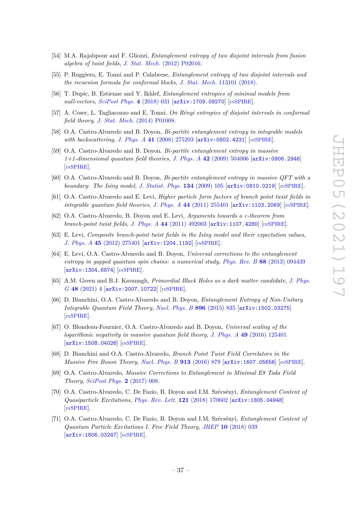- [54] M.A. Rajabpour and F. Gliozzi, *Entanglement entropy of two disjoint intervals from fusion algebra of twist fields*, *J. Stat. Mech.* [\(2012\) P02016.](https://doi.org/10.1088/1742-5468/2012/02/P02016)
- [55] P. Ruggiero, E. Tonni and P. Calabrese, *Entanglement entropy of two disjoint intervals and the recursion formula for conformal blocks*, *J. Stat. Mech.* [113101 \(2018\).](https://doi.org/10.1088/1742-5468/aae5a8)
- [56] T. Dupic, B. Estienne and Y. Ikhlef, *Entanglement entropies of minimal models from null-vectors*, *[SciPost Phys.](https://doi.org/10.21468/SciPostPhys.4.6.031)* **4** (2018) 031 [[arXiv:1709.09270](https://arxiv.org/abs/1709.09270)] [IN[SPIRE](https://inspirehep.net/search?p=find+J%20%22SciPost%20Phys.%2C4%2C031%22)].
- <span id="page-37-0"></span>[57] A. Coser, L. Tagliacozzo and E. Tonni, *On Rényi entropies of disjoint intervals in conformal field theory*, *J. Stat. Mech.* [\(2014\) P01008.](https://doi.org/10.1088/1742-5468/2014/01/P01008)
- <span id="page-37-1"></span>[58] O.A. Castro-Alvaredo and B. Doyon, *Bi-partite entanglement entropy in integrable models with backscattering*, *J. Phys. A* 41 [\(2008\) 275203](https://doi.org/10.1088/1751-8113/41/27/275203) [[arXiv:0802.4231](https://arxiv.org/abs/0802.4231)] [IN[SPIRE](https://inspirehep.net/search?p=find+J%20%22J.Phys.%2CA41%2C275203%22)].
- <span id="page-37-2"></span>[59] O.A. Castro-Alvaredo and B. Doyon, *Bi-partite entanglement entropy in massive 1+1-dimensional quantum field theories*, *J. Phys. A* **42** [\(2009\) 504006](https://doi.org/10.1088/1751-8113/42/50/504006) [[arXiv:0906.2946](https://arxiv.org/abs/0906.2946)] [IN[SPIRE](https://inspirehep.net/search?p=find+J%20%22J.Phys.%2CA42%2C504006%22)].
- <span id="page-37-3"></span>[60] O.A. Castro-Alvaredo and B. Doyon, *Bi-partite entanglement entropy in massive QFT with a boundary: The Ising model*, *[J. Statist. Phys.](https://doi.org/10.1007/s10955-008-9664-2)* **134** (2009) 105 [[arXiv:0810.0219](https://arxiv.org/abs/0810.0219)] [IN[SPIRE](https://inspirehep.net/search?p=find+J%20%22J.Stat.Phys.%2C134%2C105%22)].
- [61] O.A. Castro-Alvaredo and E. Levi, *Higher particle form factors of branch point twist fields in integrable quantum field theories*, *J. Phys. A* **44** [\(2011\) 255401](https://doi.org/10.1088/1751-8113/44/25/255401) [[arXiv:1103.2069](https://arxiv.org/abs/1103.2069)] [IN[SPIRE](https://inspirehep.net/search?p=find+J%20%22J.Phys.%2CA44%2C255401%22)].
- [62] O.A. Castro-Alvaredo, B. Doyon and E. Levi, *Arguments towards a c-theorem from branch-point twist fields*, *J. Phys. A* **44** [\(2011\) 492003](https://doi.org/10.1088/1751-8113/44/49/492003) [[arXiv:1107.4280](https://arxiv.org/abs/1107.4280)] [IN[SPIRE](https://inspirehep.net/search?p=find+J%20%22J.Phys.%2CA44%2C492003%22)].
- [63] E. Levi, *Composite branch-point twist fields in the Ising model and their expectation values*, *J. Phys. A* **45** [\(2012\) 275401](https://doi.org/10.1088/1751-8113/45/27/275401) [[arXiv:1204.1192](https://arxiv.org/abs/1204.1192)] [IN[SPIRE](https://inspirehep.net/search?p=find+J%20%22J.Phys.%2CA45%2C275401%22)].
- [64] E. Levi, O.A. Castro-Alvaredo and B. Doyon, *Universal corrections to the entanglement entropy in gapped quantum spin chains: a numerical study*, *Phys. Rev. B* **88** [\(2013\) 094439](https://doi.org/10.1103/PhysRevB.88.094439) [[arXiv:1304.6874](https://arxiv.org/abs/1304.6874)] [IN[SPIRE](https://inspirehep.net/search?p=find+J%20%22Phys.Rev.%2CB88%2C094439%22)].
- [65] A.M. Green and B.J. Kavanagh, *Primordial Black Holes as a dark matter candidate*, *[J. Phys.](https://doi.org/10.1088/1361-6471/abc534) G* **48** [\(2021\) 4](https://doi.org/10.1088/1361-6471/abc534) [[arXiv:2007.10722](https://arxiv.org/abs/2007.10722)] [IN[SPIRE](https://inspirehep.net/search?p=find+J%20%22J.Phys.%2CA48%2C04%22)].
- [66] D. Bianchini, O.A. Castro-Alvaredo and B. Doyon, *Entanglement Entropy of Non-Unitary Integrable Quantum Field Theory*, *[Nucl. Phys. B](https://doi.org/10.1016/j.nuclphysb.2015.05.013)* **896** (2015) 835 [[arXiv:1502.03275](https://arxiv.org/abs/1502.03275)] [IN[SPIRE](https://inspirehep.net/search?p=find+J%20%22Nucl.Phys.%2CB896%2C835%22)].
- <span id="page-37-4"></span>[67] O. Blondeau-Fournier, O.A. Castro-Alvaredo and B. Doyon, *Universal scaling of the logarithmic negativity in massive quantum field theory*, *J. Phys. A* **49** [\(2016\) 125401](https://doi.org/10.1088/1751-8113/49/12/125401) [[arXiv:1508.04026](https://arxiv.org/abs/1508.04026)] [IN[SPIRE](https://inspirehep.net/search?p=find+J%20%22J.Phys.%2CA49%2C125401%22)].
- [68] D. Bianchini and O.A. Castro-Alvaredo, *Branch Point Twist Field Correlators in the Massive Free Boson Theory*, *[Nucl. Phys. B](https://doi.org/10.1016/j.nuclphysb.2016.10.016)* **913** (2016) 879 [[arXiv:1607.05656](https://arxiv.org/abs/1607.05656)] [IN[SPIRE](https://inspirehep.net/search?p=find+J%20%22Nucl.Phys.%2CB913%2C879%22)].
- [69] O.A. Castro-Alvaredo, *Massive Corrections to Entanglement in Minimal E8 Toda Field Theory*, *[SciPost Phys.](https://doi.org/10.21468/SciPostPhys.2.1.008)* **2** (2017) 008.
- [70] O.A. Castro-Alvaredo, C. De Fazio, B. Doyon and I.M. Szécsényi, *Entanglement Content of Quasiparticle Excitations*, *[Phys. Rev. Lett.](https://doi.org/10.1103/PhysRevLett.121.170602)* **121** (2018) 170602 [[arXiv:1805.04948](https://arxiv.org/abs/1805.04948)] [IN[SPIRE](https://inspirehep.net/search?p=find+J%20%22Phys.Rev.Lett.%2C121%2C170602%22)].
- <span id="page-37-5"></span>[71] O.A. Castro-Alvaredo, C. De Fazio, B. Doyon and I.M. Szécsényi, *Entanglement Content of Quantum Particle Excitations I. Free Field Theory*, *JHEP* **10** [\(2018\) 039](https://doi.org/10.1007/JHEP10(2018)039) [[arXiv:1806.03247](https://arxiv.org/abs/1806.03247)] [IN[SPIRE](https://inspirehep.net/search?p=find+J%20%22JHEP%2C1810%2C039%22%20and%20year%3D2018)].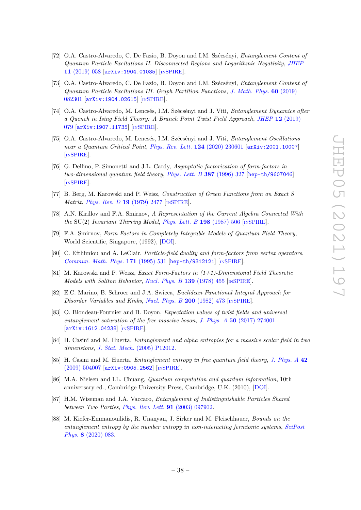- [72] O.A. Castro-Alvaredo, C. De Fazio, B. Doyon and I.M. Szécsényi, *Entanglement Content of Quantum Particle Excitations II. Disconnected Regions and Logarithmic Negativity*, *[JHEP](https://doi.org/10.1007/JHEP11(2019)058)* **11** [\(2019\) 058](https://doi.org/10.1007/JHEP11(2019)058) [[arXiv:1904.01035](https://arxiv.org/abs/1904.01035)] [IN[SPIRE](https://inspirehep.net/search?p=find+J%20%22JHEP%2C1911%2C058%22%20and%20year%3D2019)].
- [73] O.A. Castro-Alvaredo, C. De Fazio, B. Doyon and I.M. Szécsényi, *Entanglement Content of Quantum Particle Excitations III. Graph Partition Functions*, *[J. Math. Phys.](https://doi.org/10.1063/1.5098892)* **60** (2019) [082301](https://doi.org/10.1063/1.5098892) [[arXiv:1904.02615](https://arxiv.org/abs/1904.02615)] [IN[SPIRE](https://inspirehep.net/search?p=find+J%20%22J.Math.Phys.%2C60%2C082301%22)].
- [74] O.A. Castro-Alvaredo, M. Lencsés, I.M. Szécsényi and J. Viti, *Entanglement Dynamics after a Quench in Ising Field Theory: A Branch Point Twist Field Approach*, *JHEP* **12** [\(2019\)](https://doi.org/10.1007/JHEP12(2019)079) [079](https://doi.org/10.1007/JHEP12(2019)079) [[arXiv:1907.11735](https://arxiv.org/abs/1907.11735)] [IN[SPIRE](https://inspirehep.net/search?p=find+J%20%22JHEP%2C1912%2C079%22%20and%20year%3D2019)].
- <span id="page-38-0"></span>[75] O.A. Castro-Alvaredo, M. Lencsés, I.M. Szécsényi and J. Viti, *Entanglement Oscillations near a Quantum Critical Point*, *[Phys. Rev. Lett.](https://doi.org/10.1103/PhysRevLett.124.230601)* **124** (2020) 230601 [[arXiv:2001.10007](https://arxiv.org/abs/2001.10007)] [IN[SPIRE](https://inspirehep.net/search?p=find+J%20%22Phys.Rev.Lett.%2C124%2C230601%22)].
- <span id="page-38-1"></span>[76] G. Delfino, P. Simonetti and J.L. Cardy, *Asymptotic factorization of form-factors in two-dimensional quantum field theory*, *[Phys. Lett. B](https://doi.org/10.1016/0370-2693(96)01035-0)* **387** (1996) 327 [[hep-th/9607046](https://arxiv.org/abs/hep-th/9607046)] [IN[SPIRE](https://inspirehep.net/search?p=find+J%20%22Phys.Lett.%2CB387%2C327%22)].
- <span id="page-38-2"></span>[77] B. Berg, M. Karowski and P. Weisz, *Construction of Green Functions from an Exact S Matrix*, *[Phys. Rev. D](https://doi.org/10.1103/PhysRevD.19.2477)* **19** (1979) 2477 [IN[SPIRE](https://inspirehep.net/search?p=find+J%20%22Phys.Rev.%2CD19%2C2477%22)].
- [78] A.N. Kirillov and F.A. Smirnov, *A Representation of the Current Algebra Connected With the* SU(2) *Invariant Thirring Model*, *[Phys. Lett. B](https://doi.org/10.1016/0370-2693(87)90908-7)* **198** (1987) 506 [IN[SPIRE](https://inspirehep.net/search?p=find+J%20%22Phys.Lett.%2CB198%2C506%22)].
- <span id="page-38-3"></span>[79] F.A. Smirnov, *Form Factors in Completely Integrable Models of Quantum Field Theory*, World Scientific, Singapore, (1992), [\[DOI\]](https://doi.org/10.1142/1115).
- <span id="page-38-4"></span>[80] C. Efthimiou and A. LeClair, *Particle-field duality and form-factors from vertex operators*, *[Commun. Math. Phys.](https://doi.org/10.1007/BF02104677)* **171** (1995) 531 [[hep-th/9312121](https://arxiv.org/abs/hep-th/9312121)] [IN[SPIRE](https://inspirehep.net/search?p=find+J%20%22Commun.Math.Phys.%2C171%2C531%22)].
- [81] M. Karowski and P. Weisz, *Exact Form-Factors in (1+1)-Dimensional Field Theoretic Models with Soliton Behavior*, *[Nucl. Phys. B](https://doi.org/10.1016/0550-3213(78)90362-0)* **139** (1978) 455 [IN[SPIRE](https://inspirehep.net/search?p=find+J%20%22Nucl.Phys.%2CB139%2C455%22)].
- <span id="page-38-5"></span>[82] E.C. Marino, B. Schroer and J.A. Swieca, *Euclidean Functional Integral Approach for Disorder Variables and Kinks*, *[Nucl. Phys. B](https://doi.org/10.1016/0550-3213(82)90523-5)* **200** (1982) 473 [IN[SPIRE](https://inspirehep.net/search?p=find+J%20%22Nucl.Phys.%2CB200%2C473%22)].
- <span id="page-38-6"></span>[83] O. Blondeau-Fournier and B. Doyon, *Expectation values of twist fields and universal entanglement saturation of the free massive boson*, *J. Phys. A* **50** [\(2017\) 274001](https://doi.org/10.1088/1751-8121/aa7492) [[arXiv:1612.04238](https://arxiv.org/abs/1612.04238)] [IN[SPIRE](https://inspirehep.net/search?p=find+J%20%22J.Phys.%2CA50%2C274001%22)].
- <span id="page-38-7"></span>[84] H. Casini and M. Huerta, *Entanglement and alpha entropies for a massive scalar field in two dimensions*, *J. Stat. Mech.* [\(2005\) P12012.](https://doi.org/10.1088/1742-5468/2005/12/P12012)
- <span id="page-38-8"></span>[85] H. Casini and M. Huerta, *Entanglement entropy in free quantum field theory*, *[J. Phys. A](https://doi.org/10.1088/1751-8113/42/50/504007)* **42** [\(2009\) 504007](https://doi.org/10.1088/1751-8113/42/50/504007) [[arXiv:0905.2562](https://arxiv.org/abs/0905.2562)] [IN[SPIRE](https://inspirehep.net/search?p=find+J%20%22J.Phys.%2CA42%2C504007%22)].
- <span id="page-38-9"></span>[86] M.A. Nielsen and I.L. Chuang, *Quantum computation and quantum information*, 10th anniversary ed., Cambridge University Press, Cambridge, U.K. (2010), [\[DOI\]](https://doi.org/10.1017/CBO9780511976667).
- <span id="page-38-10"></span>[87] H.M. Wiseman and J.A. Vaccaro, *Entanglement of Indistinguishable Particles Shared between Two Parties*, *[Phys. Rev. Lett.](https://doi.org/10.1103/PhysRevLett.91.097902)* **91** (2003) 097902.
- <span id="page-38-11"></span>[88] M. Kiefer-Emmanouilidis, R. Unanyan, J. Sirker and M. Fleischhauer, *Bounds on the entanglement entropy by the number entropy in non-interacting fermionic systems*, *[SciPost](https://doi.org/10.21468/SciPostPhys.8.6.083) Phys.* **8** [\(2020\) 083.](https://doi.org/10.21468/SciPostPhys.8.6.083)